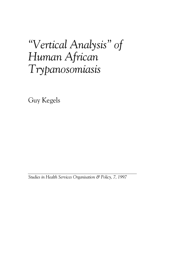# *"Vertical Analysis" of Human African Trypanosomiasis*

Guy Kegels

*Studies in Health Services Organisation & Policy, 7, 1997*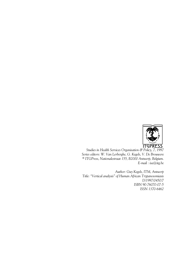

*Studies in Health Services Organisation & Policy, 7, 1997 Series editors: W. Van Lerberghe, G. Kegels, V. De Brouwere ©ITGPress, Nationalestraat 155, B2000 Antwerp, Belgium. E-mail : isa@itg.be*

*Author: Guy Kegels, ITM, Antwerp Title: "Vertical analysis" of Human African Trypanosomiasis D/1997/0450/7 ISBN 90-76070-07-5 ISSN 1370-6462*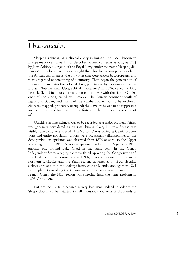# *I Introduction*

Sleeping sickness, as a clinical entity in humans, has been known to Europeans for centuries. It was described in medical terms as early as 1734 by John Atkins, a surgeon of the Royal Navy, under the name 'sleeping distemper'. For a long time it was thought that this disease was present only in the African coastal areas, the only ones that were known by Europeans, and it was regarded as something of a curiosity. Then began the penetration of the interior, and later the colonial drive, punctuated by happenings like the Brussels 'International Geographical Conference' in 1876, called by king Leopold II, and in a more formally geo-political way with the Berlin Conference of 1884-1885, called by Bismarck. The African continent south of Egypt and Sudan, and north of the Zambezi River was to be explored, civilised, mapped, protected, occupied; the slave trade was to be suppressed and other forms of trade were to be fostered. The European powers 'went in'.

Quickly sleeping sickness was to be regarded as a major problem. Africa was generally considered as an insalubrious place, but this disease was visibly something very special. The 'curiosity' was taking epidemic proportions and entire population groups were occasionally disappearing. In the Senegambia, an epidemic was observed from 1876 onward, in the Upper Volta region from 1880. A violent epidemic broke out in Nigeria in 1886, another one around Lake Chad in the same year. In the Congo Independent State, sleeping sickness flared up along the Congo river and the Lualaba in the course of the 1890s, quickly followed by the more northern territories and the Kasai region. In Angola, in 1870, sleeping sickness broke out in the Malanje focus, east of Luanda, and again in 1895 in the plantations along the Cuanza river in the same general area. In the French Congo the Niari region was suffering from the same problem in 1895. And so on.

But around 1900 it became a very hot issue indeed. Suddenly the 'sleepy distemper' had started to kill thousands and tens of thousands of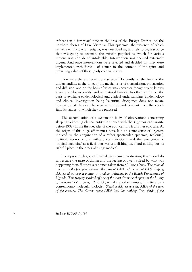Africans in a few years' time in the area of the Busoga District, on the northern shores of Lake Victoria. This epidemic, the violence of which remains to this day an enigma, was described as, and felt to be, a scourge that was going to decimate the African populations, which for various reasons was considered intolerable. Intervention was deemed extremely urgent. And once interventions were selected and decided on, they were implemented with force - of course in the context of the spirit and prevailing values of these (early colonial) times.

How were these interventions selected? Evidently on the basis of the understanding, at the time, of the mechanisms of transmission, propagation and diffusion, and on the basis of what was known or thought to be known about the 'disease entity' and its 'natural history'. In other words, on the basis of available epidemiological and clinical understanding. Epidemiology and clinical investigation being 'scientific' disciplines does not mean, however, that they can be seen as entirely independent from the epoch (and its values) in which they are practised.

The accumulation of a systematic body of observations concerning sleeping sickness (a clinical entity not linked with the *Trypanosoma* parasite before 1902) in the first decades of the 20th century is a rather epic tale. At the origin of this huge effort must have lain an acute sense of urgency, induced by the conjunction of a rather spectacular epidemic, (colonial) political, economic and military considerations, and the emergence of 'tropical medicine' as a field that was establishing itself and cutting out its rightful place in the order of things medical.

Even present day, cool headed historians investigating this period do not escape the taste of drama and the feeling of awe inspired by what was happening then. Witness a sentence taken from M. Lyons' book *The colonial disease*: *'In the five years between the close of 1900 and the end of 1905, sleeping sickness killed over a quarter of a million Africans in the British Protectorate of Uganda. This tragedy sparked off one of the most dramatic chapters in the history of medicine.'* (M. Lyons, 1992) Or, to take another sample, this time by a contemporary molecular biologist: *'Sleeping sickness was the AIDS of the turn of the century. This disease made AIDS look like nothing. Two thirds of the*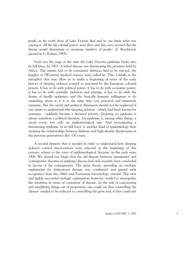*people on the north shore of Lake Victoria died and no one knew what was causing it. All the big colonial powers were there and they were worried that the disease would disseminate to enormous numbers of people.'* (J. Boothroyd, quoted in G. Kolata, 1985).

Such was the stage at the time the Lake Victoria epidemic broke into its full force, by 1901. A lethal disease was threatening the promises held by Africa. This enemy had to be contained, defences had to be erected, the knights of (Western) medical science were called in. This, I think, is the metaphor that may allow us to make a beginning of sense of the early history of sleeping sickness control as practised by the European colonial powers. It has to do with political power, it has to do with economic power, it has to do with scientific ambition and prestige, it has to do with the drama of deadly epidemics and the basically humane willingness to do something about it, it is at the same time very practical and eminently romantic. But the social and political dimension should not be neglected if one wants to understand why sleeping sickness - which had been known for centuries - suddenly became a declared priority. *Declaring* an epidemic is always somehow a political decision. An epidemic is, among other things, a social event, not only an epidemiological one. And investigating a threatening epidemic 'in its full force' is another kind of epidemiology than studying the relationships between diabetes and high-density lipoproteins in the previous generation's diet. Of course.

A second element that is needed in order to understand how sleeping sickness control interventions were selected at the beginning of this century, relates to the roots of epidemiological 'doctrine' in the early years 1900. We should not forget that the old dispute between 'miasmatist' and 'contagionist' theories of epidemic disease had only recently been concluded in favour of the contagionists. The germ theory, providing an etiologic explanation for (infectious) disease, was 'confirmed' and gained wide acceptance from the 1860s and Pasteurian bacteriology onward. This new and highly successful etiologic explanation, however, tended to monopolise the attention in terms of 'causation' of disease. At the risk of caricaturing and simplifying things out of proportion, one could say that controlling the 'disease' tended to be reduced to controlling the *germ* and, if that could not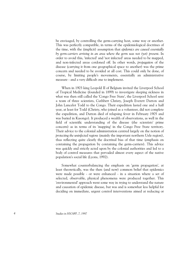be envisaged, by controlling the germ-carrying host, some way or another. This was perfectly compatible, in terms of the epidemiological doctrines of the time, with the (implicit) assumption that *epidemics are caused essentially by germ-carriers arriving in an area where the germ was not (yet) present*. In order to avoid this, 'infected' and 'not infected' areas needed to be mapped, and non-infected areas cordoned off. In other words, *propagation* of the disease (carrying it from one geographical space to another) was the prime concern and needed to be avoided at all cost. This could only be done, of course, by limiting people's movements, essentially an administrative measure - and a very difficult one to implement.

When in 1903 king Leopold II of Belgium invited the Liverpool School of Tropical Medicine (founded in 1899) to investigate sleeping sickness in what was then still called the 'Congo Free State', the Liverpool School sent a team of three scientists, Cuthbert Christy, Joseph Everett Dutton and John Lancelot Todd to the Congo. Their expedition lasted one and a half year, at least for Todd (Christy, who joined as a volunteer, did not complete the expedition, and Dutton died of relapsing fever in February 1905 and was buried in Kasongo). It produced a wealth of observations, as well in the field of scientific understanding of the disease (the scientists' prime concern) as in terms of its 'mapping' in the Congo Free State territory. Their advice to the colonial administration centred largely on the notion of *protecting the uninfected regions* (mainly the important northern Uele region), thus reflecting quite clearly the doctrinal bias of that time (emphasis on containing the propagation by containing the germ-carriers). This advice was quickly and strictly acted upon by the colonial authorities and led to a body of control measures that pervaded almost every aspect of the native population's social life (Lyons, 1992).

Somewhat counterbalancing the emphasis on 'germ propagation', at least theoretically, was the then (and now) common belief that epidemics were made possible - or were enhanced - in a situation where a set of selected, observable, physical phenomena were produced together. This 'environmental' approach went some way in trying to understand the nature and causation of epidemic disease, but was and is somewhat less helpful for deciding on immediate, urgent control interventions aimed at reducing or

*4 Studies in HSO&P, 7, 1997*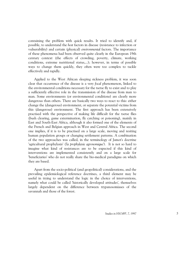containing the problem with quick results. It tried to identify and, if possible, to understand the *host* factors in disease (resistance to infection or vulnerability) and certain (physical) *environmental* factors. The importance of these phenomena had been observed quite clearly in the European 19th century context (the effects of crowding, poverty, climate, working conditions, extreme nutritional status,...); however, in terms of possible ways to change them quickly, they often were too complex to tackle effectively and rapidly.

Applied to the West African sleeping sickness problem, it was soon clear that occurrence of the disease is a very *focal* phenomenon, linked to the environmental conditions necessary for the tsetse fly to exist and to play a sufficiently effective role in the transmission of the disease from man to man. Some environments (or environmental conditions) are clearly more dangerous than others. There are basically two ways to react to this: either change the (dangerous) environment, or separate the potential victims from this (dangerous) environment. The first approach has been extensively practised with the perspective of making life difficult for the tsetse flies (bush clearing, game extermination, fly catching or poisoning), mainly in East and South-East Africa, although it also formed one of the elements of the French and Belgian approach in West and Central Africa. The second one implies, if it is to be practised on a large scale, moving and resiting human population groups or changing settlement patterns. A combination of the two approaches was called, in the terminology of Jamot's doctrine 'agricultural prophylaxis' (*'la prophylaxie agronomique').* It is not so hard to imagine what kind of resistances are to be expected if this kind of interventions are implemented consistently and on a large scale for 'beneficiaries' who do not really share the bio-medical paradigms on which they are based.

Apart from the socio-political (and geopolitical) considerations, and the prevailing epidemiological reference doctrines, a third element may be useful in trying to understand the logic in the choice of interventions, namely what could be called 'historically developed attitudes', themselves largely dependent on the difference between trypanosomiases of the savannah and those of the forest.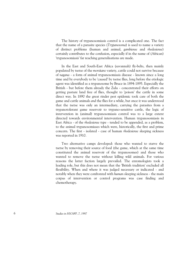The history of trypanosomiasis control is a complicated one. The fact that the name of a parasite species (*Trypanosoma*) is used to name a variety of distinct problems (human and animal, *gambiense* and *rhodesiense*) certainly contributes to the confusion, especially if in the name of (African) 'trypanosomiasis' far reaching generalisations are made.

In the East and South-East Africa (savannah) fly-belts, then mainly populated by tsetse of the *morsitans* variety, cattle could not survive because of *nagana* - a form of animal trypanosomiasis disease - known since a long time and by everybody to be 'caused' by tsetse flies, long before the etiologic agent was identified as a trypanosome by Bruce in 1894-1895. Especially the British - but before them already the Zulu - concentrated their efforts on getting pasture land free of flies, thought to 'poison' the cattle in some direct way. In 1890 the great rinder pest epidemic took care of both the game and cattle animals *and* the flies for a while, but once it was understood that the tsetse was only an intermediary, carrying the parasites from a trypanotolerant game reservoir to trypano-sensitive cattle, the logic of intervention in (animal) trypanosomiasis control was to a large extent directed towards environmental intervention. Human trypanosomiasis in East Africa - of the *rhodesiense* type - tended to be appended, as a problem, to the animal trypanosomiases which were, historically, the first and prime concern. The first - isolated - case of human *rhodesiense* sleeping sickness was reported in 1910.

Two alternative camps developed: those who wanted to starve the tsetse by removing their source of food (the game, which at the same time constituted the animal reservoir of the trypanosomes) and those who wanted to remove the tsetse without killing wild animals. For various reasons the latter faction largely prevailed. The entomologists took a leading role, but this does not mean that the 'British tradition' excluded all flexibility. When and where it was judged necessary or indicated - and notably when they were confronted with *human* sleeping sickness - the main corpus of intervention or control programs was case finding and chemotherapy.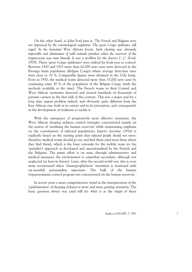On the other hand, as John Ford puts it, *'The French and Belgians were* not impressed by the entomological argument. The great Congo epidemics still *raged. In the luxuriant West African forests, bush clearing was obviously impossible and elimination of wild animals pointless when the reservoir of the trypanosome was man himself. It was a problem for the doctors [...].'* (Ford, 1979). These 'great Congo epidemics' were indeed far from easy to control. Between 1920 and 1923 more than 62,000 new cases were detected in the Kwango basin population (Belgian Congo) where average detection rates were close to 10 %. Comparable figures were obtained in the Uele basin. Even in 1930, the medical teams detected more than 33,000 new cases by examining some 30 % of the population of the Belgian Congo (with the methods available at the time). The French teams in their Central and West African territories detected and treated hundreds of thousands of parasite carriers in the first half of this century. This was a major and for a long time urgent problem indeed, and obviously quite different from the East African one, both in its nature and in its perception, and consequently in the development of traditions to tackle it.

With the emergence of progressively more effective treatment, the West African sleeping sickness control strategies concentrated mainly on the notion of 'sterilising the human reservoir' while maintaining emphasis on the containment of infected populations. Jamot's doctrine (1916) is explicitly based on the starting point that *infected people should not move*; therefore medical teams should go out and find them (and treat them where they find them), which is the basic rationale for the mobile team (or the 'spatialist') approach as developed and operationalised by the French and the Belgians. The prime effort is on man, through administrative and medical measures; the environment is somewhat secondary, although not neglected (at least in theory). Later, after the second world war, this is even more accentuated when 'chemoprophylactic' treatment is instituted with six-monthly pentamidine injections. The bulk of the human trypanosomiasis control program was concentrated on the human reservoir.

In recent years a more comprehensive trend in the interpretation of the 'epidemisation' of sleeping sickness is more and more gaining attention. The basic question always was (and still is): what is at the origin of these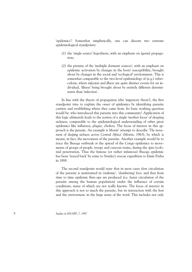'epidemics'? Somewhat simplistically, one can discern two extreme epidemiological standpoints:

- (1) the 'single source' hypothesis, with an emphasis on (germ) propagation;
- (2) the premise of the 'multiple dormant sources', with an emphasis on epidemic activation by changes in the hosts' susceptibility, brought about by changes in the social and 'ecological' environment. This is somewhat comparable to the two-level epidemiology of (e.g.) tuberculosis, where *infection* and *illness* are quite distinct events for an individual, 'illness' being brought about by entirely different determinants than 'infection'.

In line with the theory of propagation (the 'migratory thesis'), the first standpoint tries to explain the onset of epidemics by identifying parasite carriers and establishing where they came from. Its basic working question would be: who introduced this parasite into this community? Application of this logic ultimately leads to the notion of a single 'mother focus' of sleeping sickness, comparable to the epidemiological understanding of other great epidemics like influenza, plague, cholera. The focus of interest in this approach is the *parasite*. An example is Morris' attempt to describe '*The movement of sleeping sickness across Central Africa*' (Morris, 1963), by which is meant, in fact, the movement of the parasite. Another example would be to trace the Busoga outbreak or the spread of the Congo epidemics to movements of groups of people, troops and caravan trains, during the (pre-)colonial penetration. Thus the famous (or rather infamous) Busoga epidemic has been 'traced back' by some to Stanley's rescue expedition to Emin Pasha in 1888.

The second standpoint would state that in most cases slow circulation of the parasite is maintained in 'endemic', 'slumbering' foci, and that from time to time epidemic flare-ups are produced (i.e. faster circulation of the parasite among the human population) under the influence of certain conditions, many of which are not really known. The focus of interest in this approach is not so much the parasite, but its interaction with the *host* and the *environment*, in the large sense of the word. This includes not only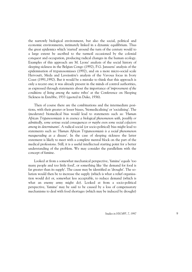the narrowly biological environment, but also the social, political and economic environments, intimately linked in a dynamic equilibrium. Thus the great epidemics which 'started' around the turn of the century would to a large extent be ascribed to the turmoil occasioned by the colonial conquest and occupation, producing radical changes in the human ecology. Examples of this approach are M. Lyons' analysis of the social history of sleeping sickness in the Belgian Congo (1992), P.G. Janssens' analysis of the epidemisation of trypanosomiases (1992), and on a more micro-social scale Hervouët, Meda and Laveissière's analysis of the Vavoua focus in Ivory Coast (1991,1992). But it would be a mistake to think that this approach is only a recent one; it was already present in the minds of control authorities, as expressed through statements about the importance of '*improvement of the conditions of living among the native tribes*' at the Conference on Sleeping Sickness in Entebbe, 1933 (quoted in Duke, 1936).

Then of course there are the combinations and the intermediate positions, with their greater or lesser biases, 'biomedicalising' or 'socialising'. The (moderate) biomedical bias would lead to statements such as: '*Human African Trypanosomiasis is in essence a biological phenomenon with, possibly or admittedly, some serious social consequences or maybe even some social cofactors among its determinants*'. A radical social (or socio-political) bias might lead to statements such as: '*Human African Trypanosomiasis is a social phenomenon masquerading as a disease*'. In the case of sleeping sickness the latter statement is likely to meet with a complete mental block on the part of the medical professions. Still, it is a useful intellectual starting point for a better understanding of the problem. We may consider the parallelism with the concept of famine.

Looked at from a somewhat mechanical perspective, 'famine' equals 'too many people and too little food', or something like 'the demand for food is far greater than its supply'. The cause may be identified as 'drought'. The solution would then be to increase the supply (which is what a relief organisation would do) or, somewhat less acceptable, to reduce demand (which is what an enemy army might do). Looked at from a socio-political perspective, 'famine' may be said to be caused by a loss of compensatory mechanisms to deal with food shortages (which may be induced by drought)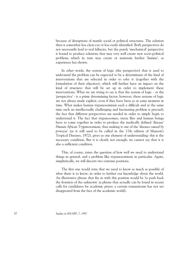because of disruptions of mainly social or political structures. The solution then is somewhat less clear-cut or less easily identified. Both perspectives do not necessarily lead to real fallacies, but the purely 'mechanical' perspective is bound to produce solutions that may very well create new socio-political problems which in turn may create or maintain further 'famine', as experience has shown.

In other words, the system of logic (the perspective) that is used to *understand* the problem can be expected to be a determinant of the kind of interventions that are selected in order to *solve* it (together with the formulation of their *objectives),* which will further have an impact on the kind of *structures* that will be set up in order to implement these interventions. What we are trying to say is that the system of logic - or the 'perspective' - is a prime determining factor; however, these systems of logic are not always made explicit, even if they have been so at some moment in time. What makes human trypanosomiasis such a difficult and at the same time such an intellectually challenging and fascinating problem is precisely the fact that different perspectives are needed in order to simply begin to understand it. The fact that trypanosomes, tsetse flies and human beings have to come together in order to produce the medically defined 'disease' *Human African Trypanosomiasis*, thus making it one of the '*diseases caused by protozoa*' (as it still used to be called in the 17th edition of Manson's Tropical Diseases, 1972), gives us one element of understanding: this is the necessary condition. But it is clearly not enough; we cannot say that it is also a sufficient condition.

This, of course, raises the question of how well we need to understand things in general, and a problem like trypanosomiasis in particular. Again, simplistically, we will discern two extreme positions.

The first one would state that we need to know as much as possible of what there is to know, in order to further our knowledge about the world. An illustrative phrase that fits in with this position would be 'to push back the frontiers of the unknown' (a phrase that actually can be found in recent calls for candidates for academic prizes; a certain romanticism has not yet disappeared from the face of the academic world).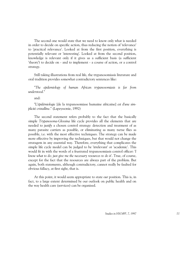The second one would state that we need to know only what is needed in order to decide on specific action, thus reducing the notion of 'relevance' to 'practical relevance'. Looked at from the first position, everything is potentially relevant or 'interesting'. Looked at from the second position, knowledge is relevant only if it gives us a sufficient basis (a sufficient 'theory') to decide on - and to implement - a course of action, or a control strategy.

Still taking illustrations from real life, the trypanosomiasis literature and oral tradition provides somewhat contradictory sentences like:

"*The epidemiology of human African trypanosomiasis is far from understood.*"

and:

"*L'épidémiologie* [de la trypanosomiase humaine africaine] *est d'une simplicité cristalline*." (Lapeyssonie, 1992)

The second statement refers probably to the fact that the basically simple *Trypanosoma-Glossina* life cycle provides all the elements that are needed to *justify* a chosen control strategy: detection and treatment of as many parasite carriers as possible, or eliminating as many tsetse flies as possible, i.e. with the most effective techniques. The strategy can be made more effective by improving the techniques, but that would not change the stratagem in any essential way. Therefore, everything that complicates the simple life cycle model can be judged to be 'irrelevant' or 'academic'. This would fit in with the words of a frustrated trypanosomiasis control officer: '*I know what to do; just give me the necessary resources to do it*'. True, of course, except for the fact that the resources are always part of the problem. But again, both statements, although contradictory, cannot really be faulted for obvious fallacy, at first sight, that is.

At this point, it would seem appropriate to state *our* position. This is, in fact, to a large extent determined by our outlook on public health and on the way health care (services) can be organised.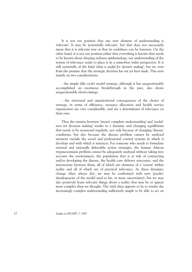It is not our position that any new element of understanding is 'relevant'. It may be 'potentially relevant', but that does not necessarily mean that it is relevant *now* or that its usefulness can be foreseen. On the other hand, it is not our position either that everything is known that needs to be known about sleeping sickness epidemiology; our understanding of the notion of relevance tends to place it in a somewhat wider perspective. It is still essentially of the kind '*what is useful for decision making*', but we start from the premise that the strategic decision *has not yet been made*. This rests mainly on two considerations:

- the simple (life cycle) model strategy, although it has unquestionably accomplished an enormous breakthrough in the past, also shows unquestionable shortcomings;

- the structural and organisational consequences of the choice of strategy, in terms of efficiency, resource allocation and health service organisation are very considerable, and are a determinant of relevance on their own.

Thus the tension between '(more) complete understanding' and 'usefulness for decision making' results in a dynamic and changing equilibrium that needs to be reassessed regularly, not only because of changing 'disease' conditions, but also because the disease problem cannot be analysed anymore outside the social and professional control systems in which it develops and with which it interacts. For someone who needs to formulate rational and rationally defensible action strategies, the human African trypanosomiasis problem cannot be adequately analysed without taking into account the environment, the population that is at risk of contracting and/or developing the disease, the health care delivery structures, and the interactions between them, all of which are elements of a 'system' within reality and all of which are of practical relevance. As these dynamics change (they always do), we may be confronted with new 'puzzles' (inadequacies of the model used so far, or more uncertainty), but we may also positively learn relevant things about a reality that may be or appear more complex than we thought. The trick then appears to be to render the increasingly complex understanding sufficiently simple to be able to *act* on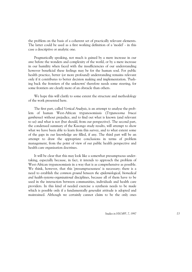the problem on the basis of a coherent set of practically relevant elements. The latter could be used as a first working definition of a 'model' - in this case a descriptive or analytic one.

Pragmatically speaking, not much is gained by a mere increase in our awe before the wonders and complexity of the world, or by a mere increase in our humility when faced with the insufficiencies of our understanding however beneficial these feelings may be for the human soul. For public health practice, better (or more profound) understanding remains relevant only if it contributes to better decision making and implementation. 'Pushing back the frontiers of the unknown' therefore needs some steering, for some frontiers are clearly more of an obstacle than others.

We hope this will clarify to some extent the structure and methodology of the work presented here.

The first part, called *Vertical Analysis*, is an attempt to analyse the problem of human West-African trypanosomiasis (*Trypanosoma brucei gambiense*) without prejudice, and to find out what is known (and relevant to us) and what is not (but should, from our perspective). The second part, the condensed summary of the Kasongo study results, will attempt to show what we have been able to learn from this survey, and to what extent some of the gaps in our knowledge are filled, if any. The third part will be an attempt to draw the appropriate conclusions in terms of problem management, from the point of view of our public health perspective and health care organisation doctrines.

It will be clear that this may look like a somewhat presumptuous undertaking, especially because, in fact, it intends to approach the problem of West-African trypanosomiasis in a way that is as comprehensive as possible. We think, however, that this 'presumptuousness' is necessary; there is a need to establish the *common ground between the epidemiological, biomedical and health-systems-organisational* disciplines, because all of them have to be used in the interaction between communities, individuals and health care providers. In this kind of needed exercise a synthesis needs to be made which is possible only if a fundamentally *generalist* attitude is adopted and maintained. Although we certainly cannot claim to be the only ones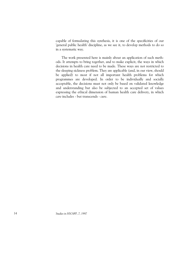capable of formulating this synthesis, it is one of the specificities of our 'general public health' discipline, as we see it, to develop methods to do so in a systematic way.

The work presented here is mainly about an application of such methods. It attempts to bring together, and to make explicit, the ways in which decisions in health care need to be made. These ways are not restricted to the sleeping sickness problem. They are applicable (and, in our view, should be applied) to most if not all important health problems for which programmes are developed. In order to be individually and socially acceptable, the decisions must not only be based on validated knowledge and understanding but also be subjected to an accepted set of values expressing the ethical dimension of human health care delivery, in which *care* includes - but transcends - *cure*.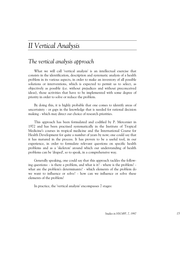# *II Vertical Analysis*

# *The vertical analysis approach*

What we will call 'vertical analysis' is an intellectual exercise that consists in the identification, description and systematic analysis of a health problem in its various aspects, in order to make an inventory of all possible solutions or interventions, which is expected to permit us to select, as objectively as possible (i.e. without prejudices and without preconceived ideas), those activities that have to be implemented with some degree of priority in order to solve or reduce the problem.

By doing this, it is highly probable that one comes to identify areas of uncertainty - or gaps in the knowledge that is needed for rational decision making - which may direct our choice of research priorities.

This approach has been formulated and codified by P. Mercenier in 1972 and has been practised systematically in the Institute of Tropical Medicine's courses in tropical medicine and the International Course for Health Development for quite a number of years by now; one could say that it has matured in the process. It has proven to be a useful tool, in our experience, in order to formulate relevant questions on specific health problems and as a 'skeleton' around which our understanding of health problems can be 'draped', so to speak, in a comprehensive way.

Generally speaking, one could say that this approach tackles the following questions: - is there a problem, and what is it? - where is the problem? what are the problem's determinants? - which elements of the problem do we want to influence or solve? - how can we influence or solve these elements of the problem?

In practice, the 'vertical analysis' encompasses 7 stages: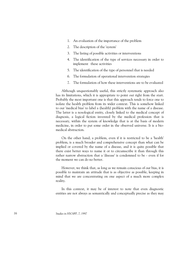- 1. An evaluation of the importance of the problem
- 2. The description of the 'system'
- 3. The listing of possible activities or interventions
- 4. The identification of the type of services necessary in order to implement these activities
- 5. The identification of the type of personnel that is needed
- 6. The formulation of operational intervention strategies
- 7. The formulation of how these interventions are to be evaluated

Although unquestionably useful, this strictly systematic approach also has its limitations, which it is appropriate to point out right from the start. Probably the most important one is that this approach tends to force one to isolate the health problem from its wider context. This is somehow linked to our 'medical bias' to label a (health) problem with the name of a disease. The latter is a nosological entity, closely linked to the medical concept of diagnosis, a logical fiction invented by the medical profession that is necessary, within the system of knowledge that is at the basis of modern medicine, in order to put some order in the observed universe. It is a biomedical abstraction.

On the other hand, a problem, even if it is restricted to be a 'health' problem, is a much broader and comprehensive concept than what can be implied or covered by the name of a disease, and it is quite possible that there exist better ways to name it or to circumscribe it than through this rather narrow abstraction that a 'disease' is condemned to be - even if for the moment we can do no better.

However, we think that, as long as we remain conscious of our bias, it is possible to maintain an attitude that is as objective as possible, keeping in mind that we are concentrating on one aspect of a much more complex reality.

In this context, it may be of interest to note that even diagnostic entities are not always as semantically and conceptually precise as they may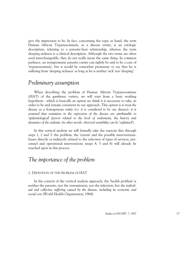give the impression to be. In fact, concerning the topic at hand, the term Human African Trypanosomiasis, as a disease entity, is an etiologic description, referring to a parasite-host relationship, whereas the term sleeping sickness is a clinical description. Although the two terms are often used interchangeably, they do not really mean the same thing. In common parlance, an asymptomatic parasite carrier can rightly be said to be a case of 'trypanosomiasis', but it would be somewhat premature to say that he is suffering from 'sleeping sickness' as long as he is neither 'sick' nor 'sleeping'.

### *Preliminary assumption*

When describing the problem of Human African Trypanosomiasis (HAT) of the *gambiense* variety, we will start from a basic working hypothesis - which is basically an option we think it is necessary to take, in order to be and remain consistent in our approach. This option is *to treat the disease as a homogeneous entity (i.e. it is considered to be one disease); it is assumed that variations in the expression of the disease are attributable to 'epidemiological' factors related to the level of endemicity, the history and dynamics of the endemic (in other words, observed variability can be 'explained').*

In this vertical analysis we will formally take the exercise first through steps 1, 2 and 3: the problem, the 'system' and the possible interventions. Issues directly or indirectly related to the selection of types of services, personnel and operational interventions (steps 4, 5 and 6) will already be touched upon in this process.

# *The importance of the problem*

#### 1. DEFINITION OF THE PROBLEM OF HAT

In the context of the vertical analysis approach, the 'health problem' is neither the parasite, nor the transmission, nor the infection, but the *individual and collective suffering caused by the disease, including its economic and social cost* (World Health Organization, 1964).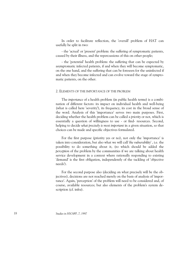In order to facilitate reflection, the 'overall' problem of HAT can usefully be split in two:

- the 'actual' or 'present' problem: the suffering of symptomatic patients, caused by their illness, and the repercussions of this on other people;

- the 'potential' health problem: the suffering that can be expected by asymptomatic infected patients, if and when they will become symptomatic, on the one hand, and the suffering that can be foreseen for the uninfected if and when they become infected and can evolve toward the stage of symptomatic patients, on the other.

#### 2. ELEMENTS OF THE IMPORTANCE OF THE PROBLEM

The *importance* of a health problem (in public health terms) is a combination of different factors: its impact on individual health and well-being (what is called here 'severity'), its frequency, its cost in the broad sense of the word. Analysis of this 'importance' serves two main purposes. First, deciding whether the health problem can be called a *priority* or not, which is essentially a question of willingness to use - or find- resources. Second, helping to decide *what precisely is most important* in a given situation, so that choices can be made and specific objectives formulated.

For the first purpose (priority yes or no), not only the 'importance' is taken into consideration, but also what we will call *'the vulnerability'* , i.e. the possibility to do something about it, (to which should be added the *perception* of the problem by the communities if we are talking about health service development in a context where rationally responding to existing 'demand' is the first obligation, independently of the tackling of 'objective needs').

For the second purpose also (deciding on what precisely will be the objectives), decisions are not reached merely on the basis of analysis of 'importance'. Again, 'perception' of the problem will need to be considered and, of course, available resources; but also elements of the problem's system description (cf. infra).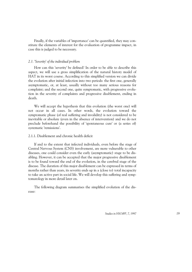Finally, if the variables of 'importance' can be quantified, they may constitute the elements of interest for the evaluation of programme impact, in case this is judged to be necessary.

#### *2.1. 'Severity' of the individual problem*

How can this 'severity' be defined? In order to be able to describe this aspect, we will use a gross simplification of the natural history model of HAT in its worst course. According to this simplified version we can divide the evolution after initial infection into two periods: the first one, generally asymptomatic, or, at least, usually without too many serious reasons for complaint; and the second one, quite symptomatic, with progressive evolution in the severity of complaints and progressive disablement, ending in death.

We will accept the hypothesis that this evolution (the worst one) will not occur in all cases. In other words, the evolution toward the symptomatic phase (of real suffering and invalidity) is not considered to be inevitable or absolute (even in the absence of intervention) and we do not preclude beforehand the possibility of 'spontaneous cure' or (a series of) systematic 'remissions'.

#### 2.1.1. Disablement and chronic health deficit

If and to the extent that infected individuals, even before the stage of Central Nervous System (CNS) involvement, are more vulnerable to other diseases, one could consider even the early (asymptomatic) stage to be disabling. However, it can be accepted that the major progressive disablement is to be found toward the end of the evolution, in the cerebral stage of the disease. The duration of this major disablement can be expressed in terms of months rather than years, its severity ends up in a (close to) total incapacity to take an active part in social life. We will develop this suffering and symptomatology in more detail later on.

The following diagram summarises the simplified evolution of the disease: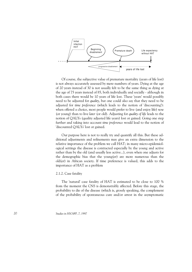

Of course, the subjective value of premature mortality (years of life lost) is not always accurately assessed by mere numbers of years. Dying at the age of 20 years instead of 30 is not usually felt to be the same thing as dying at the age of 75 years instead of 85, both individually and socially - although in both cases there would be 10 years of life lost. These 'years' would possibly need to be adjusted for *quality*, but one could also say that they need to be adjusted for *time preference* (which leads to the notion of 'discounting'): when offered a choice, most people would prefer to live (and enjoy life) *now* (or young) than to live *later* (or old). Adjusting for *quality of life* leads to the notion of QALYs (quality adjusted life years) lost or gained. Going one step further and taking into account *time preference* would lead to the notion of 'discounted QALYs' lost or gained.

Our purpose here is not to really try and quantify all this. But these additional adjustments and refinements may give an extra dimension to the relative importance of the problem we call HAT; in many micro-epidemiological settings the disease is contracted especially by the young and active rather than by the old (and usually less active...), even when one adjusts for the demographic bias that the young(er) are more numerous than the old(er) in African society. If time preference is valued, this adds to the importance of HAT as a problem

#### 2.1.2. Case fatality

The 'natural' case fatality of HAT is estimated to be close to 100 % from the moment the CNS is demonstrably affected. Before this stage, the probability to die of the disease (which is, grossly speaking, the complement of the probability of spontaneous cure and/or arrest in the asymptomatic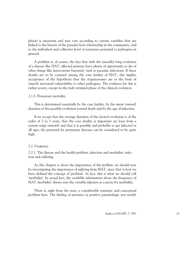phase) is uncertain and may vary according to certain variables that are linked to the history of the parasite-host relationship in the community, and to the individual and collective level of resistance potential to pathogens in general.

A problem is, of course, the fact that with the (usually) long evolution of a disease like HAT, affected patients have plenty of opportunity to die of other things like intercurrent bacterial, viral or parasitic infections. If these deaths are to be counted among the case fatality of HAT, this implies acceptance of the hypothesis that the trypanosomes are at the basis of (much) increased vulnerability to other pathogens. The evidence for this is rather scanty, except in the truly terminal phase of the clinical evolution.

#### 2.1.3. Premature mortality

This is determined essentially by the case fatality, by the mean 'natural' duration of the possible evolution toward death and by the age of infection.

If we accept that the average duration of the (worst) evolution is of the order of 2 to 3 years, that the case fatality is important (at least from a certain stage onward) and that it is possible and probable to get infected at all ages, the potential for premature decease can be considered to be quite high.

#### *2.2. Frequency*

2.2.1. The disease and the health problem, infection and morbidity, infection and suffering

As this chapter is about the importance of the *problem*, we should now be investigating the importance of *suffering* from HAT, since that is how we have defined the concept of 'problem'. In fact, this is what we should call 'morbidity'. In actual fact, the available information about the frequency of HAT 'morbidity' always uses the variable *infection* as a proxy for morbidity.

There is, right from the start, a considerable semantic and conceptual problem here. The finding of parasites (a positive parasitologic test result)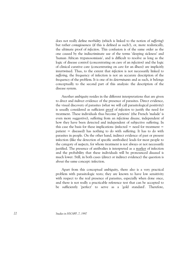does not really define *morbidity* (which is linked to the notion of *suffering*) but rather *contagiousness* (if this is defined as such!), or, more realistically, the ultimate proof of *infection*. This confusion is of the same order as the one caused by the indiscriminate use of the terms 'sleeping sickness' and 'human African trypanosomiasis', and is difficult to resolve as long as the logic of disease control (concentrating on *cure* of an *infection*) and the logic of clinical curative care (concentrating on *care* for an *illness*) are implicitly intertwined. Thus, to the extent that *infection* is not necessarily linked to *suffering*, the frequency of infection is not an accurate description of the frequency of the problem. It is one of its *determinants* and as such, it belongs conceptually to the second part of this analysis: the description of the disease system.

Another ambiguity resides in the different interpretations that are given to *direct* and *indirect* evidence of the presence of parasites. Direct evidence, the visual discovery of parasites (what we will call parasitological positivity) is usually considered as sufficient proof of *infection* to justify the need for treatment. These individuals thus become 'patients' (the French 'malade' is even more suggestive), suffering from an *infectious disease*, independent of how they have been detected and independent of subjective suffering. In this case the basis for these implications (infected  $=$  need for treatment  $=$ patient  $=$  diseased) has nothing to do with suffering. It has to do with parasites in people. On the other hand, indirect evidence of past or present infection (like the detection of specific antibodies) leads for most people to the category of *suspects*, for whom treatment is not always or not necessarily justified. The presence of antibodies is interpreted as a marker of infection and the probability that these individuals will be pronounced *diseased* is much lower. Still, in both cases (direct or indirect evidence) the question is about the same concept: infection.

Apart from this conceptual ambiguity, there also is a very practical problem with parasitologic tests; they are known to have low sensitivity with respect to the real presence of parasites, especially when done once, and there is not really a practicable reference test that can be accepted to be sufficiently 'perfect' to serve as a 'gold standard'. Therefore,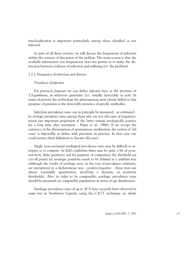misclassification is important particularly among those classified as not infected.

In spite of all these caveats, we will discuss the frequencies of infection within the context of discussion of the *problem*. The main reason is that the available information (on frequencies) does not permit us to make the distinction between evidence of infection and suffering (i.e. the problem).

#### 2.2.2. Frequency of infection and disease

#### *Prevalence of infection*

For practical purposes we can define *infection* here as the presence of *T.b.gambiense*, in whatever quantities (i.e. visually detectable or not). In terms of present day technology the phenomenon most closely linked to this presence of parasites is the detectable presence of specific antibodies.

Infection prevalence rates can in principle be measured - or estimated by *serologic prevalence* rates among those who are not old cases of trypanosomiasis (an important proportion of the latter remain serologically positive for a long time after treatment - Pépin et al., 1986). If we accept the existence of the phenomenon of spontaneous sterilisation, the notion of 'old cases' is impossible to define with precision, in practice. In that case one could restrict their definition to 'known old cases'.

Single cross-sectional serological prevalence rates may be difficult to interpret or to compare. In field conditions there may be quite a bit of crossreactivity (false positives) and for purposes of comparison the threshold (or cut-off point) for serologic positivity needs to be defined in a uniform way (although the results of serologic tests, in the case of prevalence estimates, are interpreted in a dichotomous way - positive/negative - these tests are always essentially quantitative, involving a decision on positivity thresholds). Also, in order to be comparable, serologic prevalence rates should be measured on comparable populations in terms of age distribution.

Serologic prevalence rates of up to 30 % have recently been observed in some foci in Northwest Uganda, using the CATT technique on whole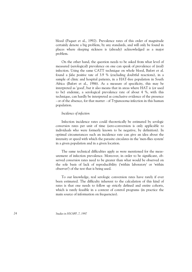blood (Paquet et al., 1992). Prevalence rates of this order of magnitude certainly denote a big problem, by any standards, and will only be found in places where sleeping sickness is (already) acknowledged as a major problem.

On the other hand, the question needs to be asked from what level of measured (serological) prevalence on one can speak of prevalence of (real) infection. Using the same CATT technique on whole blood, Bafort et al. found a *false positive rate* of 3.9 % (excluding doubtful reactions), in a sample of clinic and hospital patients, in a HAT-free population in South Africa (Bafort et al., 1986). As a measure of specificity, this may be interpreted as 'good', but it also means that in areas where HAT *is* (or used to be) endemic, a serological prevalence rate of about 4 %, with this technique, can hardly be interpreted as conclusive evidence of the presence - or of the absence, for that matter - of *Trypanosoma* infection in this human population.

#### *Incidence of infection*

Infection incidence rates could theoretically be estimated by *serologic conversion* rates per unit of time (sero-conversion is only applicable to individuals who were formerly known to be negative, by definition). In optimal circumstances such an incidence rate can give an idea about the intensity or speed with which the parasite circulates in the 'men-flies system' in a given population and in a given location.

The same technical difficulties apply as were mentioned for the measurement of infection prevalence. Moreover, in order to be significant, observed *conversion* rates need to be greater than what would be observed on the sole basis of lack of reproducibility ('within laboratory' or 'within observer') of the test that is being used.

To our knowledge, real serologic conversion rates have rarely if ever been estimated. The difficulty inherent to the calculation of this kind of rates is that one needs to follow up strictly defined and entire cohorts, which is rarely feasible in a context of control programs (in practice the main source of information on frequencies).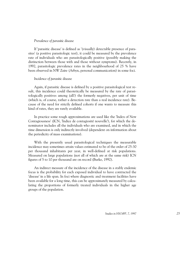#### *Prevalence of parasitic disease*

If 'parasitic disease' is defined as '(visually) detectable presence of parasites' (a positive parasitologic test), it could be measured by the prevalence rate of individuals who are parasitologically positive (possibly making the distinction between those with and those without symptoms). Recently, in 1992, parasitologic prevalence rates in the neighbourhood of 25 % have been observed in NW Zaire (Arbyn, personal communication) in some foci.

#### *Incidence of parasitic disease*

Again, if parasitic disease is defined by a positive parasitological test result, this incidence could theoretically be measured by the rate of parasitologically positives among (all!) the formerly negatives, per unit of time (which is, of course, rather a detection rate than a real incidence rate). Because of the need for strictly defined cohorts if one wants to measure this kind of rates, they are rarely available.

In practice some rough approximations are used like the 'Index of New Contagiousness' (ICN, 'Indice de contagiosité nouvelle'), for which the denominator includes all the individuals who are examined, and in which the time dimension is only indirectly involved (dependent on information about the periodicity of mass examinations).

With the presently usual parasitological techniques the measurable incidence may sometimes attain values estimated to be of the order of 25-30 per thousand inhabitants per year, in well-defined at risk populations. Measured on large populations (not all of which are at the same risk) ICN figures of 5 to 10 per thousand are on record (Burke, 1992).

An indirect measure of the incidence of the disease in a stably endemic focus is the probability for each exposed individual to have contracted the 'disease' in a life span. In foci where diagnostic and treatment facilities have been available for a long time, this can be approximately measured by calculating the proportions of formerly treated individuals in the higher age groups of the population.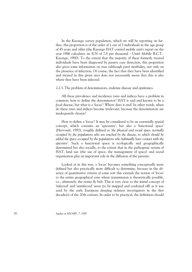In the Kasongo survey population, which we will be reporting on further, this proportion is of the order of 1 out of 3 individuals in the age group of 45 years and older (the Kasongo HAT control mobile unit's report on the year 1986 calculates an ICN of 7.8 per thousand - Unité Mobile B.C.T.- Kasongo, 1990). To the extent that the majority of these formerly treated individuals have been diagnosed by passive case detection, this proportion also gives some information on true (although past) morbidity, not only on the presence of infection. Of course, the fact that they have been identified and treated in this given area does not necessarily mean that this is also where they have been infected.

#### 2.2.3. The problem of denominators, endemic disease and epidemics.

All these prevalence and incidence rates and indices have a problem in common: how to define the denominator? HAT is said and known to be a *focal* disease, but what is a 'focus'? Where does it end? In other words, when do these rates and indices become irrelevant, because the denominators are inadequately chosen?

How to define a 'focus'? It may be considered to be an essentially spatial concept, which contains an 'epicentre', but also a 'functional space' (Hervouët, 1992), roughly defined as *'the physical and social space normally occupied by the populations who are touched by the disease, to which should be added the space occupied by the populations who habitually have contact with the epicentre'.* Such a functional space is ecologically and geographically determined but also socially, to the extent that in the pathogenic system of HAT, land use (the use of space, the management of space) and social organisation play an important role in the diffusion of the parasite.

Looked at in this way, a 'focus' becomes something conceptually more defined but also practically more difficult to determine, because in the absence of quantitative criteria of some sort this extends the notion of 'focus' to the entire geographical zone where transmission is theoretically possible, i.e., ultimately, the entire fly belt. This is very close to the initial concept of 'infected' and 'uninfected' areas (to be mapped and cordoned off) as it was used by the early European sleeping sickness investigators in the first decade(s) of the 20th century. In order to be practical, the definition should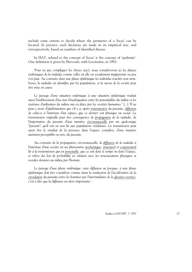include some criteria to decide where the perimeter of a 'focus' can be located. In practice, such decisions are made in an empirical way, and retrospectively, based on numbers of identified disease.

In HAT, related to the concept of 'focus' is the concept of 'epidemic'. One definition is given by Hervouët, with Laveissière, in 1992:

*'Pour ne pas compliquer les choses* (sic)*, nous considérerons ici les phases endémiques de la maladie comme celles où elle est socialement inapparente ou peu s'en faut. Au contraire dans une phase épidémique les individus touchés sont nombreux, la maladie est identifiée par les populations, et la survie de la société peut être mise en cause.*

*Le passage d'une situation endémique à une situation épidémique traduit aussi l'établissement d'un état d'inadéquation entre les potentialités du milieu et les systèmes d'utilisation du milieu mis en place par les sociétés humaines.'* [...] *'Il ne peut y avoir d'épidémisation que s'il y a, après transmission du parasite, diffusion de celui-ci à l'intérieur d'un espace, que ce dernier soit physique ou social. La transmission originelle peut être conséquence de propagation de la maladie, de l'importation du parasite d'une manière circonstancielle par un quelconque "passant", qu'il soit ou non lié aux populations résidantes. La transmission peut aussi être le résultat de la présence dans l'espace considéré, d'une manière aisément perceptible ou non, du parasite.*

*Au contraire de la propagation, circonstancielle, la diffusion de la maladie à l'intérieur d'une société est un phénomène stochastique, structurel et conjoncturel lié à la transmission qui est ponctuelle, que ce soit dans le temps ou dans l'espace, et relève des lois de probabilité en relation avec les structurations physiques et sociales données au milieu par l'homme.*

*Le passage d'une phase endémique -sans diffusion ou presque- à une phase épidémique doit être considérée comme étant la traduction de l'accélération de la circulation du parasite entre les hommes par l'intermédiaire de la glossine vectrice, c'est à dire que la diffusion est alors importante.'*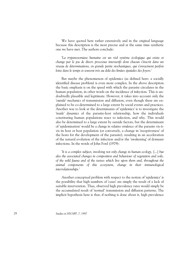We have quoted here rather extensively and in the original language because this description is the most precise and at the same time synthetic one we have met. The authors conclude:

*'La trypanosomiase humaine est un réel système écologique qui existe et change par le jeu de divers processus interactifs dont chacun s'inscrit dans un réseau de déterminations, en grande partie stochastiques, qui s'enracinent parfois loins dans le temps et souvent très au delà des limites spatiales des foyers.'*

But maybe the phenomenon of epidemics (as defined here: a socially identified disease problem) is even more complex. In the above description the basic emphasis is on the speed with which the parasite circulates in the human population, in other words on the incidence of infection. This is undoubtedly plausible and legitimate. However, it takes into account only the *'outside' mechanics* of transmission and diffusion, even though these are explained to be co-determined to a large extent by social events and practices. Another way to look at the determinants of 'epidemics' is to investigate the *'inside' dynamics* of the parasite-host relationship, how the individuals constituting human populations react to infection, and why. This would also be determined to a large extent by outside factors, but the determinant of 'epidemisation' would be a *change in relative virulence* of the parasite vis-àvis its host or host population (or conversely, a change in 'receptiveness' of the hosts for the development of the parasite), resulting in an acceleration of the natural evolution of the infection and/or the 'awakening' of dormant infections. In the words of John Ford (1979):

*'It is a complex subject, involving not only change in human ecology,* [...] *but also the associated changes in composition and behaviour of vegetation and soils, of the wild fauna and of the tsetses which live upon them and, throughout the animal components of this ecosystem, change in their immunological interrelationships.'*

Another conceptual problem with respect to the notion of 'epidemics' is the possibility that high numbers of 'cases' are simply the result of a lack of suitable intervention. Thus, observed high prevalence rates would simply be the accumulated result of 'normal' transmission and diffusion patterns. The implicit hypothesis here is that, if nothing is done about it, high prevalence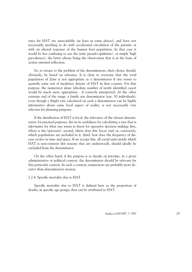rates for HAT are unavoidable (at least in some places), and have not necessarily anything to do with accelerated circulation of the parasite or with an altered response of the human host population. In that case it would be less confusing to use the term 'pseudo-epidemics', or simply 'high prevalences', the latter always being the observation that is at the basis of action oriented reflection.

So, to return to the problem of the denominators, their choice should, obviously, be based on *relevance*. It is clear to everyone that the total population of Zaire is not appropriate as a denominator if one wants to quantify some sort of incidence density of HAT in that country. For that purpose, the numerator alone (absolute number of newly identified cases) would be much more appropriate - if correctly interpreted. At the other extreme end of the range, a family size denominator (say, 30 individuals), even though a (high) rate calculated on such a denominator can be highly informative about some local aspect of reality, is not necessarily very relevant for planning purposes.

If the distribution of HAT is focal, the relevance of the chosen denominator, for *practical* purposes, lies in its usefulness for calculating a rate that is *informative* for what one wants to know for operative decision making: first, where is the 'epicentre', second, where does this 'focus' end, or, conversely, which populations are included in it, third, how does the frequency of disease evolve in time and space. If we accept this, all social units inside which HAT is non-existent (for reasons that are understood), should ideally be excluded from the denominator.

On the other hand, if the purpose is to decide on *priorities*, in a given administrative or political context, the denominator should be relevant for this particular context. In such a context, numerators are probably more decisive than denominators anyway.

#### 2.2.4. Specific mortality due to HAT

Specific mortality due to HAT is defined here as the proportion of deaths, in specific age groups, that can be attributed to HAT.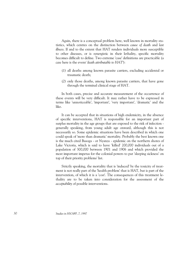Again, there is a conceptual problem here, well known in mortality statistics, which centres on the distinction between *cause of death* and *last illness*. If and to the extent that HAT renders individuals more susceptible to other diseases, or is synergistic in their lethality, specific mortality becomes difficult to define. Two extreme 'case' definitions are practicable (a *case* here is the event '*death attributable to HAT'*):

- (1) all deaths among known parasite carriers, excluding accidental or traumatic death;
- (2) only those deaths, among known parasite carriers, that have gone through the terminal clinical stage of HAT.

In both cases, precise and accurate measurement of the occurrence of these events will be very difficult. It may rather have to be expressed in terms like 'unnoticeable', 'important', 'very important', 'dramatic' and the like.

It can be accepted that in situations of high endemicity, in the absence of specific interventions, HAT is responsible for an important part of surplus mortality in the age groups that are exposed to the risk of infection generally speaking, from young adult age onward, although this is not necessarily so. Some epidemic situations have been described in which one could speak of 'more than dramatic' mortality. Probably the best known one is the much cited Busoga - or Nyanza - epidemic on the northern shores of Lake Victoria, which is said to have 'killed' 200,000 individuals out of a population of 300,000 between 1901 and 1906 and which provided the most important impetus for the colonial powers to put 'sleeping sickness' on top of their priority problems' list.

Strictly speaking, the mortality that is 'induced' by the toxicity of treatment is not really part of the 'health problem' that is HAT, but is part of the intervention, of which it is a 'cost'. The consequences of this treatment lethality are to be taken into consideration for the assessment of the *acceptability* of possible interventions.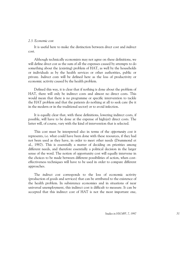#### *2.3. Economic cost*

It is useful here to make the distinction between *direct* cost and *indirect* cost.

Although technically economists may not agree on these definitions, we will define *direct cost* as the sum of all the expenses caused by attempts to do something about the (existing) problem of HAT, as well by the households or individuals as by the health services or other authorities, public or private. *Indirect costs* will be defined here as the loss of productivity or economic activity caused by the health problem.

Defined this way, it is clear that if nothing is done about the problem of HAT, there will only be indirect costs and almost no direct costs. This would mean that there is no programme or specific intervention to tackle the HAT problem and that the patients do nothing at all to seek care (be it in the modern or in the traditional sector) or to avoid infection.

It is equally clear that, with these definitions, lowering indirect costs, if possible, will have to be done at the expense of high(er) direct costs. The latter will, of course, vary with the kind of intervention that is selected.

This cost must be interpreted also in terms of the *opportunity cost* it represents, i.e. what could have been done with these resources, if they had not been used as they have, in order to meet other needs (Drummond et al., 1987). This is essentially a matter of deciding on priorities among different needs, and therefore essentially a political decision in the larger sense of the word. The notion of opportunity cost will equally intervene in the choices to be made between different possibilities of action, when costeffectiveness techniques will have to be used in order to compare different approaches.

The *indirect cost* corresponds to the loss of economic activity (production of goods and services) that can be attributed to the existence of the health problem. In subsistence economies and in situations of near universal unemployment, this indirect cost is difficult to measure. It can be accepted that this indirect cost of HAT is not the most important one,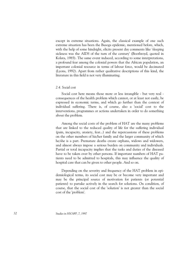except in extreme situations. Again, the classical example of one such extreme situation has been the Busoga epidemic, mentioned before, which, with the help of some hindsight, elicits present day comments like 'sleeping sickness was the AIDS of the turn of the century' (Boothroyd, quoted in Kolata, 1985). The same event induced, according to some interpretations, a profound fear among the colonial powers that the African population, an important colonial resource in terms of labour force, would be decimated (Lyons, 1992). Apart from rather qualitative descriptions of this kind, the literature in this field is not very illuminating.

#### *2.4. Social cost*

Social cost here means those more or less intangible - but very real consequences of the health problem which cannot, or at least not easily, be expressed in economic terms, and which go further than the context of individual suffering. There is, of course, also a 'social' cost to the interventions, programmes or actions undertaken in order to do something about the problem.

Among the social costs of the problem of HAT are the many problems that are linked to the reduced quality of life for the suffering individual (pain, incapacity, anxiety, fear...) and the repercussions of these problems on the other members of his/her family and the larger community of which he/she is a part. Premature deaths create orphans, widows and widowers, and almost always impose a serious burden on community and individuals. Partial or total incapacity implies that the tasks and duties of the diseased have to be taken over by other persons. If important numbers of HAT patients need to be admitted to hospitals, this may influence the quality of hospital care that can be given to other people. And so on.

Depending on the severity and frequency of the HAT problem in epidemiological terms, its social cost may be or become very important and may be the principal source of motivation for patients (or potential patients) to partake actively in the search for solutions. On condition, of course, that the social cost of the 'solution' is not greater than the social cost of the 'problem'.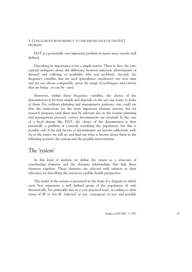#### 3. CONCLUSIONS WITH RESPECT TO THE IMPORTANCE OF THE HAT PROBLEM

HAT is a potentially very important problem in many areas, mostly well defined.

Describing its importance is not a simple matter. There is, first, the conceptual ambiguity about the difference between infection (determinant of disease) and suffering or morbidity (the real problem). Second, the frequency variables that are used (prevalence, incidence) vary over time and are not always comparable, given the range of techniques and criteria that are being - or can be - used.

Moreover, within these frequency variables, the choice of the denominators is far from simple and depends on the use one wants to make of them. For ordinary planning and management purposes, one could say that the numerators are the more important element anyway, but for research purposes (and these may be relevant also in the routine planning and management process), correct denominators are essential. In the case of a focal disease like HAT, the choice of the denominator is then essentially a problem of correctly stratifying the population, but this is possible only if the risk factors or determinants are known sufficiently well. As to the latter, we will try and find out what is known about them in the following sections: the system and the possible interventions.

### *The 'system'*

In this kind of analysis we define the *system* as a structure of constituting elements and the dynamic relationships that link these elements together. These elements are selected with relation to their relevance for describing the system in a public health perspective.

The *model* of the system is presented in the form of a diagram in which each 'box' represents a well defined group of the population (if only theoretically, but preferably also in a very practical way), according to their status of 'ill' or 'not ill', 'infected' or not, 'contagious' or not, and possibly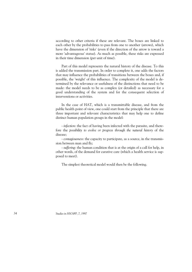according to other criteria if these are relevant. The boxes are linked to each other by the probabilities to pass from one to another (arrows), which have the dimension of 'risks' (even if the direction of the arrow is toward a more 'advantageous' status). As much as possible, these risks are expressed in their time dimension (per unit of time).

Part of this model represents the natural history of the disease. To this is added the transmission part. In order to complete it, one adds the factors that may influence the probabilities of transitions between the boxes and, if possible, the 'weight' of this influence. The complexity of the model is determined by the relevance or usefulness of the distinctions that need to be made: the model needs to be as complex (or detailed) as necessary for a good understanding of the system and for the consequent selection of interventions or activities.

In the case of HAT, which is a transmittable disease, and from the public health point of view, one could start from the principle that there are three important and relevant characteristics that may help one to define distinct human population groups in the model:

- *infection*: the fact of having been infected with the parasite, and therefore the *possibility to evolve or progress through the natural history* of the disease;

- *contagiousness*: the capacity to participate, as a source, in the transmission between man and fly;

- *suffering*: the human condition that is at the origin of a call for help, in other words, of the demand for curative care (which a health service is supposed to meet).

The simplest theoretical model would then be the following.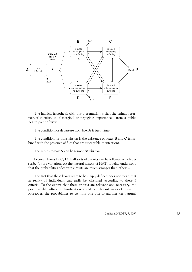

The implicit hypothesis with this presentation is that the animal reservoir, if it exists, is of marginal or negligible importance - from a public health point of view.

The condition for departure from box **A** is *transmission*.

The condition for transmission is the existence of boxes **B** and **C** (combined with the presence of flies that are susceptible to infection).

The return to box **A** can be termed *'sterilisation'*.

Between boxes **B, C, D, E** all sorts of circuits can be followed which describe (or are variations of) the natural history of HAT, it being understood that the probabilities of certain circuits are much stronger than others...

The fact that these boxes seem to be simply defined does not mean that in reality all individuals can easily be 'classified' according to these 3 criteria. To the extent that these criteria are relevant and necessary, the practical difficulties in classification would be relevant areas of research. Moreover, the probabilities to go from one box to another (in 'natural'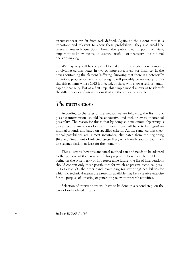circumstances) are far from well defined. Again, to the extent that it is important and relevant to know these probabilities, they also would be relevant research questions. From the public health point of view, 'important to know' means, in essence, 'useful - or necessary - for rational decision making'.

We may very well be compelled to make this first model more complex, by dividing certain boxes in two or more categories. For instance, in the boxes containing the element 'suffering', knowing that there is a potentially important progression in this suffering, it will probably be necessary to distinguish patients whose CNS is affected, or those who show a serious handicap or incapacity. But as a first step, this simple model allows us to identify the different *types* of interventions that are theoretically possible.

# *The interventions*

According to the rules of the method we are following, the first list of possible interventions should be exhaustive and include every theoretical possibility. The reason for this is that by doing so a maximum objectivity is guaranteed: elimination of certain interventions will have to be *argued* on rational grounds and based on specified criteria. All the same, certain theoretical possibilities are, almost inevitably, eliminated from the beginning (like, e.g. 'treatment of infected tsetse flies', which really sounds too much like science-fiction, at least for the moment).

This illustrates how this analytical method can and needs to be adapted to the purpose of the exercise. If this purpose is to reduce the problem by acting on the system *now* or in a foreseeable future, the list of interventions should contain only those possibilities for which at present technical possibilities exist. On the other hand, examining (or inventing) possibilities for which no technical means are presently available may be a creative exercise for the purpose of directing or generating relevant research activities.

Selection of interventions will have to be done in a second step, on the basis of well defined criteria.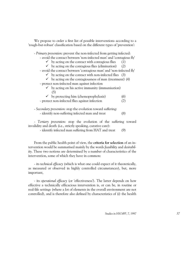We propose to order a first list of possible interventions according to a 'rough-but-robust' classification based on the different types of 'prevention':

- *Primary prevention*: prevent the non-infected from getting infected:

- avoid the contact between 'non-infected man' and 'contagious fly'
	- $\checkmark$  by acting on the contact with contagious flies (1)
	- $\checkmark$  by acting on the contagious flies (elimination) (2)
- avoid the contact between 'contagious man' and 'non-infected fly'
	- $\checkmark$  by acting on the contact with non-infected flies (3)
	- $\checkmark$  by acting on the contagiousness of man (treatment) (4)
- protect non-infected man against infection
	- $\checkmark$  by acting on his active immunity (immunisation) (5)
	- $\checkmark$  by protecting him (chemoprophylaxis) (6)
- protect non-infected flies against infection (7)
- *Secondary prevention*: stop the evolution toward suffering: - identify non-suffering infected man and treat (8)

- *Tertiary prevention*: stop the evolution of the suffering toward invalidity and death (i.e., strictly speaking, curative care):

- identify infected man suffering from HAT and treat (9)

From the public health point of view, the **criteria for selection** of an intervention would be summarised mainly by the words *feasibility* and *desirability*. These two notions are determined by a number of characteristics of the intervention, some of which they have in common:

- its *technical efficacy* (which is what one could expect of it theoretically, as measured or observed in highly controlled circumstances), but, more important,

- its *operational efficacy* (or 'effectiveness'). The latter depends on how effective a technically efficacious intervention is, or can be, in routine or real-life settings (where a lot of elements in the overall environment are not controlled), and is therefore also defined by characteristics of (i) the health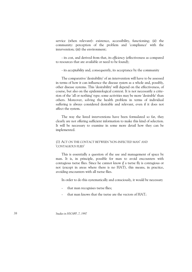service (when relevant): existence, accessibility, functioning; (ii) the community: perception of the problem and 'compliance' with the intervention; (iii) the environment;

- its *cost*, and derived from that, its *efficiency* (effectiveness as compared to resources that are available or need to be found);

- its *acceptability* and, consequently, its acceptance by the community

The comparative 'desirability' of an intervention will have to be assessed in terms of how it can influence the disease *system* as a whole and, possibly, other disease systems. This 'desirability' will depend on the effectiveness, of course, but also on the epidemiological context. It is not necessarily a criterion of the 'all or nothing' type; some activities may be more 'desirable' than others. Moreover, solving the health problem in terms of individual suffering is always considered desirable and relevant, even if it does not affect the system.

The way the listed interventions have been formulated so far, they clearly are not offering sufficient information to make this kind of selection. It will be necessary to examine in some more detail how they can be implemented.

(1) ACT ON THE CONTACT BETWEEN 'NON-INFECTED MAN' AND 'CONTAGIOUS FLIES'

This is essentially a question of the use and management of space by man. It is, in principle, possible for man to avoid encounters with contagious tsetse flies. Since he cannot know *if* a tsetse fly is contagious or not (except in areas where there is no HAT), this means, in practice, avoiding encounters with all tsetse flies.

In order to do this systematically and consciously, it would be necessary

- that man recognises tsetse flies;
- that man knows that the tsetse are the vectors of HAT;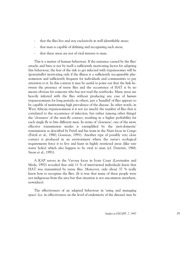- that the flies live and stay exclusively in well identifiable areas;
- that man is capable of defining and recognising such areas;
- that these areas are not of vital interest to man.

This is a matter of human behaviour. If the nuisance caused by the flies' attacks and bites is not by itself a sufficiently motivating factor for adapting this behaviour, the fear of the risk to get infected with trypanosomes will be (potentially) motivating only if the illness is a sufficiently recognisable phenomenon and sufficiently frequent for individuals and communities to pay attention to it. In this context it may be useful to point out that the link between the presence of tsetse flies and the occurrence of HAT is by no means obvious for someone who has not read the textbooks. Many areas are heavily infested with the flies without producing any case of *human* trypanosomiasis for long periods; in others, just a 'handful' of flies appears to be capable of maintaining high prevalence of the disease. In other words, in West African trypanosomiasis it is not (so much) the number of flies that is correlated to the occurrence of infection, but rather (among other things) the 'closeness' of the man-fly contact, resulting in a higher probability for each single fly to bite different men. In terms of 'closeness', one of the more effective transmission modes is exemplified by the 'peri-domestic' transmission as described by Frézil and his team in the Niari focus in Congo (Frézil et al., 1980; Gouteux, 1991). Another type of possibly very close contact is produced in an environment where the tsetse's ecological requirements force it to live and hunt in highly restricted areas (like rare water holes) which also happen to be vital to man (cf. Dutertre, 1968; Snow et al., 1991).

A KAP survey in the Vavoua focus in Ivory Coast (Laveissière and Meda, 1992) revealed that only 11 % of interviewed individuals knew that HAT was transmitted by tsetse flies. Moreover, only about 37 % really knew how to recognise the flies. (It is true that many of these people were not indigenous from the area but that situation is not uncommon anywhere, nowadays).

The effectiveness of an adapted behaviour in 'using and managing space' (i.e. its effectiveness on the level of endemicity of the disease) may be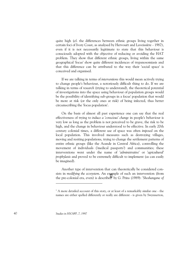quite high (cf. the differences between ethnic groups living together in certain foci of Ivory Coast, as analysed by Hervouët and Laveissière - 1987), even if it is not necessarily legitimate to state that this behaviour is consciously adopted with the objective of reducing or avoiding the HAT problem. They show that different ethnic groups, living within the same geographical 'focus' show quite different incidences of trypanosomiasis and that this difference can be attributed to the way their 'social space' is conceived and organised.

If we are talking in terms of *interventions* this would mean actively trying to change people's behaviour, a notoriously difficult thing to do. If we are talking in terms of *research* (trying to understand), the theoretical potential of investigations into the space using behaviour of population groups would be the possibility of identifying sub-groups in a focus' population that would be more at risk (or the only ones at risk) of being infected, thus better circumscribing the 'focus population'.

On the basis of almost all past experience one can say that the real effectiveness of trying to *induce a 'conscious' change* in people's behaviour is very low as long as the problem is not perceived to be grave, the risk to be high, and the change in behaviour understood to be effective. In early 20th century colonial times, a different use of space was often *imposed* on the local population. This involved measures such as destroying villages, moving and resiting populations, trying to change the settlement patterns of entire ethnic groups (like the Azande in Central Africa), controlling the movement of individuals ('medical passports') and communities; these interventions went under the name of *'administrative'* or *'agricultural' prophylaxis* and proved to be extremely difficult to implement (as can easily be imagined).

Another type of intervention that can theoretically be considered consists in *modifying the ecosystem*. An example of such an intervention (from the pre-colonial era, even) is described<sup>1</sup> by G. Prins (1989): *'Shoshangane of* 

*40 Studies in HSO&P, 7, 1997*

l

 $1$  A more detailed account of this story, or at least of a remarkably similar one - the names are either spelled differently or really are different - is given by Swynnerton*,*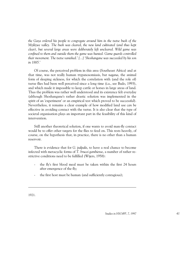*the Gaza ordered his people to congregate around him in the tsetse bush of the Mzilizwe valley. The bush was cleared, the new land cultivated (and thus kept clear), but several large areas were deliberately left uncleared. Wild game was confined to them and outside them the game was hunted. Game guards controlled their movement. The tsetse vanished.' [...] 'Shoshangane was succeeded by his son in 1885.'*

Of course, the perceived problem in this area (Southeast Africa) and at that time, was not really human trypanosomiasis, but *nagana*, the animal form of sleeping sickness, for which the correlation with (and the role of) tsetse flies had been well perceived since a long time (i.a., see Bado, 1993), and which made it impossible to keep cattle or horses in large areas of land. Thus the problem was rather well understood and its existence felt everyday (although Shoshangane's rather drastic solution was implemented in the spirit of an 'experiment' or an empirical test which proved to be successful). Nevertheless, it remains a clear example of how modified land use *can* be effective in avoiding contact with the tsetse. It is also clear that the type of societal organisation plays an important part in the feasibility of this kind of intervention.

Still another theoretical solution, if one wants to avoid man-fly contact would be to offer other targets for the flies to feed on. This rests heavily, of course, on the hypothesis that, in practice, there is no other than a human reservoir.

There is evidence that for *G. palpalis*, to have a real chance to become infected with metacyclic forms of *T. brucei gambiense*, a number of rather restrictive conditions need to be fulfilled (Wijers, 1958):

- the fly's first blood meal must be taken within the first 24 hours after emergence of the fly;
- the first host must be human (and sufficiently contagious);

1921.

l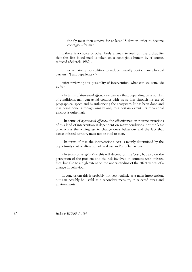the fly must then survive for at least 18 days in order to become contagious for man.

If there is a choice of other likely animals to feed on, the probability that this first blood meal is taken on a contagious human is, of course, reduced (Sékétéli, 1989).

Other remaining possibilities to reduce man-fly contact are physical barriers (?) and repellents (?)

After reviewing this possibility of intervention, what can we conclude so far?

- In terms of *theoretical efficacy* we can say that, depending on a number of conditions, man can avoid contact with tsetse flies through his use of geographical space and by influencing the ecosystem. It has been done and it is being done, although usually only to a certain extent. Its theoretical efficacy is quite high.

- In terms of *operational efficacy*, the effectiveness in routine situations of this kind of intervention is dependent on many conditions, not the least of which is the willingness to change one's behaviour and the fact that tsetse infested territory must not be vital to man.

- In terms of *cost*, the intervention's cost is mainly determined by the opportunity cost of alteration of land use and/or of behaviour.

- In terms of *acceptability*: this will depend on the 'cost', but also on the perception of the problem and the risk involved in contacts with infested flies, but also to a high extent on the understanding of the effectiveness of a change in behaviour.

In conclusion: this is probably not very realistic as a main intervention, but can possibly be useful as a secondary measure, in selected areas and environments.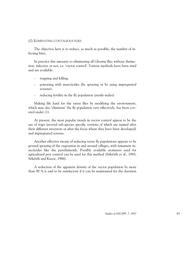### (2) ELIMINATING CONTAGIOUS FLIES

The objective here is to reduce, as much as possible, the number of infecting bites.

In practice this amounts to eliminating all *Glossina* flies without distinction, infective or not, i.e. 'vector control'. Various methods have been tried and are available:

- trapping and killing;
- poisoning with insecticides (by spraying or by using impregnated screens);
- reducing fertility in the fly population (sterile males).

Making life hard for the tsetse flies by modifying the environment, which may also 'eliminate' the fly population very effectively, has been covered under *(1)*.

At present, the most popular trends in vector control appear to be the use of traps (several sub-species specific versions of which are named after their different inventors or after the focus where they have been developed) and impregnated screens.

Another effective means of reducing tsetse fly populations appears to be ground spraying of the vegetation in and around villages, with remanent insecticides like the pyrethrinoids. Possibly available atomisers used for agricultural pest control can be used for this method (Sékétéli et al., 1985; Sékétéli and Kuzoe, 1986).

A reduction of the apparent density of the vector population by more than 90 % is said to be satisfactory if it can be maintained for the duration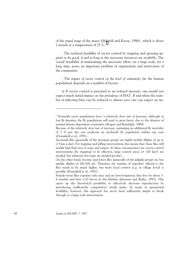of the pupal stage of the insect (Sékétéli and Kuzoe, 1986) , which is about 1 month at a temperature of 25 °C.<sup>2</sup>

- The *technical feasibility* of vector control by trapping and spraying appears to be good, if and as long as the necessary resources are available. The 'social' feasibility of maintaining the necessary effort, on a large scale, for a long time, poses an important problem of organisation and motivation of the community.

- The *impact of vector control on the level of endemicity* (in the human population) depends on a number of factors.

a) If vector control is practised as an isolated measure: one would not expect much initial impact on the *prevalence* of HAT. If and when the number of infecting bites can be reduced to almost zero, one can expect an im-

*44 Studies in HSO&P, 7, 1997*

l

<sup>&</sup>lt;sup>2</sup> Normally tsetse populations have a relatively slow rate of increase, although at low fly densities the fly populations will tend to grow faster, due to the absence of normal density-dependent constraints (Rogers and Randolph, 1984).

Because of the relatively slow rate of increase, sustaining an additional fly mortality of 3 % per day can eradicate an (isolated) fly population within one year (Dransfield et al., 1991).

Savannah flies (generally of the *morsitans* group) are highly mobile (flights of up to 2-5 km a day). For trapping and killing interventions this means that these flies will readily find their way to traps and targets. In these circumstances for vector control interventions (by trapping) to be effective, large control areas  $(> 100 \text{ km}^2)$  are needed, but relatively few traps are needed per km².

On the other hand, riverine and forest flies (generally of the *palpalis* group) are less mobile (flights of 200-500 m). Therefore the number of traps/km² offered to the flies needs to be much higher, but more local control (e.g. at village level) is possible (Dransfield et al., 1991).

Female tsetse flies copulate only once and are larviviviparous; they live for about 3- 4 months and bear <10 larvae in this lifetime (Janssens and Burke, 1992). This opens up the theoretical possibility to effectively decrease reproduction by introducing (sufficiently competitive) sterile males. In terms of operational feasibility, however, this approach has never been sufficiently simple to break through as a large scale intervention.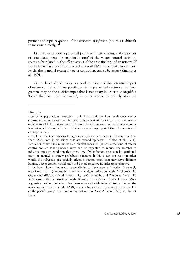portant and rapid reduction of the *incidence of infection* (but this is difficult to measure directly)<sup>3</sup>.

b) If vector control is practised jointly with case-finding and treatment of contagious men: the 'marginal return' of the vector control activities seems to be related to the effectiveness of the case-finding and treatment. If the latter is high, resulting in a reduction of HAT endemicity to very low levels, the marginal return of vector control appears to be lower (Simarro et al., 1991).

c) The level of endemicity is a co-determinant of the potential impact of vector control activities: possibly a well implemented vector control programme may be the decisive input that is necessary in order to *extinguish* a 'focus' that has been 'activated', in other words, to entirely stop the

l

It has been shown that tsetse susceptibility to *Trypanosoma* infection is strongly associated with (maternally inherited) midgut infection with 'Rickettsia-like Organisms' (RLOs) (Maudlin and Ellis, 1985; Maudlin and Welburn, 1988). To what extent this is associated with different fly behaviour is not known. More aggressive probing behaviour has been observed with infected tsetse flies of the *morsitans* group (Jenni et al., 1980), but to what extent this would be true for flies of the *palpalis* group (the most important one in West African HAT) we do not know.

<sup>3</sup> Remarks:

<sup>-</sup> tsetse fly populations re-establish quickly to their previous levels once vector control activities are stopped. In order to have a significant impact on the level of endemicity of HAT, vector control as an isolated intervention can have a more or less lasting effect only if it is maintained over a longer period than the survival of contagious men;

<sup>-</sup> the flies' infection rates with *Trypanosoma brucei* are consistently very low (less than 0.5%, even in situations that are termed 'epidemic' - Moloo et al., 1971). Reduction of the flies' numbers as a 'blanket measure' (which is the kind of vector control we are talking about here) can be expected to reduce the number of infective bites on condition that these low (fly) infection rates can be attributed only (or mainly) to purely probabilistic factors. If this is not the case (in other words, if a subgroup of especially effective vectors exists that may have different habits), vector control would have to be more selective in order to be effective.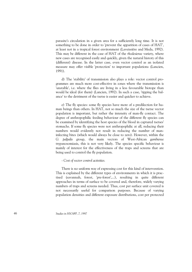parasite's circulation in a given area for a sufficiently long time. It is not something to be done in order to 'prevent the apparition of cases of HAT', at least not in a tropical forest environment (Laveissière and Meda, 1992). This may be different in the case of HAT of the *rhodesiense* variety, where new cases are recognised easily and quickly, given the natural history of this (different) disease. In the latter case, even vector control as an isolated measure may offer visible 'protection' to important populations (Lancien, 1991).

d) The 'stability' of transmission also plays a role: vector control programmes are much more cost-effective in zones where the transmission is 'unstable', i.e. where the flies are living in a less favourable biotope than would be ideal (for them) (Lancien, 1992). In such a case, 'tipping the balance' to the detriment of the tsetse is easier and quicker to achieve.

e) The fly species: some fly species have more of a predilection for human beings than others. In HAT, not so much the size of the tsetse vector population is important, but rather the intensity of man-fly contact. The degree of anthropophilic feeding behaviour of the different fly species can be examined by identifying the host species of the blood in captured tsetses' stomachs. If some fly species were not anthropophilic at all, reducing their numbers would evidently not result in reducing the number of maninfecting bites (which would always be close to zero). However, within the *G. palpalis* group, the main vectors of West-African *gambiense* trypanosomiasis, this is not very likely. The species specific behaviour is mainly of interest for the effectiveness of the traps and screens that are being used to control the fly population.

# - *Cost of vector control activities.*

There is no uniform way of expressing cost for this kind of intervention. This is explained by the different types of environments in which it is practised (savannah, forest, 'pre-forest',...), resulting in quite different approaches in terms of surface to be covered and, therefore, widely varying numbers of traps and screens needed. Thus, cost per surface unit covered is not necessarily useful for comparison purposes. Because of varying population densities and different exposure distributions, cost per protected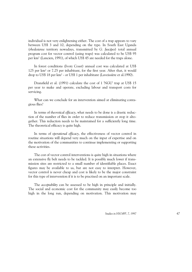individual is not very enlightening either. The cost of a trap appears to vary between US\$ 3 and 10, depending on the type. In South East Uganda (*rhodesiense* territory nowadays, transmitted by *G. fuscipes*) total annual program cost for vector control (using traps) was calculated to be US\$ 95 per km² (Lancien, 1991), of which US\$ 45 are needed for the traps alone.

In forest conditions (Ivory Coast) annual cost was calculated at US\$ 125 per km² or 7.25 per inhabitant, for the first year. After that, it would drop to US\$ 18 per km² - or US\$ 1 per inhabitant (Laveissière et al.1990).

Dransfield et al. (1991) calculate the cost of 1 'NGU' trap at US\$ 15 per year to make and operate, excluding labour and transport costs for servicing.

What can we conclude for an intervention aimed at eliminating contagious flies?

In terms of *theoretical efficacy*, what needs to be done is a drastic reduction of the number of flies in order to reduce transmission or stop it altogether. This reduction needs to be maintained for a sufficiently long time. The theoretical efficacy is quite high.

In terms of *operational efficacy*, the effectiveness of vector control in routine situations will depend very much on the input of expertise and on the motivation of the communities to continue implementing or supporting these activities.

The *cost* of vector control interventions is quite high in situations where an extensive fly belt needs to be tackled. It is possibly much lower if transmission sites are restricted to a small number of identifiable places. Exact figures may be available to us, but are not easy to interpret. However, vector control is never cheap and cost is likely to be the major constraint for this type of intervention if it is to be practised on an important scale.

The *acceptability* can be assessed to be high in principle and initially. The social and economic cost for the community may easily become too high in the long run, depending on motivation. This motivation may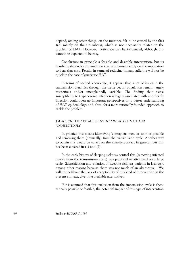depend, among other things, on the nuisance felt to be caused by the flies (i.e. mainly on their numbers), which is not necessarily related to the problem of HAT. However, motivation can be influenced, although this cannot be expected to be easy.

Conclusion: in principle a feasible and desirable intervention, but its feasibility depends very much on cost and consequently on the motivation to bear that cost. Results in terms of reducing human suffering will not be quick in the case of *gambiense* HAT.

In terms of needed knowledge, it appears that a lot of issues in the transmission dynamics through the tsetse vector population remain largely mysterious and/or unexplainedly variable. The finding that tsetse susceptibility to trypanosome infection is highly associated with another fly infection could open up important perspectives for a better understanding of HAT epidemiology and, thus, for a more rationally founded approach to tackle the problem.

# (3) ACT ON THE CONTACT BETWEEN 'CONTAGIOUS MAN' AND 'UNINFECTED FLY'

In practice this means identifying 'contagious men' as soon as possible and removing them (physically) from the transmission cycle. Another way to obtain this would be to act on the man-fly contact in general, but this has been covered in (1) and (2).

In the early history of sleeping sickness control this (removing infected people from the transmission cycle) was practised or attempted on a large scale, (identification and isolation of sleeping sickness patients in lazarets), among other reasons because there was not much of an alternative... We will not belabour the lack of acceptability of this kind of intervention in the present context, given the available alternatives.

If it is assumed that this exclusion from the transmission cycle is theoretically possible or feasible, the potential impact of this type of intervention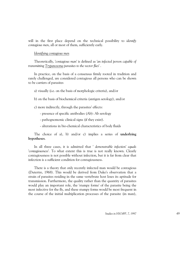will in the first place depend on the technical possibility to *identify contagious men*, all or most of them, sufficiently early.

### *Identifying contagious men*

Theoretically, *'contagious man'* is defined as *'an infected person capable of transmitting Trypanosoma parasites to the vector flies'* .

In practice, on the basis of a consensus firmly rooted in tradition and rarely challenged, are considered contagious all persons who can be shown to be carriers of parasites

- a) visually (i.e. on the basis of morphologic criteria), and/or
- b) on the basis of biochemical criteria (antigen serology), and/or
- c) more indirectly, through the parasites' effects:
	- presence of specific antibodies (Ab): Ab serology
	- pathognomonic clinical signs (if they exist).
	- alterations in bio-chemical characteristics of body fluids

The choice of a), b) and/or c) implies a series of **underlying hypotheses**.

In all three cases, it is admitted that *' demonstrable infection' equals 'contagiousness'.* To what extent this is true is not really known. Clearly contagiousness is not possible without infection, but it is far from clear that infection is a sufficient condition for contagiousness.

There is a theory that only recently infected man would be contagious (Dutertre, 1968). This would be derived from Duke's observation that a strain of parasites residing in the same vertebrate host loses its aptitude for transmission. Furthermore, the quality rather than the quantity of parasites would play an important role, the 'stumpy forms' of the parasite being the most infective for the fly, and these stumpy forms would be most frequent in the course of the initial multiplication processes of the parasite (in man),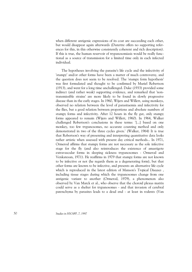when different antigenic expressions of its coat are succeeding each other, but would disappear again afterwards (Dutertre offers no supporting references for this, in this otherwise consistently coherent and rich description). If this is true, the human reservoir of trypanosomiasis would be really functional as a source of transmission for a limited time only in each infected individual.

The hypotheses involving the parasite's life cycle and the infectivity of 'stumpy' and/or other forms have been a matter of much controversy, and the question does not seem to be resolved. The 'stumpy form hypothesis' was first formulated and thought to be confirmed by Muriel Robertson (1913), and went for a long time unchallenged. Duke (1933) provided some indirect (and rather weak) supporting evidence, and remarked that 'nontransmissible strains' are more likely to be found in slowly progressive disease than in the early stages. In 1960, Wijers and Willett, using monkeys, observed no relation between the level of parasitaemia and infectivity for the flies, but a good relation between proportions and absolute numbers of stumpy forms and infectivity. After 12 hours in the fly gut, only stumpy forms appeared to remain (Wijers and Willett, 1960). In 1964, Walker challenged Robertson's conclusions in these terms: '[...] based on one monkey, too few trypanosomes, no accurate counting method and only demonstrated in two of the three cycles given.' (Walker, 1964) It is true that Robertson's way of presenting and interpreting quantitative data looks rather artistic when assessed with present day critical methods... In 1971, Ormerod affirms that stumpy forms are not necessary as the sole infective stage for the fly (and also reintroduces the existence of amastigote extravascular forms in sleeping sickness trypanosomes - Ormerod and Venkatesan, 1971). He reaffirms in 1979 that stumpy forms are not known to be infective or not (he regards them as a degenerating form), but that other forms are known to be infective, and presents an alternative life cycle which is reproduced in the latest edition of Manson's *Tropical Diseases* , including tissue stages during which the trypanosomes change from one antigenic variant to another (Ormerod, 1979), a phenomenon also observed by Van Marck et al., who observe that the choroid plexus matrix could serve as a shelter for trypanosomes - and that invasion of cerebral parenchyma by parasites leads to a dead end - at least in rodents (Van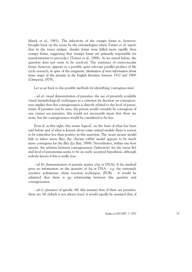Marck et al., 1981). The infectivity of the stumpy forms is, however, brought back on the scene by the entomologists when Turner et al. report that in the tsetse midgut, slender forms were killed more rapidly than stumpy forms, suggesting that 'stumpy forms are primarily responsible for transformation to procyclics' (Turner et al., 1988). As we stated before, the question does not seem to be resolved. The existence of extravascular forms, however, appears as a possibly quite relevant parallel product of life cycle research, in spite of the enigmatic '*elimination of most information about tissue stages of this parasite in the English literature between 1912 and 1969'* (Ormerod, 1979).

Let us go back to the possible methods for identifying 'contagious man'.

- ad a): visual demonstration of parasites: the use of presently available visual (morphological) techniques as a criterion for decision on contagiousness implies that this contagiousness is directly related to the level of parasitemia. If parasites can be seen, the person would certainly be contagious; if one cannot see parasites, this would not necessarily mean that there are none, but the contagiousness would be considered to be less.

Even if, at first sight, this seems 'logical', on the basis of what has been said before and of what is known about some animal models there is reason to be somewhat less than positive in this assertion. The 'acute mouse' model fails to infect tsetse flies; the 'chronic rabbit' model appears to be much more contagious for the flies (Le Ray, 1989). Nevertheless, within one host species, the relation between contagiousness ('infectivity' for the tsetse fly) and level of parasitemia seems to be an easily accepted hypothesis, although nobody knows if this is really true.

- ad b): demonstration of parasite matter (Ag or DNA): if the method gives no information on the quantity of Ag or DNA - e.g. the extremely sensitive polymerase chain reaction techniques (PCR) - it would be admitted that there is no relationship between this quantity and contagiousness.

- ad c): presence of specific Ab: this assumes that, if there are parasites, there are Ab (which is not always true); it would equally be assumed that, if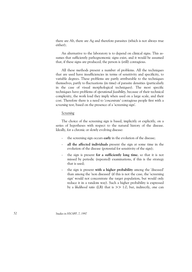there are Ab, there are Ag and therefore parasites (which is not always true either);

An alternative to the laboratory is to depend on clinical signs. This assumes that sufficiently pathognomonic signs exist, and it would be assumed that, if these signs are produced, the person is (still) contagious.

All these methods present a number of problems. All the techniques that are used have insufficiencies in terms of sensitivity and specificity, to variable degrees. These problems are partly attributable to the techniques themselves, partly to fluctuations (in time) of parasite densities (particularly in the case of visual morphological techniques). The most specific techniques have problems of *operational feasibility*, because of their technical complexity, the work load they imply when used on a large scale, and their cost. Therefore there is a need to *'concentrate'* contagious people first with a *screening* test, based on the presence of a 'screening sign'.

# *Screening*

The choice of the screening sign is based, implicitly or explicitly, on a series of hypotheses with respect to the natural history of the disease. Ideally, for a chronic or slowly evolving disease:

- the screening sign occurs **early** in the evolution of the disease;
- **all the affected individuals** present the sign at some time in the evolution of the disease (potential for sensitivity of the sign);
- the sign is present **for a sufficiently long time**, so that it is not missed by periodic (repeated) examinations, if this is the strategy that is used;
- the sign is present **with a higher probability** among the 'diseased' than among the 'non diseased' (if this is not the case, the 'screening sign' would not concentrate the target population, but would only reduce it in a random way). Such a higher probability is expressed by a *likelihood ratio* (LR) that is >> 1.0, but, indirectly, one can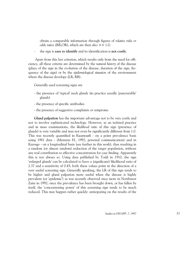obtain a comparable information through figures of *relative risks or odds ratios* (RR,OR), which are then also  $\geq$  1.0;

- the sign is **easy to identify** and its identification is **not costly**.

 Apart from this last criterion, which results only from the need for efficiency, all these criteria are determined by the *natural history* of the disease (place of the sign in the evolution of the disease, duration of the sign, frequency of the sign) or by the *epidemiological situation* of the environment where the disease develops (LR, RR).

Generally used screening signs are

- the presence of 'typical' neck glands (in practice usually 'puncturable' glands)
- the presence of specific antibodies
- the presence of suggestive complaints or symptoms.

**Gland palpation** has the important advantage not to be very costly and not to involve sophisticated technology. However, as an isolated practice and in mass examinations, the *likelihood ratio* of this sign (presence of glands) is very variable and may not even be significantly different from 1.0. This was recently quantified in *Kwamouth* - on a point prevalence basis using 1981 data - (Mentens H., 1992, personal communication) and in *Kasongo* - on a longitudinal basis (see further in this work), thus resulting in a random (or almost random) reduction of the target population, without any real contribution to effective concentration for case finding. Apparently this is not always so. Using data published by Todd in 1910, the sign 'enlarged glands' can be calculated to have a (significant) likelihood ratio of 2.37 and a sensitivity of 0.45; both these values point in the direction of a very useful screening sign. Generally speaking, the LR of this sign tends to be higher and gland palpation more useful when the disease is highly prevalent (or 'epidemic') as was recently observed once more in Northwest Zaire in 1992; once the prevalence has been brought down, or has fallen by itself, the 'concentrating power' of this screening sign tends to be much reduced. This may happen rather quickly: anticipating on the results of the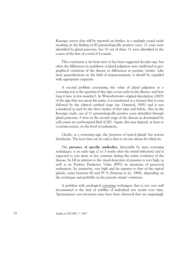Kasongo survey that will be reported on further, in a multiple round study resulting in the finding of 40 parasitologically positive cases, 11 cases were identified by gland puncture, but 10 out of these 11 were identified in the course of the first of a total of 4 rounds.

This conclusion is far from new; it has been suggested decades ago, but often the differences in usefulness of gland palpation were attributed to geographical variations of the disease or differences in parasite 'strains'. Like most generalisations in the field of trypanosomiasis, it should be regarded with appropriate suspicion.

A second problem concerning the value of gland palpation as a screening test is the question if this sign occurs early in the disease, and how long it lasts (a few months?). In Winterbottom's original description (1803) of the sign that was given his name, it is mentioned as a feature that is soon followed by the clinical cerebral stage (in: Ormerod, 1991) and it was considered as such by the slave traders of that time and before. Also in the Kasongo study, out of 11 parasitologically positive cases identified through gland puncture, 9 were in the second stage of the disease as determined by cell counts in cerebrospinal fluid (CSF). Again, this may depend, at least to a certain extent, on the level of endemicity.

Clearly, as a screening sign, the 'presence of typical glands' has serious drawbacks. The least that can be said is that it can not always be relied on.

The **presence of specific antibodies**, detectable by mass screening techniques, is an early sign (2 to 3 weeks after the initial infection) and is expected to stay more or less constant during the entire evolution of the disease. Its LR in relation to the visual detection of parasites is very high, as well as its Positive Predictive Value (PPV) in situations of perceived endemicity. Its sensitivity, very high and far superior to that of the typical glands, varies between 80 and 95 % (Noireau et al., 1988), depending on the technique and probably on the parasite strains' variations.

A problem with serological screening techniques that is not very well documented is the lack of stability of individual test results over time. 'Spontaneous' sero-inversion rates have been observed that are surprisingly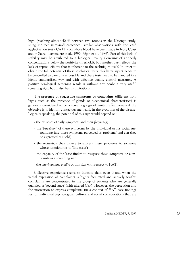high (reaching almost 50 % between two rounds in the Kasongo study, using indirect immunofluorescence; similar observations with the card agglutination test - CATT - on whole blood have been made in Ivory Coast and in Zaire - Laveissière et al., 1990; Pépin et al., 1986). Part of this lack of stability may be attributed to a biological reality (lowering of antibody concentrations below the positivity threshold), but another part reflects the lack of reproducibility that is inherent to the techniques itself. In order to obtain the full potential of these serological tests, this latter aspect needs to be controlled as carefully as possible and these tests need to be handled in a highly standardised way and with effective quality control measures. A positive serological screening result is without any doubt a very useful screening sign, but it also has its limitations.

The **presence of suggestive symptoms or complaints** (different from 'signs' such as the presence of glands or biochemical characteristics) is generally considered to be a screening sign of limited effectiveness if the objective is to identify contagious men early in the evolution of the disease. Logically speaking, the potential of this sign would depend on:

- the *existence* of early symptoms and their *frequency*;
- the *'perception'* of these symptoms by the individual or his social surrounding (are these symptoms perceived as 'problems' and can they be expressed as such?);
- the *motivation* they induce to express these 'problems' to someone whose function it is to 'find cases';
- the capacity of the 'case finder' to *recognise* these symptoms or complaints as a screening sign;
- the *discriminating quality* of this sign with respect to HAT.

Collective experience seems to indicate that, even if and when the verbal expression of complaints is highly facilitated and actively sought, complaints are concentrated in the group of patients who are generally qualified as 'second stage' (with altered CSF). However, the perception and the motivation to express complaints (in a context of HAT case finding) rest on individual psychological, cultural and social considerations that are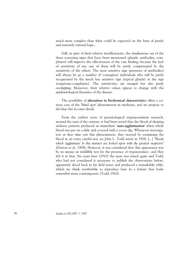much more complex than what could be expected on the basis of purely and narrowly rational logic...

Still, in spite of their relative insufficiencies, the *simultaneous* use of the three screening signs that have been mentioned (glands, antibodies, complaints) will improve the effectiveness of the case finding, because the lack of sensitivity of any one of them will be partly compensated by the sensitivity of the others. The most sensitive sign (presence of antibodies) will always let go a number of 'contagious' individuals who will be partly recuperated by the much less sensitive sign (typical glands) or the sign (symptoms-complaints). The sensitivities are *unequal* but also *partly overlapping*. Moreover, their relative values appear to change with the epidemiological dynamics of the disease.

The possibility of *alterations in biochemical characteristics* offers a curious case of the 'blind spot' phenomenon in medicine, and we propose to develop this in some detail.

From the earliest years of parasitological trypanosomiasis research, around the turn of the century, it had been noted that the blood of sleeping sickness patients produced an immediate '**auto-agglutination**' when whole blood was put on a slide and covered with a cover slip. Whenever investigators at that time saw this phenomenon, they reacted by examining the blood in an extra careful way (as John L. Todd wrote in 1904: [...] *"bloods which 'agglutinate' in this manner are looked upon with the greatest suspicion"* (Dutton et al., 1904). However, it was considered that 'this appearance was by no means an infallible test for the presence of trypanosomes', and they left it at that. Six years later (1910) the issue was raised again and Todd, who had not considered it necessary to publish the observations before, apparently dived back in his field notes and produced a remarkable table, which we think worthwhile to reproduce here in a format that looks somewhat more contemporary (Todd, 1910).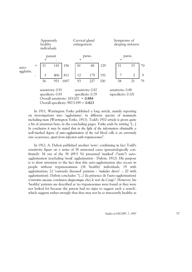

In 1911, Warrington Yorke published a long article, mainly reporting on investigations into 'agglutinins', in different species of mammals including man (Warrington Yorke, 1911). Todd's 1910 article is given quite a bit of attention here, in the concluding pages. Yorke ends by writing "[...] *In conclusion it may be stated that in the light of the information obtainable a well-marked degree of auto-agglutination of the red blood cells is an extremely rare occurrence, apart from infection with trypanosomes".*

In 1912, A. Dubois published another 'note', confirming in fact Todd's sensitivity figure on a series of 38 untreated cases (parasitologically confirmed): 34 out of the 38 (89.5 %) presented 'marked' *("nette")* autoagglutination (excluding 'weak' agglutination - Dubois, 1912). His purpose is to draw attention to the fact that this auto-agglutination also occurs in people without trypanosomiasis (34 'healthy' individuals, 19 with agglutination; 22 'variously diseased' patients - '*malades divers*' -, 20 with agglutination). Dubois concludes: "[...] (la présence de l'auto-agglutination) *n'entraîne aucune conclusion diagnostique chez le noir du Congo"*. However, his 'healthy' patients are described as 'no trypanosomes were found or they were not looked for because the person had no signs to suggest such a search', which suggests rather strongly that they may not be so innocently healthy as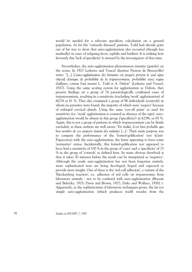would be needed for a relevant specificity calculation on a general population. As for the 'variously diseased' patients, Todd had already gone out of his way to show that auto-agglutination also occurred (though less markedly) in cases of relapsing fever, syphilis and beriberi. It is striking how fervently this 'lack of specificity' is stressed by the investigators of that time.

Nevertheless, the auto-agglutination phenomenon remains (quietly) on the scene. In 1927 Ledentu and Vaucel (Institut Pasteur de Brazzaville) write: "[...] *L'auto-agglutination des hématies est jusqu'à présent le seul signe objectif classique de probabilité de la trypanosomiase, probabilité assez vague d'ailleurs, comme l'ont montré L. Todd et A. Dubois*" (Ledentu and Vaucel, 1927). Using the same scoring system for agglutination as Dubois, they present findings on a group of 74 parasitologically confirmed cases of trypanosomiasis, resulting in a sensitivity (excluding 'weak' agglutination) of 60/74 or 81 %. They also examined a group of 96 individuals (controls) in whom no parasites were found, the majority of which were 'suspect' because of enlarged cervical glands. Using the same 'cut-off point' as used for sensitivity (i.e. 'weak' agglutination is counted as absence of the sign), autoagglutination would be absent in this group ('specificity') in 62/96, or 65 %. Again, this is not a group of patients in which trypanosomiasis can be firmly excluded, as these authors are well aware: *'En réalité, il est bien probable que bon nombre de ces suspects étaient des malades* [...]'. Their main purpose was to compare the performance of the 'formol-gelification' test (Gaté-Papacostas) with the auto-agglutination, the latter appearing to have some 'normative' status. Incidentally, this formol-gelification test appeared to have had a sensitivity of 100 % in the group of 'cases' and a 'specificity' of 73 % in the group of 'controls' as defined here. Its main obvious drawback is that it takes 30 minutes before the result can be interpreted as 'negative'. Although the crude auto-agglutination has not been forgotten entirely, more sophisticated tests are being developed, hoped and expected to provide more insight. One of these is the 'red-cell adhesion', a variant of the 'Rieckenberg reaction', i.e. adhesion of red cells on trypanosomes from laboratory animals - not to be confused with auto-agglutination (Brussin and Beletzky, 1925; Davis and Brown, 1927; Duke and Wallace, 1930) *)*. Apparently, as the sophistication of laboratory techniques grows, the far too simple auto-agglutination (which produces itself) recedes from the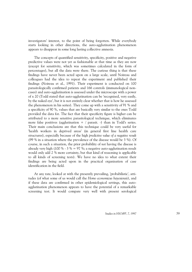investigators' interest, to the point of being forgotten. While everybody starts looking in other directions, the auto-agglutination phenomenon appears to disappear in some long lasting collective amnesia.

The concepts of quantified sensitivity, specificity, positive and negative predictive values were not yet as fashionable at that time as they are now (except for sensitivity, which was sometimes calculated in the form of percentages), but all the data were there. The curious thing is that these findings have never been acted upon on a large scale, until Noireau and colleagues had the idea to repeat the experiment and published their findings (Noireau et al., 1991). Their experiment is conducted on 100 parasitologically confirmed patients and 166 controls (immunological noncases) and auto-agglutination is assessed under the microscope with a power of x 20 (Todd stated that auto-agglutination can be 'recognised, very easily, by the naked eye', but it is not entirely clear whether that is how he assessed the phenomenon in his series). They come up with a sensitivity of 91 % and a specificity of 90 %, values that are basically very similar to the ones Todd provided the data for. The fact that their specificity figure is higher can be attributed to a more sensitive parasitological technique, which eliminates more false positives (agglutination  $+$  / parasit. -) than in Todd's series. Their main conclusions are that this technique could be very useful for 'health workers in deprived areas' (in general first line health care structures), especially because of the high *predictive value of a negative result* (99 % in a situation where the prevalence of the disease would be 3 %). Of course, in such a situation, the prior probability of *not* having the disease is already very high (100 % - 3 % = 97 %; a negative auto-agglutination result would only add 2 % more certainty, but that kind of reasoning is applicable to all kinds of screening tests). We have no idea to what extent their findings are being acted upon in the practical organisation of case identification in the field.

At any rate, looked at with the presently prevailing, 'probabilistic', attitudes (of what some of us would call the *Homo economicus bayesiensis*), and if these data are confirmed in other epidemiological settings, this autoagglutination phenomenon appears to have the potential of a remarkable screening test. It would compare very well with present serological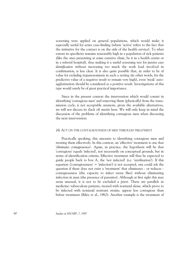screening tests applied on general populations, which would make it especially useful for *active* case-finding (where 'active' refers to the fact that the initiative for the contact is on the side of the health service). To what extent its specificity remains reasonably high in a population of sick patients (like the ones presenting at some curative clinic, be it in a health centre or in a referral hospital), thus making it a useful screening test for *passive case identification* without increasing too much the work load involved in confirmation, is less clear. It is also quite possible that, in order to be of value for *excluding* trypanosomiasis in such a setting (in other words, for the predictive value of a negative result to remain very high), even 'weak' autoagglutination should be considered as a positive result. Investigations of this type would surely be of great practical importance.

Since in the present context the intervention which would consist in identifying 'contagious men' and removing them (physically) from the transmission cycle, is not acceptable anymore, given the available alternatives, we will not discuss its (lack of) merits here. We will only keep in mind the discussion of the problems of identifying contagious men when discussing the next intervention.

#### (4) ACT ON THE CONTAGIOUSNESS OF MEN THROUGH TREATMENT

Practically speaking, this amounts to identifying contagious men and treating them effectively. In this context, an 'effective' treatment is one that *'eliminates contagiousness'*. Again, in practice, the hypothesis will be that 'contagious' equals 'infected', not necessarily on conceptual grounds, but in terms of identification criteria. Effective treatment will thus be expected to guide people back to box A, the 'not infected' (i.e. 'sterilisation'). If this equation ('contagiousness' = 'infection') is not accepted, one could ask the question if there does not exist a 'treatment' that eliminates - or reduces contagiousness (the capacity to infect tsetse flies) without eliminating infection in man (the presence of parasites). Although at first sight this may seem unusual, it is not to be excluded *a priori*. There are parallels in medicine: tuberculosis patients, treated with isoniazid alone, which prove to be infected with isoniazid resistant strains, appear less contagious than before treatment (Riley et al., 1962). Another example is the treatment of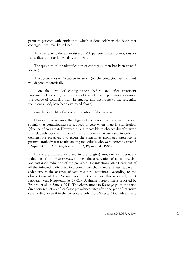pertussis patients with antibiotics, which is done solely in the hope that contagiousness may be reduced.

To what extent therapy-resistant HAT patients remain contagious for tsetse flies is, to our knowledge, unknown.

The question of the identification of contagious men has been treated above *(3)*.

The *effectiveness of the chosen treatment* (on the contagiousness of man) will depend theoretically:

- on the level of contagiousness before and after treatment implemented according to the state of the art (the hypotheses concerning the degree of contagiousness, in practice and according to the screening techniques used, have been expressed above);

- on the feasibility of (correct) execution of the treatment.

How can one measure the degree of contagiousness of men? One can submit that contagiousness is reduced to zero when there is 'sterilisation' (absence of parasites). However, this is impossible to observe directly, given the relatively poor sensitivity of the techniques that are used in order to demonstrate parasites, and given the sometimes prolonged presence of positive antibody test results among individuals who were correctly treated (Paquet et al., 1992; Kegels et al., 1992; Pépin et al., 1986).

In a more indirect way, and in the long(er) run, one can deduce a reduction of the *contagiousness* through the observation of an appreciable and sustained reduction of the *prevalence* (of infection) after treatment of all the 'infected' individuals in a community that is more or less stable and sedentary, in the absence of vector control activities. According to the observations of *Van Nieuwenhoven* in the Sudan, this is exactly what happens (Van Nieuwenhove, 1992a). A similar observation is reported by Bruneel et al. in Zaire (1994). The observations in Kasongo go in the same direction: reduction of serologic prevalence rates after one year of intensive case finding, even if in the latter case only those 'infected' individuals were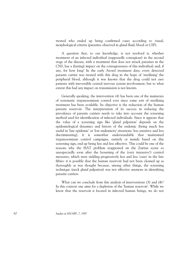treated who ended up being confirmed cases according to visual, morphological criteria (parasites observed in gland fluid, blood or CSF).

A question that, to our knowledge, is not resolved is, whether treatment of an infected individual (supposedly contagious) in the second stage of the disease, with a treatment that does not attack parasites in the CNS, has a (lasting) impact on the contagiousness of this individual; and, if any, for how long? In the early Atoxyl treatment days, every detected parasite carrier was treated with this drug in the hope of 'sterilising' the peripheral blood, although it was known that the drug could not *cure* patients with irreversible central nervous system involvement; but to what extent this had any impact on transmission is not known.

Generally speaking, the intervention *(4)* has been one of the mainstays of systematic trypanosomiasis control ever since some sort of sterilising treatment has been available. Its objective is the reduction of the human parasite reservoir. The interpretation of its success in reducing the prevalence of parasite carriers needs to take into account the screening method used for identification of infected individuals. Since it appears that the value of a screening sign like 'gland palpation' depends on the epidemiological dynamics and history of the endemic (being much less useful in 'late epidemic' or 'low endemicity' situations: less sensitive and less discriminating), it is somewhat understandable that maintained trypanosomiasis control campaigns, entirely or mainly based on this screening sign, end up being less and less effective. This could be one of the reasons why the HAT problem reappeared on the Zairian scene so unexpectedly soon after the loosening of the (very intensive!) control measures, which were yielding progressively less and less 'cases' in the late fifties: it is possible that the human reservoir had not been cleaned up as thoroughly as was thought because, among other things, the screening technique (neck gland palpation) was not effective anymore in identifying parasite carriers.

What can we conclude from this analysis of interventions (3) and (4)? In this context one aims for a depletion of the 'human reservoir'. While we know that the reservoir *is* located in infected human beings, we do not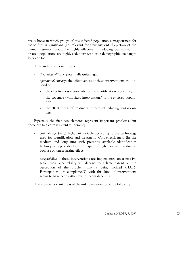really know in which groups of this infected population contagiousness for tsetse flies is significant (i.e. relevant for transmission). Depletion of the human reservoir would be highly effective in reducing transmission if treated populations are highly sedentary with little demographic exchanges between foci.

Thus, in terms of our criteria:

- *theoretical efficacy*: potentially quite high;
- *operational efficacy*: the effectiveness of these interventions will depend on
	- the effectiveness (sensitivity) of the identification procedure;
	- the coverage (with these interventions) of the exposed population;
	- the effectiveness of treatment in terms of reducing contagiousness.

Especially the first two elements represent important problems, but these are to a certain extent vulnerable;

- *cost*: always (very) high, but variable according to the technology used for identification and treatment. Cost-effectiveness (in the medium and long run) with presently available identification techniques is probably better, in spite of higher initial investment, because of longer lasting effect;
- *acceptability*: if these interventions are implemented on a massive scale, their acceptability will depend to a large extent on the perception of the problem that is being tackled (HAT). Participation (or 'compliance'?) with this kind of interventions seems to have been rather low in recent decennia.

The more important areas of the unknown seem to be the following.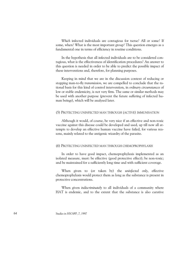*Which* infected individuals are contagious for tsetse? All or some? If some, when? What is the most important group? This question emerges as a fundamental one in terms of efficiency in routine conditions.

In the hypothesis that all infected individuals are to be considered contagious, what is the effectiveness of identification procedures? An answer to this question is needed in order to be able to predict the possible impact of these interventions and, therefore, for planning purposes.

Keeping in mind that we are in the discussion context of reducing or stopping man-to-fly *transmission*, we are compelled to conclude that the rational basis for this kind of control intervention, in *ordinary circumstances* of low or stable endemicity, is not very firm. The same or similar methods may be used with another purpose (prevent the future suffering of infected human beings), which will be analysed later.

### (5) PROTECTING UNINFECTED MAN THROUGH (ACTIVE) IMMUNISATION

Although it would, of course, be very nice if an effective and non-toxic vaccine against this disease could be developed and used, up till now all attempts to develop an effective human vaccine have failed, for various reasons, mainly related to the antigenic wizardry of the parasite.

#### (6) PROTECTING UNINFECTED MAN THROUGH CHEMOPROPHYLAXIS

In order to have good impact, chemoprophylaxis implemented as an isolated measure, must: be effective (good protective effect); be non-toxic; and be maintained for a sufficiently long time and with sufficient coverage.

When given to (or taken by) the *uninfected only*, effective chemoprophylaxis would protect them as long as the substance is present in protective concentrations.

When given *indiscriminately* to all individuals of a community where HAT is endemic, and to the extent that the substance is also curative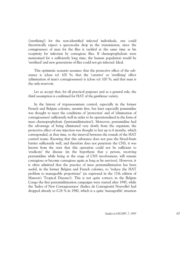('sterilising') for the non-identified infected individuals, one could theoretically expect a spectacular drop in the transmission, since the *contagiousness* of man for the flies is tackled at the same time as his *receptivity* for infection by contagious flies. If chemoprophylaxis were maintained for a sufficiently long time, the human population would be 'sterilised' and new generations of flies could not get infected. Ideal.

This optimistic scenario assumes: that the protective effect of the substance is (close to) 100 %; that the 'curative' or 'sterilising' effect (elimination of man's contagiousness) is (close to) 100 %; and that man is the only reservoir.

Let us accept that, for all practical purposes and as a general rule, the third assumption is confirmed for HAT of the *gambiense* variety.

In the history of trypanosomiasis control, especially in the former French and Belgian colonies, *suramin* first, but later especially *pentamidine* was thought to meet the conditions of 'protection' and of 'elimination of contagiousness' sufficiently well in order to be operationalised in the form of mass chemoprophylaxis ('pentamidinisation'). Moreover, pentamidine had the advantage of being eliminated very slowly from the organism; the protective effect of one injection was thought to last up to 6 months, which corresponded, at that time, to the interval between the rounds of the HAT control teams. Knowing that this substance does not pass the blood-brain barrier sufficiently well, and therefore does not penetrate the CNS, it was known from the start that this operation could not be sufficient to 'eradicate' the disease (in the hypothesis that a person, receiving pentamidine while being at the stage of CNS involvement, will remain contagious or become contagious again as long as he survives). However, it is often admitted that the practice of mass pentamidinisation has been useful, in the former Belgian and French colonies, to "reduce the HAT problem to manageable proportions" (as expressed in the 17th edition of Manson's 'Tropical Diseases'). This is not quite correct; in the Belgian Congo the first pentamidinisation campaigns were started after 1945, while the 'Index of New Contagiousness' (Indice de Contagiosité Nouvelle) had dropped already to 0.24 % in 1940, which is a quite 'manageable' situation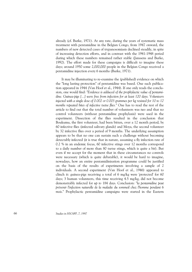already (cf. Burke, 1971). At any rate, during the years of systematic mass treatment with pentamidine in the Belgian Congo, from 1947 onward, the numbers of new detected cases of trypanosomiasis declined steadily, in spite of increasing detection efforts, and in contrast with the 1941-1948 period during which these numbers remained rather stable (Janssens and Burke, 1992). The effort made for these campaigns is difficult to imagine these days; around 1950 some 2,000,000 people in the Belgian Congo received a pentamidine injection every 6 months (Burke, 1971).

It may be illuminating to re-examine the (published) evidence on which the "long lasting protection" of pentamidine was based. One such publication appeared in 1944 (Van Hoof et al., 1944). If one only reads the conclusion, one would find: *"Evidence is adduced of the prophylactic value of pentamidine. Guinea-pigs [...] were free from infection for at least 120 days. Volunteers injected with a single dose of 0.002 or 0.003 grammes per kg resisted for 10 to 12 months repeated bites of infective tsetse flies."* One has to read the rest of the article to find out that the total number of volunteers was *two* and that no control volunteers (without pentamidine prophylaxis) were used in the experiment. Dissection of the flies resulted in the conclusion that Boukumu, the first volunteer, had been bitten, over a 12 month period, by 60 infective flies (infected salivary glands) and Moya, the second volunteer by 32 infective flies over a period of 9 months. The underlying assumption appears to be that no one can sustain such a challenge without becoming detectably infected (it is true that in nature, assuming a fly infection rate of 0.2 % in an endemic focus, 60 infective stings over 12 months correspond to a daily number of more than 80 tsetse stings, which is quite a bit). But even if we accept for the moment that in these circumstances no controls were necessary (which is quite debatable), it would be hard to imagine, nowadays, how an entire pentamidinisation programme could be justified on the basis of the results of experiments involving a sample of 2 individuals. A second experiment (Van Hoof et al., 1946) appeared to clinch it: guinea-pigs receiving a total of 6 mg/kg were 'protected' for 60 days; 3 human volunteers, this time receiving 4.5 mg/kg, did not become demonstrably infected for *up to* 184 days. Conclusion: "*la pentamidine peut prévenir l'infection naturelle de la maladie du sommeil chez l'homme pendant 6 mois*." Prophylactic pentamidine campaigns were started in the Eastern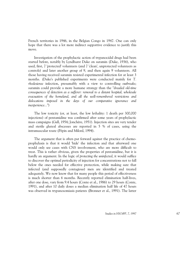French territories in 1946, in the Belgian Congo in 1947. One can only hope that there was a lot more indirect supportive evidence to justify this move.

Investigation of the prophylactic action of trypanocidal drugs had been started before, notably by Lyndhurst Duke on suramin (Duke, 1936), who used, first, 7 'protected' volunteers (and 7 'clean', unprotected volunteers as controls) and later another group of 9, and then again 9 volunteers. All those having received suramin resisted experimental infection for at least 3 months. (Duke's published experiments were conducted mainly for *T. rhodesiense* infection, presumably with a view to controlling *outbreaks*; suramin could provide a more humane strategy than the "*dreaded old-time consequences of detection as a sufferer: removal to a distant hospital, wholesale evacuation of the homeland, and all the well-remembered restrictions and dislocations imposed in the days of our comparative ignorance and inexperience...*")

The low toxicity (or, at least, the low lethality: 1 death per 300,000 injections) of pentamidine was confirmed after some years of prophylactic mass campaigns (Gall, 1954; Jonchère, 1951). Injection sites are very tender and sterile gluteal abscesses are reported in 5 % of cases, using the intramuscular route (Pépin and Milord, 1994).

The argument that is often put forward against the practice of chemoprophylaxis is that it would 'hide' the infection and that afterward one would only see cases with CNS involvement, who are more difficult to treat. This is rather obvious, given the properties of pentamidine, but it is hardly an argument. In the logic of *protecting the uninfected*, it would suffice to discover the optimal periodicity of injection for concentrations not to fall below the ones needed for effective protection, while making sure that infected (and supposedly contagious) men are identified and treated adequately. We now know that for many people this period of effectiveness is much shorter than 6 months. Recently reported elimination half-lives, after one dose, vary from 9.4 hours (Conte et al., 1986) to 29 hours (Conte, 1991), and after 10 daily doses a median elimination half life of 47 hours was observed in trypanosomiasis patients (Bronner et al., 1991). The latter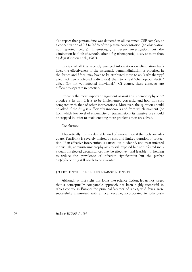also report that pentamidine was detected in all examined CSF samples, at a concentration of 0.5 to 0.8 % of the plasma concentration (an observation not reported before). Interestingly, a recent investigation put the elimination half-life of *suramin*, after a 6 g (therapeutic) dose, at more than 44 *days* (Cheson et al., 1987).

In view of all this recently emerged information on elimination halflives, the effectiveness of the systematic pentamidinisation as practised in the forties and fifties, may have to be attributed more to an "early therapy" effect (of newly infected individuals) than to a real "chemoprophylactic" effect (for not yet infected individuals). Of course, these concepts are difficult to separate in practice.

Probably the most important argument against this 'chemoprophylactic' practice is its *cost*, if it is to be implemented correctly, and how this cost compares with that of other interventions. Moreover, the question should be asked if the drug is sufficiently innocuous and from which moment (or from which low level of endemicity or transmission) its massive use should be stopped in order to avoid creating more problems than are solved.

### Conclusion:

Theoretically this is a desirable kind of intervention if the tools are adequate. Feasibility is severely limited by cost and limited duration of protection. If an effective intervention is carried out to identify and treat infected individuals, administering prophylaxis to still exposed but not infected individuals in selected circumstances may be effective - and feasible - in helping to reduce the prevalence of infection significantly; but the perfect *prophylactic* drug still needs to be invented.

## (7) PROTECT THE TSETSE FLIES AGAINST INFECTION

Although at first sight this looks like science fiction, let us not forget that a conceptually comparable approach has been highly successful in rabies control in Europe: the principal 'vectors' of rabies, wild foxes, were successfully immunised with an oral vaccine, incorporated in judiciously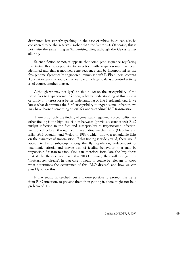distributed bait (strictly speaking, in the case of rabies, foxes can also be considered to be the 'reservoir' rather than the 'vector'...). Of course, this is not quite the same thing as 'immunising' flies, although the idea is rather alluring.

Science fiction or not, it appears that some gene sequence regulating the tsetse fly's susceptibility to infection with trypanosomes has been identified and that a modified gene sequence can be incorporated in the fly's genome ('genetically engineered immunisation'? P. Elsen, pers. comm.) To what extent this approach is feasible on a large scale as a control activity is, of course, another matter.

Although we may not (yet) be able to *act* on the susceptibility of the tsetse flies to trypanosome infection, a better understanding of this issue is certainly of interest for a better understanding of HAT epidemiology. If we knew what determines the flies' susceptibility to trypanosome infection, we may have learned something crucial for understanding HAT transmission.

There is not only the finding of genetically 'regulated' susceptibility; another finding is the high association between (previously established) RLO midgut infection in the flies and susceptibility to trypanosome infection, mentioned before, through lectin regulating mechanisms (Maudlin and Ellis, 1985; Maudlin and Welburn, 1988), which throws a remarkable light on the dynamics of transmission. If this finding is widely valid, there would appear to be a subgroup among the fly population, independent of taxonomic criteria and maybe also of feeding behaviour, that may be responsible for transmission. One can therefore formulate the hypothesis that if the flies do not have this 'RLO disease', they will not get the '*Trypanosoma* disease'. In that case it would of course be relevant to know what determines the occurrence of this 'RLO disease', and how we can possibly act on this.

It may sound far-fetched, but if it were possible to 'protect' the tsetse from RLO infection, to prevent them from getting it, there might not be a problem of HAT.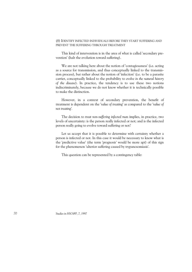# (8) IDENTIFY INFECTED INDIVIDUALS BEFORE THEY START SUFFERING AND PREVENT THE SUFFERING THROUGH TREATMENT

This kind of intervention is in the area of what is called 'secondary prevention' (halt the evolution toward suffering).

We are not talking here about the notion of 'contagiousness' (i.e. acting as a source for transmission, and thus conceptually linked to the transmission process), but rather about the notion of 'infection' (i.e. to be a parasite carrier, conceptually linked to the probability to *evolve in the natural history of the disease*). In practice, the tendency is to use these two notions indiscriminately, because we do not know whether it is technically possible to make the distinction.

However, in a context of secondary prevention, the benefit of treatment is dependent on the *'value of treating'* as compared to the *'value of not treating'.*

The decision to *treat non-suffering infected man* implies, in practice, two levels of uncertainty: is the person really infected or not; and is the infected person really going to evolve toward suffering or not?

Let us accept that it is possible to determine with certainty whether a person is infected or not. In this case it would be necessary to know what is the 'predictive value' (the term 'prognosis' would be more apt) of this sign for the phenomenon 'ulterior suffering caused by trypanosomiasis'.

This question can be represented by a contingency table: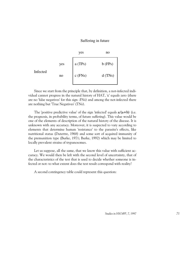### Suffering in future



Since we start from the principle that, by definition, a not-infected individual cannot progress in the natural history of HAT, '**c**' equals zero (there are no 'false negatives' for this sign -FNs) and among the not-infected there are nothing but 'True Negatives' (TNs).

The 'positive predictive value' of the sign 'infected' equals **a/(a+b)** (i.e. the prognosis, in probability terms, of future suffering). This value would be one of the elements of description of the natural history of the disease. It is unknown with any accuracy. Moreover, it is suspected to vary according to elements that determine human 'resistance' to the parasite's effects, like nutritional status (Dutertre, 1968) and some sort of acquired immunity of the premunition type (Burke, 1971; Burke, 1992) which may be limited to locally prevalent strains of trypanosomes.

Let us suppose, all the same, that we know this value with sufficient accuracy. We would then be left with the second level of uncertainty, that of the characteristics of the test that is used to decide whether someone is infected or not: to what extent does the test result correspond with reality?

A second contingency table could represent this question: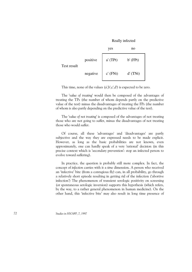

This time, none of the values (a',b',c',d') is expected to be zero.

The *'value of treating'* would then be composed of the advantages of treating the TPs (the number of whom depends partly on the predictive value of the test) minus the disadvantages of treating the FPs (the number of whom is also partly depending on the predictive value of the test).

The *'value of not treating'* is composed of the advantages of not treating those who are not going to suffer, minus the disadvantages of not treating those who would suffer.

Of course, all these 'advantages' and 'disadvantages' are partly subjective and the way they are expressed needs to be made explicit. However, as long as the basic probabilities are not known, even approximately, one can hardly speak of a very 'rational' decision (in this precise context which is 'secondary prevention': stop an infected person to evolve toward suffering).

In practice, the question is probably still more complex. In fact, the concept of *infection* carries with it a *time* dimension. A person who received an 'infective' bite (from a contagious fly) can, in all probability, go through a relatively short episode resulting in getting rid of the infection ('abortive infection') The phenomenon of transient serologic positivity on screening (or spontaneous serologic inversion) supports this hypothesis (which refers, by the way, to a rather general phenomenon in human medicine). On the other hand, this 'infective bite' may also result in long time presence of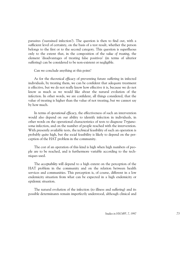parasites ('sustained infection'). The question is then to find out, with a sufficient level of certainty, on the basis of a test result, whether the person belongs to the first or to the second category. This question is superfluous only to the extent that, in the composition of the *value of treating*, the element 'disadvantages of treating false positives' (in terms of ulterior suffering) can be considered to be non-existent or negligible.

Can we conclude anything at this point?

As for the *theoretical efficacy* of preventing future suffering in infected individuals, by treating them, we can be confident that adequate treatment *is* effective, but we do not really know how effective it is, because we do not know as much as we would like about the natural evolution of the infection. In other words, we are confident, all things considered, that the value of treating is higher than the value of not treating, but we cannot say by how much.

In terms of *operational efficacy*, the effectiveness of such an intervention would also depend on our ability to identify infection in individuals, in other words on the operational characteristics of tests to diagnose *Trypanosoma* infection, and on the number of people reached with the intervention. With presently available tests, the *technical* feasibility of such an operation is probably quite high, but the *social* feasibility is likely to depend on the perception of the HAT problem in the community.

The *cost* of an operation of this kind is high when high numbers of people are to be reached, and is furthermore variable according to the techniques used.

The *acceptability* will depend to a high extent on the perception of the HAT problem in the community and on the relation between health services and communities. This perception is, of course, different in a low endemicity situation from what can be expected in a high endemicity or epidemic situation.

The natural evolution of the infection (to illness and suffering) and its possible determinants remain imperfectly understood, although clinical and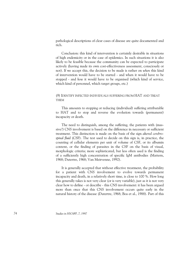pathological descriptions of clear cases of disease are quite documented and rich.

Conclusion: this kind of intervention is certainly desirable in situations of high endemicity or in the case of epidemics. In such situations it is also likely to be feasible because the community can be expected to participate actively (having made its own cost-effectiveness assessment, consciously or not). If we accept this, the decision to be made is rather on *when* this kind of intervention would have to be started - and when it would have to be stopped - and *how* it would have to be organised (which kind of service, which kind of personnel, which target groups, etc.)

## (9) IDENTIFY INFECTED INDIVIDUALS SUFFERING FROM HAT AND TREAT THEM

This amounts to stopping or reducing (individual) suffering attributable to HAT and to stop and reverse the evolution towards (permanent) incapacity or death.

The need to distinguish, among the suffering, the patients with (massive?) CNS involvement is based on the difference in necessary or sufficient treatment. This distinction is made on the basis of the sign *altered cerebrospinal fluid* (CSF). The test used to decide on this sign is, in practice, the counting of cellular elements per unit of volume of CSF, or its albumin content, or the finding of parasites in the CSF on the basis of visual, morphologic criteria; more sophisticated, but less often used is the finding of a sufficiently high concentration of specific IgM antibodies (Mattern, 1968; Dutertre, 1968; Van Meirvenne, 1992).

It is generally accepted that without effective treatment, the probability for a patient with CNS involvement to evolve towards permanent incapacity and death, in a relatively short time, is close to 100 %. How long this generally takes is not very clear (or is very variable), just as it is not very clear how to define - or describe - this CNS involvement: it has been argued more than once that this CNS involvement occurs quite early in the natural history of the disease (Dutertre, 1968; Boa et al., 1988). Part of this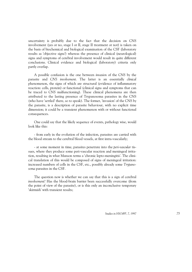uncertainty is probably due to the fact that the decision on CNS involvement (yes or no, stage I or II, stage II treatment or not) is taken on the basis of biochemical and biological examination of the CSF (laboratory results as 'objective signs') whereas the presence of clinical (neurological) signs and symptoms of cerebral involvement would result in quite different conclusions. Clinical evidence and biological (laboratory) criteria only partly overlap.

A possible confusion is the one between *invasion* of the CNS by the parasite and *CNS involvement*. The latter is an essentially *clinical* phenomenon, the signs of which are structural (evidence of inflammatory reaction: cells, protein) or functional (clinical signs and symptoms that can be traced to CNS malfunctioning). These clinical phenomena are then attributed to the lasting presence of Trypanosoma parasites in the CNS (who have 'settled' there, so to speak). The former, 'invasion' of the CNS by the parasite, is a description of parasite behaviour, with no explicit time dimension; it could be a transient phenomenon with or without functional consequences.

One could say that the likely sequence of events, pathology wise, would look like this:

- from early in the evolution of the infection, parasites are carried with the blood stream to the cerebral blood vessels, at first intra-vascularly;

- at some moment in time, parasites penetrate into the *peri-vascular* tissues, where they produce some peri-vascular reaction and meningeal irritation, resulting in what Manson terms a 'chronic lepto-meningitis'. The clinical translation of this would be composed of signs of meningeal irritation: increased numbers of cells in the CSF, etc., possibly already some *Trypanosoma* parasites in the CSF.

The question now is whether we can say that this is a sign of cerebral *involvement*? Has the blood-brain barrier been successfully overcome (from the point of view of the parasite), or is this only an inconclusive temporary 'skirmish' with transient results;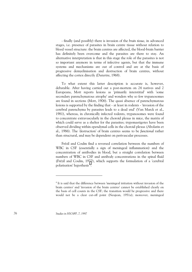- finally (and possibly) there is invasion of the *brain tissue*, in advanced stages, i.e. presence of parasites in brain centre tissue without relation to blood vessel structure: the brain centres are affected, the blood-brain barrier has definitely been overcome and the parasites are there to stay. An alternative interpretation is that in this stage the role of the parasites is not so important anymore in terms of infective agents, but that the immune systems and mechanisms are out of control and are at the basis of progressive demyelinisation and destruction of brain centres, without affecting the cortex directly (Dutertre, 1968).

To what extent this latter description is accurate is, however, debatable. After having carried out a post-mortem on 24 natives and 2 Europeans, Mott reports lesions as 'primarily interstitial' with 'some secondary parenchymatous atrophy' and wonders why so few trypanosomes are found in sections (Mott, 1906). The quasi absence of parenchymatous lesions is supported by the finding that - at least in rodents - 'invasion of the cerebral parenchyma by parasites leads to a dead end' (Van Marck et al., 1981), whereas, in chronically infected rodents, trypanosomes were found to concentrate extravascularly in the choroid plexus in mice, the matrix of which could serve as a shelter for the parasites; trypomastigotes have been observed dividing within ependymal cells in the choroid plexus (Abolarin et al., 1986). The 'destruction' of brain centres seems to be *functional* rather than structural, and may be dependent on perivascular processes.

Frézil and Coulm find a reversed correlation between the numbers of WBC in CSF (essentially a sign of meningeal inflammation) and the concentration of antibodies in blood, but a straight correlation between numbers of WBC in CSF and antibody concentrations in the spinal fluid (Frézil and Coulm, 1977), which supports the formulation of a 'cerebral polarisation' hypothesis 4 .

*76 Studies in HSO&P, 7, 1997*

 $\overline{\phantom{a}}$ 

<sup>&</sup>lt;sup>4</sup> It is said that the difference between 'meningeal irritation without invasion of the brain centres' and 'invasion of the brain centres' cannot be established clearly on the basis of cell counts in the CSF; the transition would be progressive and there would not be a clear cut-off point (Neujean, 1951a); moreover, meningeal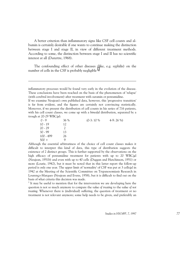A better criterion than inflammatory signs like CSF cell counts and albumin is certainly desirable if one wants to continue making the distinction between stage I and stage II, in view of different treatment methods. According to some, the distinction between stage I and II has no scientific interest at all (Dutertre, 1968).

The confounding effect of other diseases (like, e.g. syphilis) on the number of cells in the CSF is probably negligible<sup>5</sup>.

l

If we examine Neujean's own published data, however, this 'progressive transition' is far from evident, and the figures are certainly not convincing statistically. Moreover, if we present the distribution of cell counts in his series of 716 patients, with his cell count classes, we come up with a *bimodal* distribution, separated by a trough at 20-29 WBC/ $\mu$ l:

| $0 - 9$     | 36 % | $(0-3:10\%$ | 4-9: 26 %) |
|-------------|------|-------------|------------|
| $10 - 19$   | 12   |             |            |
| 20 - 29     |      |             |            |
| 30 - 99     | 13   |             |            |
| $100 - 499$ | 26   |             |            |
| $500 +$     | Q    |             |            |

Although the essential arbitrariness of the choice of cell count classes makes it difficult to interpret this kind of data, this type of distribution suggests the existence of 2 distinct groups. This is further supported by the observations on the high efficacy of pentamidine treatment for patients with up to 20 WBC $/\mu$ l (Neujean, 1951b) and even with up to 40 cells (Duggan and Hutchinson, 1951) or more (Lourie, 1942), but it must be noted that in this latter report the follow-up period is only one year. The upper limit of 'normality' of CSF was put at  $3$  cells/ $\mu$ l in 1942 at the Meeting of the Scientific Committee on Trypanosomiasis Research in Lourenço-Marques (Neujean and Evens, 1958), but it is difficult to find out on the basis of what criteria this decision was made.

<sup>5</sup> It may be useful to mention that for the intervention we are developing here the question is not so much anymore to compare the *value of treating* to the *value of not treating*. Whenever there is (individual) suffering, the question of treatment or no treatment is not relevant anymore; some help needs to be given, and preferably an

inflammatory processes would be found very early in the evolution of the disease. These conclusions have been reached on the basis of the phenomenon of 'relapse' (with cerebral involvement) after treatment with suramin or pentamidine.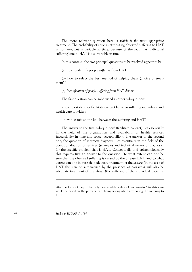The more relevant question here is *which is the most appropriate* treatment. The probability of error in attributing observed suffering to HAT is not zero, but is variable in time, because of the fact that 'individual suffering' due to HAT is also variable in time.

In this context, the two principal questions to be resolved appear to be:

(a) how to identify people *suffering* from HAT

(b) how to select the best method of helping them (choice of treatment)?

*(a) Identification of people suffering from HAT disease*

The first question can be subdivided in other sub-questions:

- how to establish or facilitate contact between suffering individuals and health care providers

- how to establish the link between the suffering and HAT?

The answer to the first 'sub-question' (facilitate contact) lies essentially in the field of the organisation and availability of health services (accessibility in time and space, acceptability). The answer to the second one, the question of (correct) diagnosis, lies essentially in the field of the operationalisation of services (strategies and technical means of diagnosis) for the specific problem that is HAT. Conceptually and epistemologically this requires first an answer to the question: "to what extent can one be sure that the observed suffering is caused by the disease HAT, and to what extent can one be sure that adequate treatment of the *disease* (in the case of HAT this can be summarised by the presence of parasites) will also be adequate treatment of the *illness* (the suffering of the individual patient).

*78 Studies in HSO&P, 7, 1997*

 $\overline{\phantom{a}}$ 

effective form of help. The only conceivable 'value of not treating' in this case would be based on the probability of being wrong when attributing the suffering to HAT.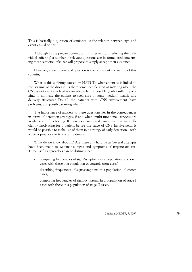This is basically a question of semiotics: is the relation between sign and event causal or not.

Although in the precise context of this intervention (reducing the individual suffering) a number of relevant questions can be formulated concerning these semiotic links, we will propose to simply accept their existence.

However, a less theoretical question is the one about the nature of this suffering.

What is this suffering caused by HAT? To what extent is it linked to the 'staging' of the disease? Is there some specific kind of suffering when the CNS is not (yet) involved (or invaded)? Is this possible (early) suffering of a kind to motivate the patient to seek care in some 'modern' health care delivery structure? Do all the patients with CNS involvement have problems, and possibly starting when?

The importance of answers to these questions lies in the consequences in terms of detection strategies if and when 'multi-functional' services are available and functioning. If there exist signs and symptoms that are sufficiently motivating for a patient before the stage of CNS involvement, it would be possible to make use of them in a strategy of early detection - with a better prognosis in terms of treatment.

What do we know about it? Are there any hard facts? Several attempts have been made to systematise signs and symptoms of trypanosomiasis. Three useful approaches can be distinguished:

- comparing frequencies of signs/symptoms in a population of known cases with those in a population of controls (non-cases)
- describing frequencies of signs/symptoms in a population of known cases;
- comparing frequencies of signs/symptoms in a population of stage I cases with those in a population of stage II cases.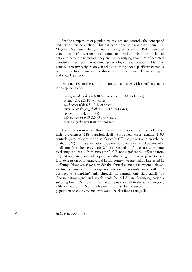For the comparison of populations of cases and controls, the concept of odds ratios can be applied. This has been done in Kwamouth, Zaire (De Muynck, Mentens, Henry; data of 1981, analysed in 1992; personal communication). By using a 'risk score' composed of odds ratios of clinical data and certain risk factors, they end up identifying about 2/3 of detected parasite carriers, positive at direct parasitological examination. This is, of course, a sensitivity figure only; it tells us nothing about specificity (which is rather low). In this analysis, no distinction has been made between stage I and stage II patients.

As compared to the control group, clinical signs with significant odds ratios appear to be:

- *poor general condition* (OR 5.9, observed in 30 % of cases),
- *itching* (OR 2.2, 10 % of cases),
- *head aches* (OR 6.3, 17 % of cases),
- *inversion of sleeping rhythm* (OR 4.4, but rare),
- *apathy* (OR 5.4, but rare),
- *pain in the feet* (OR 8.0, 9% of cases),
- *personality changes* (OR 7.6, but rare).

The situation in which this study has been carried out is one of (very) high prevalence: 118 parasitologically confirmed cases against 1990 controls, parasitologically and serologically (IFI) negative (i.e. a prevalence of about 6 %). In this population the presence of cervical lymphadenopathy of all sorts (very frequent, about 2/3 of the population) does not contribute to distinguish 'cases' from 'non-cases' (OR not significantly different from 1.0). At any rate, lymphadenopathy is rather a *sign* than a *complaint* (which is an expression of suffering), and in this context we are mainly interested in 'suffering'. However, if we consider the clinical elements mentioned above, we find a number of 'sufferings' (or potential complaints, since 'suffering' becomes a 'complaint' only through its formulation) that qualify as 'discriminating signs' and which could be helpful in identifying patients suffering from HAT (even if we have to put them all in the same category, with or without CNS involvement; it can be suspected that in this population of 'cases', the majority would be classified as stage II).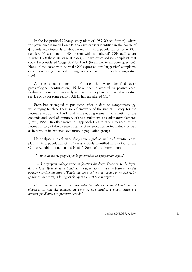In the longitudinal *Kasongo study* (data of 1989-90; see further), where the prevalence is much lower (40 parasite carriers identified in the course of 4 rounds with intervals of about 4 months, in a population of some 3000 people), 30 cases out of 40 present with an 'altered' CSF (cell count  $>=5/\mu$ l). Of these 30 'stage II' cases, 20 have expressed no complaint that could be considered 'suggestive' for HAT (in answer to an open question). None of the cases with normal CSF expressed any 'suggestive' complaint, except one (if 'generalised itching' is considered to be such a suggestive sign).

All the same, among the 40 cases that were identified (with parasitological confirmation) 15 have been diagnosed by passive casefinding, and one can reasonably assume that they have contacted a curative service point for some reason. All 15 had an 'altered CSF'.

*Frézil* has attempted to put some order in data on symptomatology, while trying to place them in a framework of the natural history (or the natural evolution) of HAT, and while adding elements of 'kinetics' of the endemic and 'level of immunity of the populations' as explanatory elements (Frézil, 1983). In other words, his approach tries to take into account the natural history of the disease in terms of its evolution in individuals as well as in terms of its historical evolution in population groups.

He analyses clinical signs ('objective signs' as well as 'potential complaints') in a population of 317 cases actively identified in two foci of the Congo Republic (Loudima and Ngabé). Some of his observations:

### *- '... nous avons été frappés par la pauvreté de la symptomatologie...'*

*- '... La symptomatologie varie en fonction du degré d'endémicité du foyer: dans le foyer épidémique de Loudima, les signes sont rares et le pourcentage des ganglions positifs important. Tandis que dans le foyer de Ngabé, en récession, les ganglions sont rares, et les signes cliniques souvent plus marqués.'*

*- '... il semble y avoir un décalage entre l'évolution clinique et l'évolution biologique: on note des malades en 2ème période paraissant moins gravement atteints que d'autres en première période.'*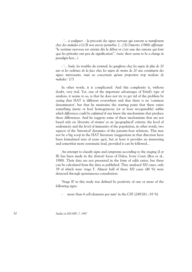*- '... à souligner: - la précocité des signes nerveux qui souvent se manifestent chez des malades à LCR non encore perturbés. [...] Et Dutertre (1968) affirmait:* "le système nerveux est atteint dès le début et c'est une des raisons qui font que les périodes ont peu de signification".' *(note: there seems to be a change in paradigm here...)*

*- '... Seuls, les troubles du sommeil, les ganglions chez les sujets de plus de 30 ans et les oedèmes de la face chez les sujets de moins de 20 ans constituent des signes intéressants, mais ne concernent qu'une proportion trop modeste de malades.'* (??)

In other words, it is complicated. And this complexity is, without doubt, very real. Yet, one of the important advantages of Frézil's type of analysis, it seems to us, is that he does not try to get rid of the problem by saying that HAT is different everywhere and that there is no 'common denominator', but that he maintains the starting point that there exists something (more or less) homogeneous (or at least recognisable) *within which differences could be explained* if one knew the mechanisms that produce these differences. And he suggests some of these mechanisms that are not based only on 'diversity of strains' or on 'geographical' criteria: the level of endemicity and the level of immunity of the population, in other words, two aspects of the 'historical' dynamics of the parasite-host relations. This may not be a big *scoop* in the HAT literature (suggestions in that direction have been formulated tens of years ago), but at least it provides an interesting and somewhat more systematic lead, provided it can be followed...

An attempt to classify signs and symptoms according to the staging (I or II) has been made in the (forest) focus of Daloa, Ivory Coast (Boa et al., 1988). Their data are not presented in the form of odds ratios, but these can be calculated from the data as published. They analysed 300 cases, only 39 of which were 'stage I'. Almost half of these 300 cases (48 %) were detected through spontaneous consultation.

'Stage II' in this study was defined by positivity of one or more of the following signs:

more than 4 cell elements per mm<sup>3</sup> in the CSF (249/261 ; 83 %)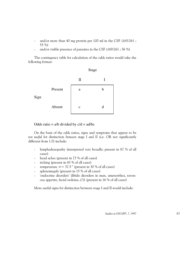- and/or more than 40 mg protein per 100 ml in the CSF (165/261; 55 %)
- and/or visible presence of parasites in the CSF (169/261; 56 %)

The contingency table for calculation of the odds ratios would take the following format:



### Odds ratio =  $a/b$  divided by  $c/d = ad/bc$

On the basis of the odds ratios, signs and symptoms that appear to be *not useful* for distinction *between stage I and II* (i.e. OR not significantly different from 1.0) include:

- lymphadenopathy (interpreted very broadly; present in 87 % of all cases)
- head aches (present in 73 % of all cases)
- itching (present in 43 % of all cases)
- temperature  $>= 37.5$  ° (present in 30 % of all cases)
- splenomegaly (present in 15 % of all cases)
- 'endocrine disorders' (libido disorders in man, amenorrhea, ravenous appetite, facial oedema..(?)) (present in 16 % of all cases)

More useful signs for distinction between stage I and II would include: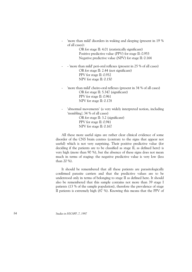- 'more than mild' disorders in waking and sleeping (present in 19 % of all cases):

> OR for stage II: 4.01 (statistically significant) Positive predictive value (PPV) for stage II: 0.953 Negative predictive value (NPV) for stage II: 0.164

- - 'more than mild' peri-oral reflexes (present in 25 % of all cases) OR for stage II: 2.44 (not significant) PPV for stage II: 0.932 NPV for stage II: 0.150
- 'more than mild' cheiro-oral reflexes (present in 34 % of all cases) OR for stage II: 5.347 (significant) PPV for stage II: 0.961 NPV for stage II: 0.178
- 'abnormal movements' (a very widely interpreted notion, including 'trembling'; 34 % of all cases)

OR for stage II: 3.2 (significant) PPV for stage II: 0.941 NPV for stage II: 0.167

All these more useful signs are rather clear clinical evidence of some disorder of the CNS brain centres (contrary to the signs that appear not useful) which is not very surprising. Their positive predictive value (for deciding if the patients are to be classified as stage II, as defined here) is very high (more than 90 %), but the absence of these signs does not mean much in terms of staging: the negative predictive value is very low (less than 20 %).

It should be remembered that all these patients are parasitologically confirmed parasite carriers and that the predictive values are to be understood only in terms of belonging to stage II as defined here. It should also be remembered that this sample contains not more than 39 stage I patients (13 % of the sample population), therefore the prevalence of stage II patients is extremely high (87 %). Knowing this means that the PPV of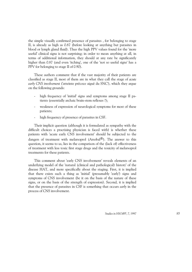the simple visually confirmed presence of parasites , for belonging to stage II, is already as high as 0.87 (before looking at anything but parasites in blood or lymph gland fluid). Thus the high PPV values found for the 'more useful' clinical signs is not surprising; in order to mean anything at all, in terms of additional information, they should at any rate be significantly higher than 0.87 (and even 'itching', one of the 'not so useful signs' has a PPV for belonging to stage II of 0.90).

These authors comment that if the vast majority of their patients are classified as stage II, most of them are in what they call the stage of *acute early CNS involvement* ('atteinte précoce aiguë du SNC'), which they argue on the following grounds:

- high frequency of 'initial' signs and symptoms among stage II patients (essentially archaic brain-stem reflexes ?);
- weakness of expression of neurological symptoms for most of these patients;
- high frequency of presence of parasites in CSF.

Their implicit question (although it is formulated as sympathy with the difficult choices a practising physician is faced with) is whether these patients with 'acute early CNS involvement' should be subjected to the dangers of treatment with melarsoprol (Arsobal $\mathcal{B}$ ). The answer to this question, it seems to us, lies in the comparison of the (lack of) effectiveness of treatment with less toxic first stage drugs and the toxicity of melarsoprol treatments for these patients.

This comment about 'early CNS involvement' reveals elements of an underlying model of the 'natural (clinical and pathological) history' of the disease HAT, and more specifically about the staging. First, it is implied that there exists such a thing as 'initial' (presumably 'early') signs and symptoms of CNS involvement (be it on the basis of the nature of these signs, or on the basis of the strength of expression). Second, it is implied that the presence of parasites in CSF is something that occurs *early* in the process of CNS involvement.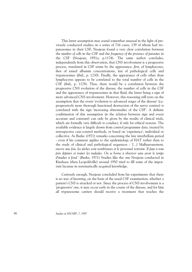This latter assumption may sound somewhat unusual in the light of previously conducted studies; in a series of 716 cases, 139 of whom had trypanosomes in their CSF, Neujean found a very clear correlation between the *number of cells* in the CSF and the *frequency of the presence of parasites* in the CSF (Neujean, 1951a, p.1174). The same author concludes, independently from this observation, that CNS involvement is a progressive process, translated in CSF terms by the appearance, *first*, of lymphocytes, *then* of raised albumin concentrations, *last* of pathological cells and trypanosomes (ibid., p. 1230). Finally, the appearance of cells other than lymphocytes appears to be correlated to the total number of cells in the CSF (ibid., p. 1178). Thus, there would be a correlation between the progressive CNS evolution of the disease, the number of cells in the CSF and the appearance of trypanosomes in that fluid, the latter being a sign of more advanced CNS involvement. However, this reasoning still rests on the assumption that the event 'evolution to advanced stages of the disease' (i.e. progressively more thorough functional destruction of the nerve centres) is correlated with the sign 'increasing abnormality of the CSF'. A definite confirmation of this assumption (is the relation between sign and event accurate and constant) can only be given by the results of clinical trials, which are formally very difficult to conduct, if only for ethical reasons. The available evidence is largely drawn from control programme data, treated by retrospective case-control methods, or based on 'experience', individual or collective. As Burke (1971) remarks concerning the late interbellum period - even if his comment applies to the epidemiology of HAT rather than to the study of clinical and pathological sequences - *'[...] Malheureusement, encore une fois, les tâches sont nombreuses et le personnel restreint. Il faut à tout prix dépister et traiter les malades*. *On se borne à observer sans avoir le temps d'étudier à fond.'* (Burke, 1971) Studies like the one Neujean conducted in Kinshasa (then Leopoldville) around 1950 tried to fill some of the important lacunae in systematically acquired knowledge.

Curiously enough, Neujean concluded from his experiments that there is no way of knowing, on the basis of the usual CSF examination, whether a patient's CNS is attacked or not. Since the process of CNS involvement is a 'progressive' one, it may occur early in the course of the disease, and for him *all* trypanosome carriers should receive a treatment that reaches the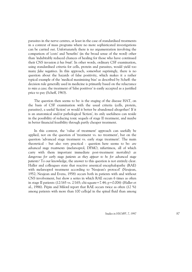parasites in the nerve centres, at least in the case of standardised treatments in a context of mass programs where no more sophisticated investigations can be carried out. Unfortunately there is no argumentation involving the comparison of 'costs' and 'benefits' (in the broad sense of the word) other than 'indubitably reduced chances of healing for those who have continued their CNS invasion *à bas bruit'*. In other words, ordinary CSF examination, using standardised criteria for cells, protein and parasites, would yield too many *false negatives*. In this approach, somewhat suprisingly, there is no question about the hazards of false positivity, which makes it a rather typical example of the 'medical maximising bias' as described by Scheff: the decision rule generally used in medicine is primarily based on the reluctance *to miss a case*; the treatment of 'false positives' is easily accepted as a justified price to pay (Scheff, 1963).

The question then seems to be: is the staging of the disease HAT, on the basis of CSF examination with the usual criteria (cells, protein, parasites), a useful 'fiction' or would it better be abandoned altogether? If it is an anatomical and/or pathological 'fiction', its only usefulness can reside in the possibility of reducing toxic sequels of stage II treatment, and maybe in better financial feasibility through partly cheaper treatment.

In this context, the 'value of treatment' approach can usefully be applied, not on the question of 'treatment vs. no treatment', but on the question 'advanced stage treatment vs. early stage treatment'. The main theoretical - but also very practical - question here seems to be: *are advanced stage treatments* (melarsoprol, DFMO, nifurtimox, all of which carry with them important immediate post-treatment mortality) *as dangerous for early stage patients as they appear to be for advanced stage patients?* To our knowledge, the answer to this question is not entirely clear. Haller and colleagues state that reactive arsenical encephalopathy (RAE) with melarsoprol treatment according to 'Neujean's protocol' (Neujean, 1952; Neujean and Evens, 1958) occurs both in patients with and without CNS involvement, but show a series in which RAE occurs 6 times as often in stage II patients  $(12/165 \text{ vs. } 2/165; \text{ chi-square} = 7.44; \text{ p} = 0.006)$  (Haller et al., 1986). Pépin and Milord report that RAE occurs twice as often (12 %) among patients with more than 100 cells/ $\mu$ l in the spinal fluid than among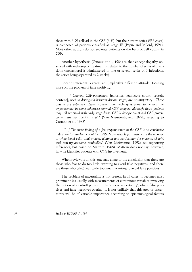those with 6-99 cells/ $\mu$ l in the CSF (6 %), but their entire series (556 cases) is composed of patients classified as 'stage II' (Pépin and Milord, 1991). Most other authors do not separate patients on the basis of cell counts in CSF.

Another hypothesis (Ginoux et al., 1984) is that encephalopathy observed with melarsoprol treatment is related to the number of *series* of injections (melarsoprol is administered in one or several series of 3 injections, the series being separated by 2 weeks).

Recent statements express an (implicitly) different attitude, focusing more on the problem of false positivity;

*- '[...] Current CSF-parameters* [parasites, leukocyte count, protein content], *used to distinguish between disease stages, are unsatisfactory . Those criteria are arbitrary. Recent concentration techniques allow to demonstrate trypanosomes in some otherwise normal CSF-samples, although those patients may still get cured with early-stage drugs. CSF leukocyte count and CSF protein content are not specific at all.'* (Van Nieuwenhoven, 1992b, referring to Cattand et al., 1988)

*- '[...] The mere finding of a few trypanosomes in the CSF is no conclusive indication for involvement of the CNS. More reliable parameters are the increase of white blood cells, total protein, albumin and particularly the presence of IgM and anti-trypanosome antibodies.'* (Van Meirvenne, 1992; no supporting references, but based on Mattern, 1968). Mattern does not say, however, how he identifies patients with CNS involvement.

When reviewing all this, one may come to the conclusion that there are those who fear to do too little, wanting to avoid false negatives; and there are those who (also) fear to do too much, wanting to avoid false positives;

The problem of uncertainty is not present in all cases; it becomes most prominent (as usually with measurements of continuous variables involving the notion of a cut-off point), in the 'area of uncertainty', where false positives and false negatives overlap. It is not unlikely that this area of uncertainty will be of variable importance according to epidemiological factors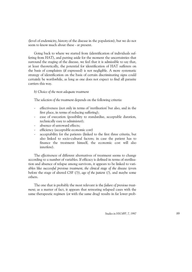(level of endemicity, history of the disease in the population), but we do not seem to know much about these - at present.

Going back to where we started from (identification of individuals suffering from HAT), and putting aside for the moment the uncertainties that surround the staging of the disease, we feel that it is admissible to say that, at least theoretically, the potential for identification of HAT sufferers on the basis of complaints (if expressed) is not negligible. A more systematic strategy of identification on the basis of certain discriminating signs could certainly be worthwhile, as long as one does not expect to find all parasite carriers this way.

### *b) Choice of the most adequate treatment*

The *selection of the treatment* depends on the following criteria:

- effectiveness (not only in terms of 'sterilisation' but also, and in the first place, in terms of reducing suffering);
- ease of execution (possibility to standardise, acceptable duration, technically easy to administer);
- absence of untoward effects;
- efficiency (acceptable economic cost)
- acceptability for the patients (linked to the first three criteria, but also linked to socio-cultural factors; in case the patient has to finance the treatment himself, the economic cost will also interfere).

The *effectiveness* of different alternatives of treatment seems to change according to a number of variables. If efficacy is defined in terms of sterilisation and absence of relapse among survivors, it appears to be linked to variables like *successful previous treatment, the clinical stage of the disease* (even before the stage of altered CSF (?)), *age of the patient* (?)*,* and maybe some others.

The one that is probably the most relevant is the *failure of previous treatment*; as a matter of fact, it appears that retreating relapsed cases with the same therapeutic regimen (or with the same drug) results in far lower prob-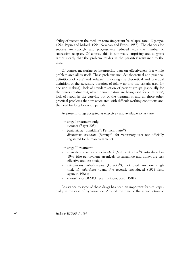ability of success in the medium term (important 're-relapse' rate - Ngampo, 1992; Pépin and Milord, 1994; Neujean and Evens, 1958). The chances for success are strongly and progressively reduced with the number of successive relapses. Of course, this is not really surprising and suggests rather clearly that the problem resides in the parasites' resistance to the drug.

Of course, measuring or interpreting data on effectiveness is a whole problem area all by itself. These problems include: theoretical and practical definitions of 'cure' and 'relapse' (involving the theoretical and practical definition of the necessary duration of follow-up and the criteria used for decision making), lack of standardisation of patient groups (especially for the newer treatments), which denominators are being used for 'cure rates', lack of rigour in the carrying out of the treatments, and all those other practical problems that are associated with difficult working conditions and the need for long follow-up periods.

At present, drugs accepted as effective - and available so far - are:

- in stage I treatment only:

- *suramin* (Bayer 205)
- *pentamidine* (Lomidine®; Pentacarinate®)
- diminazene aceturate (Berenyl®; for veterinary use; not officially registered for human treatment)

- in stage II treatment:

- trivalent arsenicals: *melarsoprol* (Mel B, Arsobal®): introduced in 1948 (the pentavalent arsenicals tryparsamide and atoxyl are less effective and less toxic);
- nitrofurans: *nitrofurazone* (Furacin®); not used anymore (high toxicity); *nifurtimox* (Lampit®): recently introduced (1977 first, again in 1981);
- *eflornitine* or *DFMO*: recently introduced (1981).

Resistance to some of these drugs has been an important feature, especially in the case of tryparsamide. Around the time of the introduction of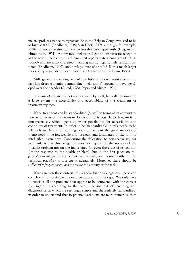melarsoprol, resistance to tryparsamide in the Belgian Congo was said to be as high as 80 % (Friedheim, 1949; Van Hoof, 1947), although, for example, in Sierra Leone the situation was far less dramatic, apparently (Duggan and Hutchinson, 1951). At any rate, melarsoprol got an enthusiastic reception as the new miracle cure; Friedheim's first reports state a cure rate of 100 % (50/50) and 'no untoward effects', among mostly tryparsamide resistant patients (Friedheim, 1949), and a relapse rate of only 3.3 % in a much larger series of tryparsamide resistant patients in Cameroon (Friedheim, 1951).

Still, generally speaking, remarkably little additional resistance to the first line drugs (suramin, pentamidine, melarsoprol) appears to have developed over the decades (Apted, 1980; Pépin and Milord, 1994).

The *ease of execution* is not really a value by itself, but will determine to a large extent the accessibility and acceptability of the treatment or treatment regimen.

If the treatment can be standardised (as well in terms of its administration as in terms of the necessary follow-up), it is possible to delegate it to non-specialists, which opens up wider possibilities for accessibility and continuity of treatment. In order to be 'standardisable', a task needs to be relatively *simple* and all contingencies (or at least the great majority of them) need to be foreseeable and foreseen, and formulated in the form of intelligible instructions. Concerning the delegation to non-specialists, our main rule is that this delegation does not depend on the severity of the (health) problem nor on the importance (or even the cost) of its solution (or the response to the health problem), but in the first place on the *possibility to standardise* the activity or the task, and, consequently, on the technical *possibility to supervise* it adequately. Moreover there should be sufficiently *frequent occasions to execute* the activity or the task.

If we agree on these criteria, this standardisation-delegation-supervision complex is not so simple as would be apparent at first sight. We only have to consider all the problems that appear to be connected with the correct (i.e. rigorously according to the rules) carrying out of screening and diagnostic tests, which are seemingly simple and theoretically standardised, in order to understand that in practice variations are more numerous than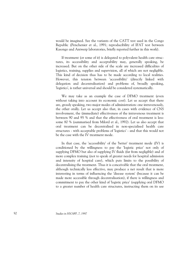would be imagined. See the variants of the CATT test used in the Congo Republic (Penchenier et al., 1991; reproducibility of IFAT test between Kasongo and Antwerp laboratories, briefly reported further in this work).

If treatment (or some of it) is delegated to polyvalent health care structures, its accessibility and acceptability may, generally speaking, be increased. But on the other side of the scale are increased difficulties of logistics, training, supplies and supervision, all of which are not negligible. This kind of decision thus has to be made according to local realities. However, this tension between 'accessibility' (directly linked with delegation and decentralisation) and problems of, broadly speaking, 'logistics', is rather universal and should be considered systematically.

We may take as an example the case of DFMO treatment (even without taking into account its economic cost). Let us accept that there are, grossly speaking, two major modes of administration: one intravenously, the other orally. Let us accept also that, in cases with evidence of CNS involvement, the (immediate) effectiveness of the intravenous treatment is between 90 and 95 % and that the effectiveness of oral treatment is less: some 80 % (summarised from Milord et al., 1992). Let us also accept that oral treatment can be decentralised in non-specialised health care structures - with acceptable problems of 'logistics' - and that this would not be the case with the IV treatment mode.

In that case, the 'accessibility' of the 'better' treatment mode (IV) is conditioned by the willingness to pay the 'logistic price' not only of supplying DFMO but also of supplying IV fluids (far from negligible) and of more complex training (not to speak of greater needs for hospital admission and intensity of hospital care), which puts limits to the possibility of decentralising the treatment. Thus it is conceivable that the oral treatment, although technically less effective, may produce a net result that is more interesting in terms of influencing the 'disease system' (because it can be made more accessible through decentralisation), if there is willingness and commitment to pay the other kind of 'logistic price' (supplying oral DFMO to a greater number of health care structures, instructing them on its use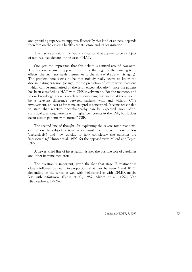and providing supervisory support). Essentially this kind of choices depends therefore on the existing health care structure and its organisation.

The *absence of untoward effects* is a criterion that appears to be a subject of non-resolved debate, in the case of HAT.

One gets the impression that this debate is centred around two axes. The first one seems to oppose, in terms of the *origin* of the existing toxic effects, the *pharmaceuticals* themselves to the *state of the patient* (staging). The problem here seems to be that nobody really seems to know the discriminating criterion (or sign) for the prediction of severe toxic reactions (which can be summarised by the term 'encephalopathy'), once the patient has been classified as 'HAT with CNS involvement'. For the moment, and to our knowledge, there is no clearly convincing evidence that there would be a relevant difference between patients with and without CNS involvement, at least as far as melarsoprol is concerned. It seems reasonable to state that reactive encephalopathy can be expected more often, statistically, among patients with higher cell counts in the CSF, but it does occur also in patients with 'normal' CSF.

The second line of thought, for explaining the severe toxic reactions, centres on the subject of *how the treatment is carried out* (more or less 'aggressively') and how quickly or how completely the parasites are 'massacred' *(cf.* Hunter et al., 1992; for the opposed view: Milord and Pépin, 1992).

A newer, third line of investigation is into the possible role of cytokines and other immune mediators.

The question is important, given the fact that stage II treatment is closely followed by death in proportions that vary between 2 and 10 %, depending on the series, as well with melarsoprol as with DFMO, maybe less with nifurtimox (Pépin et al., 1987; Milord et al., 1992; Van Nieuwenhove, 1992b).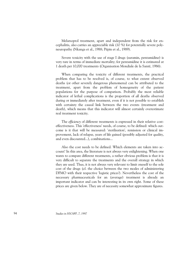Melarsoprol treatment, apart and independent from the risk for encephalitis, also carries an appreciable risk (10 %) for potentially severe polyneuropathy (Nkanga et al., 1988; Pépin et al., 1989).

Severe toxicity with the use of stage I drugs (suramin, pentamidine) is very rare in terms of immediate mortality; for pentamidine it is estimated at 1 death per 10,000 treatments (Organisation Mondiale de la Santé, 1986).

When comparing the toxicity of different treatments, the practical problem that has to be resolved is, of course, to what extent observed deaths (or other severely dangerous phenomena) can be attributed to the treatment, apart from the problem of homogeneity of the patient populations for the purpose of comparison. Probably the most reliable indicator of lethal complications is the proportion of *all* deaths observed during or immediately after treatment, even if it is not possible to establish with certainty the causal link between the two events (treatment and death), which means that this indicator will almost certainly overestimate real treatment toxicity.

The *efficiency* of different treatments is expressed in their relative costeffectiveness. This 'effectiveness' needs, of course, to be defined: which outcome is it that will be measured: 'sterilisation', remission or clinical improvement, lack of relapse, years of life gained (possibly adjusted for quality, and even discounted...), combinations...

Also the cost needs to be defined. Which elements are taken into account? In this area, the literature is not always very enlightening. When one wants to compare different treatments, a rather obvious problem is that it is very difficult to separate the treatments and the overall strategy in which they are used. Thus, it is not always very relevant to limit oneself to the sole cost of the drugs (cf. the choice between the two modes of administering DFMO with their respective 'logistic prices'). Nevertheless the cost of the necessary pharmaceuticals for an (average) treatment is already an important indicator and can be interesting in its own right. Some of these prices are given below. They are of necessity somewhat approximate figures.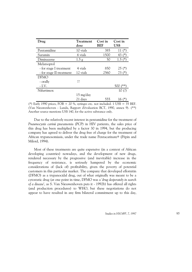| Drug                     | <b>Treatment</b>    | Cost in    | Cost in    |
|--------------------------|---------------------|------------|------------|
|                          | dose                | <b>BEF</b> | US\$       |
| Pentamidine              | 10 vials            | 385        | $11$ $(*)$ |
| Suramin                  | 6 vials             | 1500       | 43 $(*$    |
| Diminazene               | 1.5 g               | 50         | $1.5$ (*   |
| Melarsoprol              |                     |            |            |
| - for stage I treatment  | 4 vials             | 850        | $25$ (*)   |
| - for stage II treatment | 12 vials            | 2560       | $73$ $(*)$ |
| <b>DFMO</b>              |                     |            |            |
| - orally                 | ??                  |            |            |
| - I.V.                   |                     |            | $500$ (**) |
| Nifurtimox               |                     |            | 10(?)      |
|                          | $15 \text{ mg/day}$ |            |            |
|                          | 21 days             | 555        | 16         |

(\*) Early 1990 prices, FOB + 20 %, syringes etc. not included. 1 US\$ =  $35$  BEF. (Van Nieuwenhoven - Lunda, Rapport d'évaluation BCT, 1990, annex 9). (\*\*) Another source mentions US\$ 140, for the active substance only.

Due to the relatively recent interest in pentamidine for the treatment of *Pneumocystis carinii* pneumonia (PCP) in HIV patients, the sales price of this drug has been multiplied by a factor 30 in 1994, but the producing company has agreed to deliver the drug free of charge for the treatment of African trypanosomiasis, under the trade name Pentacarinate® (Pépin and Milord, 1994).

Most of these treatments are quite expensive (in a context of African developing countries) nowadays, and the development of new drugs, rendered necessary by the progressive (and inevitable) increase in the frequency of resistance, is seriously hampered by the economic considerations of (lack of) profitability, given the poverty of potential customers in this particular market. The company that developed eflornitin (DFMO) as a trypanocidal drug, out of what originally was meant to be a cytostatic drug (at one point in time, DFMO was a '*drug desperately in search of a disease*', as S. Van Nieuwenhoven puts it - 1992b) has offered all rights (and production procedures) to WHO, but these negotiations do not appear to have resulted in any firm bilateral commitment up to this day,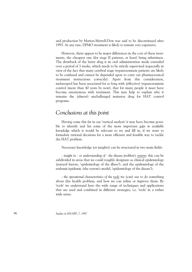and production by Marion-Merrell-Dow was said to be discontinued after 1993. At any rate, DFMO treatment is likely to remain very expensive.

However, there appear to be major differences in the cost of these treatments, the cheapest one (for stage II patients, at least) being nifurtimox. The drawback of the latter drug is its oral administration mode extended over a period of 3 weeks, which needs to be strictly supervised (especially in view of the fact that many cerebral stage trypanosomiasis patients are likely to be confused and cannot be depended upon to carry out pharmaceutical treatment instructions correctly). Apart from this consideration, melarsoprol has been associated for so long with (effective) trypanosomiasis control (more than 40 years by now), that for many people it must have become synonymous with treatment. This may help to explain why it remains the (almost) unchallenged mainstay drug for HAT control programs.

# *Conclusions at this point*

Having come this far in our 'vertical analysis' it may have become possible to identify and list some of the more important *gaps in available knowledge* which it would be relevant to try and fill in, if we want to formulate rational decisions for a more efficient and feasible way to tackle the HAT problem.

Necessary knowledge (or insights) can be structured in two main fields:

- *insight in - or understanding of - the disease problem's system*: this can be subdivided in areas that we could roughly designate as clinical epidemiology (natural history, 'epidemiology of the *illness'*), and the epidemiology of the endemic/epidemic (the system's model, 'epidemiology of the *disease'*);

- *the operational characteristics of the tools* we (can) use to do something about this health problem, and how we can refine or improve them. By 'tools' we understand here the wide range of techniques and applications that are used and combined in different strategies, i.e. 'tools' in a rather wide sense.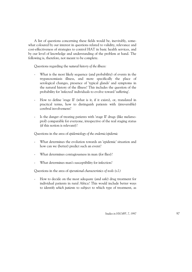A list of questions concerning these fields would be, inevitably, somewhat coloured by our interest in questions related to validity, relevance and cost-effectiveness of strategies to control HAT in basic health services, and by our level of knowledge and understanding of the problem at hand. The following is, therefore, not meant to be complete.

Questions regarding the *natural history of the illness:*

- What is the most likely sequence (and probability) of events in the trypanosomiasis illness, and more specifically the place of serological changes, presence of 'typical glands' and symptoms in the natural history of the illness? This includes the question of the probability for 'infected' individuals to evolve toward 'suffering'.
- How to define 'stage II' (what is it, if it exists), or, translated in practical terms, how to distinguish patients with (irreversible) cerebral involvement?
- Is the danger of treating patients with 'stage II' drugs (like melarsoprol) comparable for everyone, irrespective of the real staging status (if this notion is relevant)?

Questions in the area of *epidemiology of the endemic/epidemic*

- What determines the evolution towards an 'epidemic' situation and how can we (better) predict such an event?
- What determines contagiousness in man (for flies)?
- What determines man's susceptibility for infection?

Questions in the area of *operational characteristics of tools (s.l.)*

- How to decide on the most adequate (and safe) drug treatment for individual patients in rural Africa? This would include better ways to identify *which patients* to subject to which type of treatment, as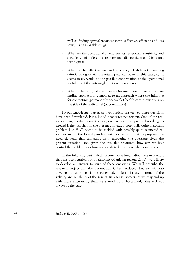well as finding *optimal treatment mixes* (effective, efficient and less toxic) using available drugs.

- What are the operational characteristics (essentially sensitivity and specificity) of different screening and diagnostic tools (signs and techniques)?
- What is the effectiveness and efficiency of different screening criteria or signs? An important practical point in this category, it seems to us, would be the possible confirmation of the operational usefulness of the auto-agglutination phenomenon.
- What is the marginal effectiveness (or usefulness) of an active case finding approach as compared to an approach where the initiative for contacting (permanently accessible) health care providers is on the side of the individual (or community)?

To our knowledge, partial or hypothetical answers to these questions have been formulated, but a lot of inconsistencies remain. One of the reasons (though certainly not the only one) why a more precise knowledge is needed is the fact that, in the present context, a potentially quite important problem like HAT needs to be tackled with possibly quite restricted resources and at the lowest possible cost. For decision making purposes, we need elements that can guide us in answering the question: given the present situation, and given the available resources, how can we best control the problem? - or how one needs to know more when one is poor.

In the following part, which reports on a longitudinal research effort that has been carried out in Kasongo (Maniema region, Zaire), we will try to develop an answer to *some* of these questions. We will describe the research project and the information it has produced, but we will also develop the questions it has generated, at least for us, in terms of the validity and reliability of the results. In a sense, sometimes we may end up with more uncertainty than we started from. Fortunately, this will not always be the case.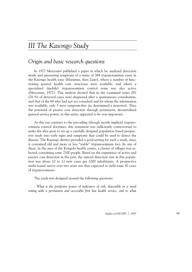# *III The Kasongo Study*

# *Origin and basic research questions*

In 1977 Mercenier published a paper in which he analysed detection mode and presenting symptoms of a series of 384 trypanosomiasis cases in the Kasongo health zone (Maniema, then Zaire), where a number of functioning general health care structures were available, and where a specialised (mobile) trypanosomiasis control team was also active (Mercenier, 1977). This analysis showed that in the examined series 292 (76 %) of detected cases were diagnosed after a spontaneous consultation, and that of the 68 who had not yet consulted and for whom the information was available, only 3 were symptom-free (as determined *a posteriori*). Thus the potential of passive case detection through permanent, decentralised general service points, in this series, appeared to be very important.

As this ran contrary to the prevailing (though mostly implicit) trypanosomiasis control doctrines, this statement was sufficiently controversial to make the idea grow to set up a carefully designed population based prospective study into early signs and symptoms that could be used to detect the disease. The Kasongo district provided a good setting for such a study, since it contained old and more or less "stable" trypanosomiasis foci. In one of these, in the area of the Kongolo health centre, a cluster of villages was selected, containing some 2500 people. Based on the experience of active and passive case detection in the past, the annual detection rate in this population was about 10 to 12 new cases per 1000 inhabitants. A prospective multi-round survey over two years was thus expected to yield some 50 cases of trypanosomiasis.

The study was designed around the following questions:

- *What is the predictive power of indicators of risk, detectable in a rural setting with a permanent and accessible first line health service, and to what*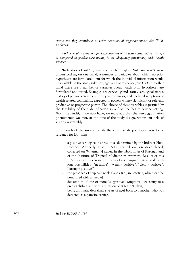*extent can they contribute to* early *detection of trypanosomiasis with T. b. gambiense ?*

- *What would be the marginal effectiveness of an active case finding strategy as compared to passive case finding in an adequately functioning basic health service?*

"Indicators of risk" (more accurately, maybe, "risk markers") were understood as, on one hand, a number of variables about which no prior hypotheses are formulated, but for which the individual information would be available in the study (like sex, age, area of residence, etc.). On the other hand there are a number of variables about which prior hypotheses are formulated and tested. Examples are cervical gland status, serological status, history of previous treatment for trypanosomiasis, and declared symptoms or health related complaints, expected to possess (some) significant or relevant predictive or prognostic power. The choice of these variables is justified by the feasibility of their identification in a first line health service setting. With the hindsight we now have, we must add that the autoagglutination phenomenon was not, at the time of the study design, within our field of vision - regrettably.

In each of the survey rounds the entire study population was to be screened for four signs:

- a positive serological test result, as determined by the Indirect Fluorescence Antibody Test (IFAT), carried out on dried blood, collected on Whatman 4 paper, in the laboratories of Kasongo and of the Institute of Tropical Medicine in Antwerp. Results of this IFAT test were expressed in terms of a semi-quantitative scale with four possibilities ("negative", "weakly positive", "clearly positive", "strongly positive");
- the presence of "typical" neck glands (i.e., in practice, which can be punctured with a needle);
- declaration of one or more "suggestive" symptoms, according to a preestablished list, with a duration of at least 30 days;
- being an infant (less than 2 years of age) born to a mother who was detected as a parasite carrier.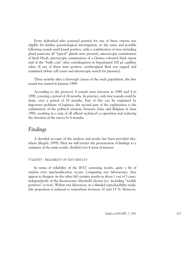Every individual who screened positive for one of these criteria was eligible for further parasitological investigation, in the same and possibly following rounds until found positive, with a combination of tests including gland puncture (if "typical" glands were present), microscopic examination of fresh blood, microscopic examination of a Giemsa coloured thick smear and of the "buffy coat" after centrifugation in heparinised 100  $\mu$ l capillary tubes. If any of these were positive, cerebrospinal fluid was tapped and examined (white cell count and microscopic search for parasites).

Three months after a thorough census of the study population, the first round was started in January 1989.

According to the protocol, 4 rounds were foreseen in 1989 and 4 in 1990, covering a period of 24 months. In practice, only four rounds could be done, over a period of 18 months. Part of this can be explained by important problems of logistics; the second part of the explanation is the culmination of the political tensions between Zaire and Belgium in June 1990, resulting in a stop of all official technical co-operation and reducing the duration of the survey by 6 months.

# *Findings*

A detailed account of the analysis and results has been provided elsewhere (Kegels, 1995). Here we will restrict the presentation of findings to a summary of the main results, divided over 4 areas of interest.

### VALIDITY - RELIABILITY OF TEST RESULTS

In terms of reliability of the IFAT screening results, quite a bit of *random error* misclassification occurs. Comparing two laboratories, they appear to disagree on the other lab's *positive* results in about 1 out of 3 cases, independently of the fluorescence threshold chosen (i.e. including "weakly positives" or not). Within one laboratory, in a blinded reproducibility study, this proportion is reduced to somewhere between 10 and 15 %. However,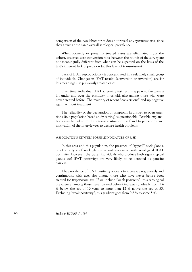comparison of the two laboratories does not reveal any *systematic bias*, since they arrive at the same overall serological prevalence.

When formerly or presently treated cases are eliminated from the cohort, observed sero-conversion rates between the rounds of the survey are not meaningfully different from what can be expected on the basis of the test's inherent lack of precision (at this level of transmission).

Lack of IFAT reproducibility is concentrated in a relatively small group of individuals. Changes in IFAT results (conversion or inversion) are far less meaningful in previously treated cases.

Over time, individual IFAT screening test results appear to fluctuate a lot under and over the positivity threshold, also among those who were never treated before. The majority of recent "conversions" end up negative again, without treatment.

The reliability of the declaration of symptoms in answer to open questions (in a population based study setting) is questionable. Possible explanations may be linked to the interview situation itself and to perception and motivation of the interviewees to declare health problems.

#### ASSOCIATIONS BETWEEN POSSIBLE INDICATORS OF RISK

In this area and this population, the presence of "typical" neck glands, or of any type of neck glands, is not associated with serological IFAT positivity. However, the (rare) individuals who produce both signs (typical glands *and* IFAT positivity) are very likely to be detected as parasite carriers.

The prevalence of IFAT positivity appears to increase progressively and continuously with age, also among those who have never before been treated for trypanosomiasis. If we include "weak positivity", this serological prevalence (among those never treated before) increases gradually from 1.4 % below the age of 10 years to more than 12 % above the age of 50. Excluding "weak positivity", this gradient goes from 0.6 % to some 5 %.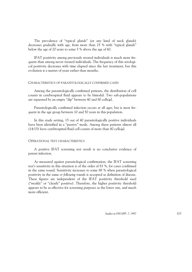The prevalence of "typical glands" (or any kind of neck glands) decreases gradually with age, from more than 25 % with "typical glands" below the age of 20 years to some 5 % above the age of 60.

IFAT positivity among previously treated individuals is much more frequent than among never treated individuals. The frequency of this serological positivity decreases with time elapsed since the last treatment, but this evolution is a matter of years rather than months.

#### CHARACTERISTICS OF PARASITOLOGICALLY CONFIRMED CASES

Among the parasitologically confirmed patients, the distribution of cell counts in cerebrospinal fluid appears to be bimodal. Two sub-populations are separated by an empty "dip" between 40 and 80 cells/ $\mu$ l.

Parasitologically confirmed infection occurs at all ages, but is most frequent in the age group between 10 and 50 years in this population.

In this study setting, 15 out of 40 parasitologically positive individuals have been identified in a "passive" mode. Among these patients almost all (14/15) have cerebrospinal fluid cell counts of more than 80 cells/ $\mu$ l.

#### OPERATIONAL TEST CHARACTERISTICS

A positive IFAT screening test result is no conclusive evidence of patent infection.

As measured against parasitological confirmation, the IFAT screening test's sensitivity in this situation is of the order of 83 %, for cases confirmed in the same round. Sensitivity increases to some 88 % when parasitological positivity in the same *or following rounds* is accepted as definition of disease. These figures are independent of the IFAT positivity threshold used ("weakly" or "clearly" positive). Therefore, the higher positivity threshold appears to be as effective for screening purposes as the lower one, and much more efficient.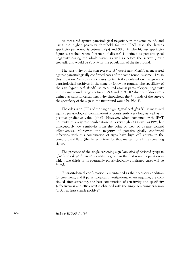As measured against parasitological negativity in the same round, and using the higher positivity threshold for the IFAT test, the latter's specificity per round is between 97.4 and 98.6 %. The highest specificity figure is reached when "absence of disease" is defined as parasitological negativity during the whole survey as well as before the survey (never treated), and would be 98.5 % for the population of the first round.

The sensitivity of the sign *presence of "typical neck glands"*, as measured against parasitologically confirmed cases of the same round, is some 41 % in this situation. Sensitivity increases to 49 % if calculated on the group of parasitological positives in the same or following rounds. The specificity of the sign *"typical neck glands"*, as measured against parasitological negativity in the same round, ranges between 79.4 and 90 %. If "absence of disease" is defined as parasitological negativity throughout the 4 rounds of the survey, the specificity of the sign in the first round would be 79.4 %.

The odds ratio (OR) of the single sign *"typical neck glands"* (as measured against parasitological confirmation) is consistently very low, as well as its positive predictive value (PPV). However, when combined with IFAT positivity, this very rare combination has a very high OR as well as PPV, but unacceptably low sensitivity from the point of view of disease control effectiveness. Moreover, the majority of parasitologically confirmed infections with this combination of signs have high cell counts in the cerebrospinal fluid (the latter is true, for that matter, for all the screening signs).

The presence of the single screening sign *"any kind of declared symptom of at least 7 days' duration"* identifies a group in the first round population in which two thirds of its eventually parasitologically confirmed cases will be found.

If parasitological confirmation is maintained as the necessary condition for treatment, and if parasitological investigations, when negative, are continued after screening, the best combination of sensitivity and specificity (effectiveness and efficiency) is obtained with the single screening criterion "IFAT at least clearly positive".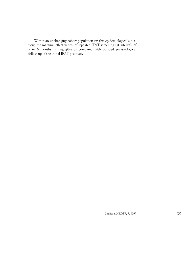Within an unchanging cohort population (in this epidemiological situation) the marginal effectiveness of repeated IFAT screening (at intervals of 5 to 6 months) is negligible as compared with pursued parasitological follow-up of the initial IFAT positives.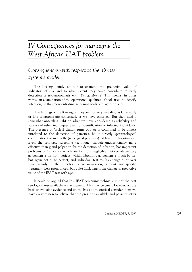# *IV Consequences for managing the West African HAT problem*

# *Consequences with respect to the disease system's model*

The Kasongo study set out to examine the 'predictive value of indicators of risk and to what extent they could contribute to early detection of trypanosomiasis with *T.b. gambiense*'. This means, in other words, an examination of the operational 'qualities' of tools used to identify infection, be they 'concentrating' screening tools or diagnostic ones.

The findings of the Kasongo survey are not very revealing as far as early or late symptoms are concerned, as we have observed. But they shed a somewhat unsettling light on what we have considered as reliability and validity of other techniques used for identification of infected individuals. The presence of 'typical glands' turns out, or is confirmed to be almost unrelated to the detection of parasites, be it directly (parasitological confirmation) or indirectly (serological positivity), at least in this situation. Even the serologic screening technique, though unquestionably more effective than gland palpation for the detection of infection, has important problems of 'reliability' which are far from negligible: between-laboratory agreement is far from perfect; within-laboratory agreement is much better, but again not quite perfect; and individual test results change a lot over time, mainly in the direction of sero-inversion, without any specific treatment. Less pronounced, but quite intriguing is the change in predictive value of the IFAT test with age.

It could be argued that this IFAT screening technique is not the best serological test available at the moment. This may be true. However, on the basis of available evidence and on the basis of theoretical considerations we have every reason to believe that the presently available and possibly better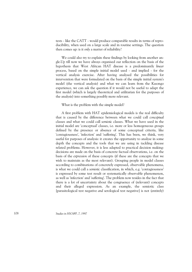tests - like the CATT - would produce comparable results in terms of reproducibility, when used on a large scale and in routine settings. The question then comes up: is it *only* a matter of reliability?

We could also try to explain these findings by looking from another angle.Up till now we have always organised our reflection on the basis of the hypothesis that West African HAT disease is a predominantly *linear* process, based on the simple initial model used - and implied - for the vertical analysis exercise. After having analysed the possibilities for intervention that were formulated on the basis of the simple initial system's model (the vertical analysis) and what we can learn from the Kasongo experience, we can ask the question if it would not be useful to adapt the first model (which is largely theoretical and utilitarian for the purposes of the analysis) into something possibly more relevant.

#### What is the problem with the simple model?

A first problem with HAT epidemiological models is the real difficulty that is caused by the difference between what we could call *conceptual* classes and what we could call *semiotic* classes. What we have used in the initial model are 'conceptual' classes, i.e. more or less homogeneous groups defined by the presence or absence of some conceptual criteria, like 'contagiousness', 'infection' and 'suffering'. This has been, we think, very useful for purposes of analysis: it creates the opportunity to analyse in some depth the concepts and the tools that we are using in tackling disease related problems. However, it is less adapted to practical decision making: decisions are made on the basis of concrete factual observations, i.e. on the basis of the *expression* of these concepts (if these are the concepts that we wish to maintain as the most relevant). Grouping people in model classes according to combinations of concretely expressed, observable phenomena, is what we could call a *semiotic* classification, in which, e.g. 'contagiousness' is expressed by some test result or systematically observable phenomenon, as well as 'infection' and 'suffering'. The problem now resides in the fact that there is a lot of uncertainty about the congruence of (relevant) concepts and their alleged expression. As an example, the semiotic class [parasitological test negative *and* serological test negative] is not (entirely)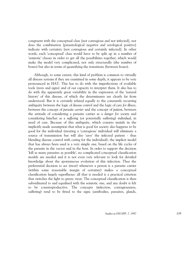congruent with the conceptual class [not contagious *and* not infected], nor does the combination [parasitological negative *and* serological positive] indicate with certainty [not contagious *and* certainly infected]. In other words, each 'conceptual' class would have to be split up in a number of 'semiotic' classes in order to get all the possibilities together, which would make the model very complicated, not only structurally (the number of boxes) but also in terms of quantifying the transitions (between boxes).

Although, to some extent, this kind of problem is common to virtually all disease systems if they are examined in some depth, it appears to be very pronounced in HAT. This has to do with the imperfections of available tools (tests and signs) and of our capacity to interpret them. It also has to do with the apparently great variability in the expression of the 'natural history' of this disease, of which the determinants are clearly far from understood. But it is certainly related equally to the constantly recurring ambiguity between the logic of *disease control* and the logic of *care for illness*, between the concept of *parasite carrier* and the concept of *patient*, between the attitude of considering a parasite carrier as a *danger for society* and considering him/her as a *suffering* (or potentially suffering) *individual*, in need of care. Because of this ambiguity, which consists mainly in the implicitly made assumption that what is good for society also happens to be good for the individual (treating a 'contagious' individual will eliminate a source of transmission but will also 'save' the infected patient - thus blending disease control with caring for the individual), the implicit model that has always been used is a very simple one, based on the life cycles of the parasite in the vector and in the host. In order to support the decision 'kill as many parasites as possible', no complicated conceptual classification models are needed and it is not even very relevant to look for detailed knowledge about the spontaneous evolution of this infection. Thus the preferential decision to *act* (treat) whenever a person is a parasite carrier (within some reasonable margin of certainty) makes a conceptual classification largely superfluous: all that is needed is a practical criterion that switches the light to green: treat. The conceptual classification is then subordinated to and equalised with the semiotic one, and any doubt is felt to be counterproductive. The concepts (infection, contagiousness, suffering) tend to be fitted to the signs (antibodies, parasites, glands,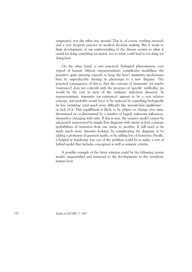symptoms); not the other way around. This is, of course, nothing unusual, and a very frequent practice in medical decision making. But it tends to limit development of our understanding of the disease system to what is useful for *doing* something (or more), not to what could lead to *not doing* (or doing less).

On the other hand, a very practical, biological phenomenon, very typical of human African trypanosomiasis, complicates modelling: the parasite's quite amazing capacity to keep the host's immunity mechanisms busy by unpredictably altering its phenotype to a new 'disguise'. The practical consequence of this is, that the concept of 'immunity' (or maybe 'resistance') does not coincide with the presence of 'specific' antibodies (as would be the case in most of the 'ordinary' infectious diseases). In trypanosomiasis, immunity (or resistance) appears to be a very relative concept, and probably would have to be replaced by something biologically far less 'satisfying' (and much more difficult) like '*parasite-host equilibrium*' or lack of it. This equilibrium is likely to be subject to change over time, determined or co-determined by a number of largely unknown influences, themselves changing with time. If this is true, the system's model cannot be adequately represented by simple flow diagrams with (more or less) constant probabilities of transition from one status to another. It will need to be made much more 'dynamic looking', by complicating the diagrams or by adding a profusion of question marks, or by adding lots of footnotes. Finally, a helpful or handsome way out of the problem could be to make a sort of hybrid model that includes conceptual as well as semiotic criteria.

A possible example of the latter solution could be the following system model, unquantified and restricted to the developments in the vertebrate human host.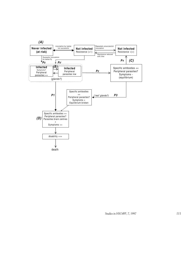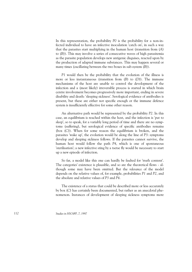In this representation, the probability *P0* is the probability for a non-infected individual to have an infective inoculation 'catch on', in such a way that the parasites start multiplying in the human host (transition from (*A*) to (*B*)). This may involve a series of consecutive waves of high parasitemia as the parasite population develops new antigenic disguises, reacted upon by the production of adapted immune substances. This may happen several or many times (oscillating between the two boxes in sub-system (*B*)).

*P1* would then be the probability that the evolution of the illness is more or less instantaneous (transition from (*B*) to (*D*)). The immune mechanisms of the host are unable to control the development of the infection and a (most likely) irreversible process is started in which brain centre involvement becomes progressively more important, ending in severe disability and death: 'sleeping sickness'. Serological evidence of antibodies is present, but these are either not specific enough or the immune defence system is insufficiently effective for some other reason.

An alternative path would be represented by the probability *P2*. In this case, an equilibrium is reached within the host, and the infection is 'put to sleep', so to speak, for a variably long period of time and there are no symptoms (suffering), but serological evidence of specific antibodies remains (box (*C*)). When for some reason the equilibrium is broken, and the parasites 'wake up', the evolution would be along the line of *P3*: symptoms develop and sleeping sickness follows. If the parasites cannot survive, the human host would follow the path *P4*, which is one of spontaneous 'sterilisation'; a new infective sting by a tsetse fly would be necessary to start up a new episode of infection.

So far, a model like this one can hardly be faulted for 'truth content'. The categories' existence is plausible, and so are the theoretical flows - although some may have been omitted. But the *relevance* of the model depends on the relative values of, for example, probabilities *P1* and *P2*, and the absolute and relative values of *P3* and *P4*.

The existence of a status that could be described more or less accurately by box (*C*) has certainly been documented, but rather as an anecdotal phenomenon. Instances of development of sleeping sickness symptoms more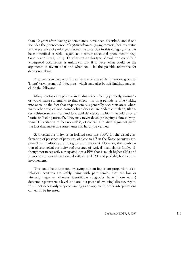than 10 years after leaving endemic areas have been described, and if one includes the phenomenon of *trypanotolerance* (asymptomatic, healthy status in the presence of prolonged, proven parasitemia) in this category, this has been described as well - again, as a rather anecdotal phenomenon (e.g. Ginoux and Frézil, 1981). To what extent this type of evolution could be a widespread occurrence, is unknown. But if it were, what could be the arguments in favour of it and what could be the possible relevance for decision making?

Arguments in favour of the existence of a possibly important group of 'latent' (asymptomatic) infections, which may also be self-limiting, may include the following.

Many serologically positive individuals keep feeling perfectly 'normal' or would make statements to that effect - for long periods of time (taking into account the fact that trypanosomiasis generally occurs in areas where many other tropical and cosmopolitan diseases are endemic: malaria, filariases, schistosomiasis, iron and folic acid deficiency,...which may add a lot of 'static' to 'feeling normal'). They may never develop sleeping sickness symptoms. This 'stating to feel normal' is, of course, a relative argument given the fact that subjective statements can hardly be verified.

Serological positivity, as an isolated sign, has a PPV for the visual confirmation of presence of parasites, of close to 1/3 in the Kasongo survey (repeated and multiple parasitological examinations). However, the combination of serological positivity *and* presence of 'typical' neck glands (a *sign*, although not necessarily a *complaint*) has a PPV that is much higher (2/3) and is, moreover, strongly associated with altered CSF and probably brain centre involvement.

This could be interpreted by saying that an important proportion of serological positives are stably living with parasitemias that are low or virtually negative, whereas identifiable subgroups have (more easily) detectable parasitemia levels and are in a phase of 'evolving' disease. Again, this is not necessarily very convincing as an argument; other interpretations can easily be invented.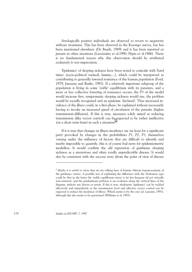Serologically positive individuals are observed to revert to negativity without treatment. This has been observed in the Kasongo survey, but has been mentioned elsewhere (De Raadt, 1989) and it has been reported *en passant* in other situations (Laveissière et al.1990; Pépin et al.1986). There is no fundamental reason why this observation should be attributed *exclusively* to test imprecision.

'Epidemics' of sleeping sickness have been noted to coincide with 'hard times' (socio-political turmoil, famine,...), which could be interpreted as contributing to generally lowered resistance of the human population (Ford, 1979; Janssens and Burke, 1992). If a relatively important subgroup of the population is living in some 'stable' equilibrium with its parasites, and a more or less collective lowering of resistance occurs, the *P3* of the model would increase first, symptomatic sleeping sickness would rise, the problem would be socially recognised and an epidemic 'declared'. Thus increased incidence of the *illness* could, in a first phase, be explained without necessarily having to invoke an increased speed of circulation of the parasite (higher transmission-diffusion). If this is true, measures solely aimed at reducing transmission (like vector control) can be expected to be rather ineffective (on a short term basis) in such a situation <sup>6</sup>.

If it is true that changes in illness incidence are (at least for a significant part) provoked by changes in the probabilities *P1*, *P2*, *P3*, themselves varying under the influence of factors that are difficult to identify and maybe impossible to quantify, this is of course bad news for epidemiometric modellers. It would confirm the old reputation of *gambiense* sleeping sickness as a mysterious and often totally unpredictable disease. It would also be consistent with the success story (from the point of view of disease

*114 Studies in HSO&P, 7, 1997*

 $\overline{\phantom{a}}$ 

 $<sup>6</sup>$  Maybe it is useful to stress that we are talking here of human African trypanosomiasis of</sup> the *gambiense* variety. A possible way of explaining the difference with the *rhodesiense* type could be that in the latter the 'stable equilibrium status' is far less frequent (if not virtually non-existent), and the predominant pathway is an evolution along the vertical lines of the diagram, without any detour or return. If this is true, *rhodesiense* 'epidemics' can be tackled effectively and immediately at the transmission level and effective vector control can be expected to reduce the incidence of illness. Which seems to be the case (cf. Lancien, 1991), although this also seems to be questioned (Williams et al. 1993).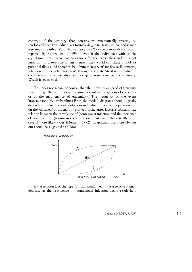control) of the strategy that consists in systematically treating *all* serologically positive individuals (using a '*diagnostic*' test) - where and if such a strategy is feasible (Van Nieuwenhove, 1992) or the comparable approach reported by Bruneel et al. (1994): even if the individuals with 'stable' equilibrium status were *not* contagious for the tsetse flies and thus not important as a reservoir for *transmission*, they would constitute a pool for potential illness and therefore be a human 'reservoir' for *illness*. Eliminating infection in this latter 'reservoir', through adequate 'sterilising' treatment, could make the illness disappear for quite some time in a community. Which it seems to do.

This does not mean, of course, that the intensity or speed of transmission through the vector would be unimportant in the genesis of epidemics or in the maintenance of endemicity. The frequency of the event 'transmission' (the probabilities *P0* in the model's diagram) should logically depend on the numbers of contagious individuals in a given population and on the 'closeness' of the man-fly contact. If the latter factor is constant, the relation between the prevalence of (contagious) infection and the incidence of new infection (transmission) is unknown, but could theoretically be of several more likely types (Mentens, 1992). Graphically the more obvious ones could be suggested as follows:



If the relation is of the type (a), this would mean that a relatively small decrease in the prevalence of (contagious) infection would result in a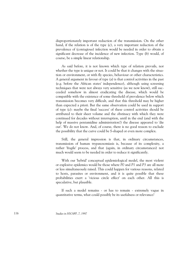disproportionately important reduction of the transmission. On the other hand, if the relation is of the type (c), a very important reduction of the prevalence of (contagious) infection would be needed in order to obtain a significant decrease of the incidence of new infection. Type (b) would, of course, be a simple linear relationship.

As said before, it is not known which type of relation prevails, nor whether the type is unique or not. It could be that it changes with the situation or environment, or with fly species, behaviour or other characteristics. A general argument in favour of type (a) is that control activities in the past (e.g. before the African states' independence), although using screening techniques that were not always very sensitive (as we now know), still succeeded somehow in almost eradicating the disease, which would be compatible with the existence of some threshold of prevalence below which transmission becomes very difficult, and that this threshold may be higher than expected a priori. But the same observation could be used in support of type (c): maybe the final 'success' of these control activities should be attributed to their sheer volume and the obstinacy with which they were continued for decades without interruption, until in the end (and with the help of massive pentamidine administration!) the disease appeared to 'die out'. We do not know. And, of course, there is no good reason to exclude the possibility that the curve could be S-shaped or even more complex.

Still, the general impression is that, in ordinary circumstances, transmission of human trypanosomiasis is, because of its complexity, a rather 'fragile' process, and that (again, in ordinary circumstances) not much would seem to be needed in order to reduce it significantly.

With our 'hybrid' conceptual epidemiological model, the most violent or explosive epidemics would be those where *P0* and *P1* and *P3* are all more or less simultaneously raised. This could happen for various reasons, related to hosts, parasites or environment, and it is quite possible that these probabilities exert a 'vicious circle effect' on each other. All this is speculative, but plausible.

If such a model remains - or has to remain - extremely vague in quantitative terms, what could possibly be its usefulness or relevance?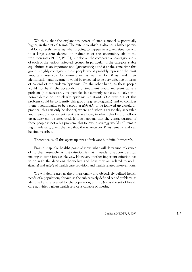We think that the explanatory power of such a model is potentially higher, in theoretical terms. The extent to which it also has a higher potential for correctly *predicting* what is going to happen in a given situation will to a large extent depend on reduction of the uncertainty about the transition rates P1, P2, P3, P4, but also on the comparative 'contagiousness' of each of the various 'infected' groups. In particular, if the category 'stable equilibrium' is an important one (*quantitatively*) and *if* at the same time this group is highly contagious, these people would probably represent the most important reservoir for *transmission* as well as for *illness*, and their identification and treatment would be expected to be very effective in terms of control of the endemic/epidemic. On the other hand, as these people would not be *ill*, the acceptability of treatment would represent quite a problem (not necessarily insuperable, but certainly not easy to solve in a non-epidemic or not clearly epidemic situation). One way out of this problem could be to identify this group (e.g. serologically) and to consider them, operationally, to be a group at *high risk*, to be followed up closely. In practice, this can only be done if, where and when a reasonably accessible and preferably permanent service is available, in which this kind of followup activity can be integrated. If it so happens that the contagiousness of these people is not a big problem, this follow-up strategy would still remain highly relevant, given the fact that the *reservoir for illness* remains and can be circumscribed.

Theoretically, all this opens up areas of relevant but difficult research.

From our (public health) point of view, what will determine relevance of (further) research? A first criterion is that it needs to support decision making in some foreseeable way. However, another important criterion has to do with the decisions themselves and how they are related to *needs*, *demand* and *supply* of health care provision and health related interventions.

We will define *need* as the professionally and objectively defined health needs of a population, *demand* as the subjectively defined set of problems as identified and expressed by the population, and *supply* as the set of health care activities a given health service is capable of offering.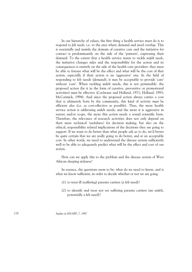In our hierarchy of values, the first thing a health service must do is to respond to *felt needs*, i.e. to the area where demand and need overlap. This is essentially and mainly the domain of curative care and the initiative for contact is predominantly on the side of the 'patients', expressing their demand. To the extent that a health service wants to tackle *unfelt needs*, the initiative changes sides and the responsibility for the action and its consequences is entirely on the side of the health care providers: they must be able to foresee what will be the effect and what will be the cost of *their* action, especially if their action is an 'aggressive' one. In the field of responding to felt needs (demand), it may be acceptable to provide 'care' without 'cure'. When tackling *un*felt needs, this is not permissible: the proposed action (be it in the form of curative, preventive or promotional activities) *must* be effective (Cochrane and Holland, 1971; Holland, 1993; McCormick, 1994). And since the proposed action always carries a cost that is ultimately born by the community, this kind of activity *must* be efficient also (i.e. as cost-effective as possible). Thus, the more health service action is addressing unfelt needs, and the more it is aggressive in nature and/or scope, the more this action needs a sound scientific basis. Therefore, the relevance of research activities does not only depend on their mere technical 'usefulness' for decision making, but also on the ethical, responsibility related implications of the decisions they are going to support. If we want to do better than what people ask us to do, we'd better be quite certain that we are really going to do better, *and* at an acceptable cost. In other words, we need to understand the disease system sufficiently well to be able to adequately predict what will be the effect and cost of our action.

How can we apply this to the problem and the disease system of West African sleeping sickness?

In essence, the questions seem to be: what do we need to know, and is what we know sufficient, in order to decide whether or not we are going

- (1) to treat ill (suffering) parasite carriers (a felt need)?
- (2) to identify and treat not yet suffering parasite carriers (an unfelt, potentially a felt need)?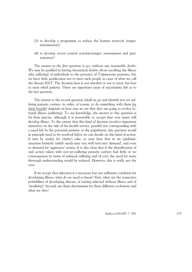- (3) to develop a programme to reduce the human reservoir (target: transmission)?
- (4) to develop vector control activities(target: transmission and 'pest' nuisance)?

The answer to the *first* question is *yes*, without any reasonable doubt. We may be justified in having theoretical doubts about ascribing the illness (the suffering) of individuals to the presence of *Trypanosoma* parasites, but we have little justification not to treat such people as cases of what we call the disease HAT. The decision here is not whether or not to treat, but *how* to treat *which patients*. There are important areas of uncertainty left as to the last question.

The answer to the *second* question (shall we go and identify not yet suffering parasite carriers, in order, of course, to do something with them for their benefit) depends on how sure we are that they are going to evolve towards illness (suffering). To our knowledge, the answer to this question is far from precise, although it is reasonable to accept that very many will develop illness. To the extent that this kind of decision involves important initiatives on the side of the health service, possibly not corresponding with a need felt by the potential patients or the population, this question would in principle need to be resolved *before* we can decide on this kind of action. It may be useful, for clarity's sake, to note here that in an 'epidemic' situation formerly 'unfelt' needs may very well turn into 'demand', and even to demand for 'aggressive' action. It is also clear that if the identification of and action taken with not-yet-suffering parasite carriers had little or no consequences in terms of induced suffering and of cost, the need for more thorough understanding would be reduced. However, this is really not the case.

If we accept that infection is a necessary but not sufficient condition for developing illness, what do we need to know? First, what are the respective *probabilities* of developing disease, of staying infected without illness and of 'sterilising'? Second, are there *determinants* for these different evolutions and what are they?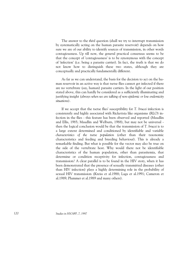The answer to the *third* question (shall we try to interrupt transmission by systematically acting on the human parasite reservoir) depends on how sure we are of our ability to identify sources of transmission, in other words contagiousness. Up till now, the general practical consensus seems to be that the concept of 'contagiousness' is to be synonymous with the concept of 'infection' (i.e. being a parasite carrier). In fact, the truth is that we do not know how to distinguish these two states, although they are conceptually and practically fundamentally different.

As far as we can understand, the basis for the decision to act on the human reservoir in an active way is that tsetse flies cannot get infected if there are no vertebrate (say, human) parasite carriers. In the light of our position stated above, this can hardly be considered as a sufficiently illuminating and justifying insight (always *when we are talking of non-epidemic or low endemicity situations)*.

If we accept that the tsetse flies' susceptibility for *T. brucei* infection is consistently and highly associated with Rickettsia like organisms (RLO) infection in the flies - this feature has been observed and reported (Maudlin and Ellis, 1985; Maudlin and Welburn, 1988), but may not be universal then the logical conclusion would be that the transmission of *T. brucei* is to a large extent determined and conditioned by identifiable and variable *characteristics of the tsetse population* (other than their taxonomic characteristics and feeding and breeding behaviour). This is already a remarkable finding. But what is possible for the vector may also be true on the side of the vertebrate host. Why would there not be identifiable characteristics of the human population, other than parasitemia, that determine or condition receptivity for infection, contagiousness and transmission? A clear parallel is to be found in the HIV story, when it has been demonstrated that the presence of sexually transmitted diseases (other than HIV infection) plays a highly determining role in the probability of sexual HIV transmission (Kreiss et al.1988; Laga et al.1991; Cameron et al.1989; Plummer et al.1989 and many others).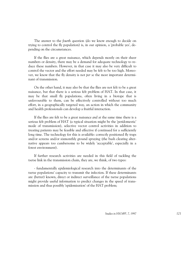The answer to the *fourth* question (do we know enough to decide on trying to control the fly population) is, in our opinion, a 'probable yes', depending on the circumstances.

If the flies are a great nuisance, which depends mostly on their sheer numbers or density, there may be a demand for adequate technology to reduce these numbers. However, in that case it may also be very difficult to control the vector and the effort needed may be felt to be too high. Moreover, we know that the fly density is not *per se* the most important determinant of transmission.

On the other hand, it may also be that the flies are not felt to be a great nuisance, but that there is a serious felt problem of HAT. In that case, it may be that small fly populations, often living in a biotope that is unfavourable to them, can be effectively controlled without too much effort, in a geographically targeted way, an action in which the community and health professionals can develop a fruitful interaction.

If the flies are felt to be a great nuisance *and* at the same time there is a serious felt problem of HAT (a typical situation might be the 'peridomestic' mode of transmission), selective vector control activities in addition to treating patients may be feasible and effective if continued for a sufficiently long time. The technology for this is available: correctly positioned fly traps and/or screens and/or sixmonthly ground spraying (the bush clearing alternative appears too cumbersome to be widely 'acceptable', especially in a forest environment).

If further research activities are needed in this field of tackling the tsetse link in the transmission chain, they are, we think, of two types:

- fundamentally epidemiological research into the determinants of the tsetse populations' capacity to transmit the infection. If these determinants are (better) known, direct or indirect surveillance of the tsetse populations might provide useful information to predict changes in the speed of transmission and thus possibly 'epidemisation' of the HAT problem;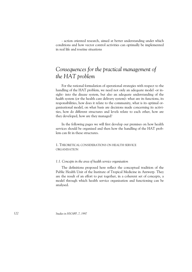- action oriented research, aimed at better understanding under which conditions and how vector control activities can optimally be implemented in real life and routine situations

# *Consequences for the practical management of the HAT problem*

For the rational formulation of operational strategies with respect to the handling of the HAT problem, we need not only an adequate model -or insight- into the *disease* system, but also an adequate understanding of the *health* system (or the health care delivery system): what are its functions, its responsibilities, how does it relate to the community, what is its optimal organisational model, on what basis are decisions made concerning its activities, how do different structures and levels relate to each other, how are they developed, how are they managed?

In the following pages we will first develop our premises on how health services should be organised and then how the handling of the HAT problem can fit in these structures.

# 1. THEORETICAL CONSIDERATIONS ON HEALTH SERVICE ORGANISATION

#### *1.1. Concepts in the area of health service organisation*

The definitions proposed here reflect the conceptual tradition of the Public Health Unit of the Institute of Tropical Medicine in Antwerp. They are the result of an effort to put together, in a coherent set of concepts, a model through which health service organisation and functioning can be analysed.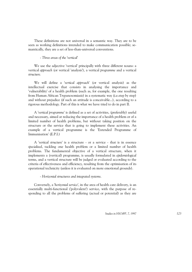These definitions are not universal in a semantic way. They are to be seen as working definitions intended to make communication possible; semantically, they are a set of less-than-universal conventions.

#### - *Three areas of the 'vertical'*

We use the adjective 'vertical' principally with three different nouns: a vertical *approach* (or vertical 'analysis'), a vertical *programme* and a vertical *structure.*

We will define a '*vertical approach*' (or vertical analysis) as the intellectual exercise that consists in analysing the importance and 'vulnerability' of a health problem (such as, for example, the one resulting from Human African Trypanosomiasis) in a systematic way (i.e.step by step) and without prejudice (if such an attitude is conceivable...), according to a rigorous methodology. Part of this is what we have tried to do in part II.

A '*vertical programme*' is defined as a set of activities, (preferably) useful and necessary, aimed at reducing the importance of a health problem or of a limited number of health problems, but without taking position on the structure or the service that is going to implement these activities. An example of a vertical programme is the 'Extended Programme of Immunisation' (E.P.I.)

A '*vertical structure*' is a structure - or a service - that is in essence *specialised*, tackling one health problem or a limited number of health problems. The fundamental objective of a vertical structure, when it implements a (vertical) programme, is usually formulated in *epidemiological* terms, and a vertical structure will be judged or evaluated according to the criteria of effectiveness and efficiency, resulting from the optimisation of its operational technicity (unless it is evaluated on more emotional grounds).

- *Horizontal structures and integrated systems*.

Conversely, a '*horizontal service*', in the area of health care delivery, is an essentially multi-functional ('polyvalent') service, with the purpose of responding to all the problems of suffering (actual or potential) as they are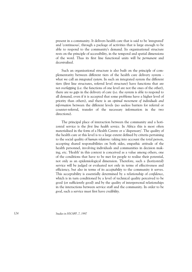present in a community. It delivers health care that is said to be 'integrated' and 'continuous', through a package of activities that is large enough to be able to respond to the community's demand. Its organisational structure rests on the principle of accessibility, in the temporal and spatial dimensions of the word. Thus its first line functional units will be *permanent* and *decentralised*.

Such an organisational structure is also built on the principle of complementarity between different tiers of the health care delivery system what we call an *integrated system*. In such an integrated system the different tiers (first line structures, referral level structure) have functions that are *not overlapping* (i.e. the functions of one level are not the ones of the other), there are *no gaps* in the delivery of care (i.e. the system is able to respond to all demand, even if it is accepted that some problems have a higher level of priority than others), and there is an *optimal movement of individuals and information* between the different levels (no useless barriers for referral or counter-referral, transfer of the necessary information in the two directions).

The principal place of interaction between the community and a horizontal service is the *first line health service*. In Africa this is most often materialised in the form of a Health Centre or a 'dispensary'. The quality of the health care at this level is to a large extent defined by criteria pertaining to the social quality of *human relations*: taking into account the total person, accepting shared responsibilities on both sides, empathic attitude of the health personnel, involving individuals and communities in decision making, etc. 'Health' in this context is conceived as a value among others, one of the conditions that have to be met for people to realise their potential, not only as an epidemiological dimension. Therefore, such a (horizontal) service will be judged or evaluated not only in terms of effectiveness and efficiency, but also in terms of its *acceptability* to the community it serves. This acceptability is essentially determined by a relationship of *confidence*, which is in turn conditioned by a level of technical quality perceived to be good (or sufficiently good) and by the quality of interpersonal relationships in the interactions between service staff and the community. In order to be *good*, such a service must first have *credibility*.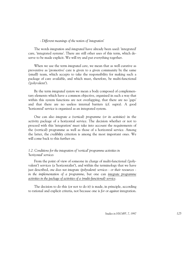## - *Different meanings of the notion of 'integration'*

The words *integration* and *integrated* have already been used: 'integrated' care, 'integrated systems'. There are still other uses of this term, which deserve to be made explicit. We will try and put everything together.

When we use the term *integrated care*, we mean that as well curative as preventive as 'promotive' care is given to a given community by the same (small) team, which accepts to take the responsibility for making such a package of care available, and which must, therefore, be multi-functional ('polyvalent').

By the term *integrated system* we mean a body composed of complementary elements which have a common objective, organised in such a way that within this system functions are not overlapping, that there are no 'gaps' and that there are no useless internal barriers (cf. supra). A good 'horizontal' service is organised as an integrated system.

One can also *integrate a (vertical) programme (or its activities)* in the activity package of a horizontal service. The decision whether or not to proceed with this 'integration' must take into account the requirements of the (vertical) programme as well as those of a horizontal service. Among the latter, the *credibility* criterion is among the most important ones. We will come back to this further on.

# *1.2. Conditions for the integration of 'vertical' programme activities in 'horizontal' services*

From the point of view of someone in charge of multi-functional ('polyvalent') services (a 'horizontalist'), and within the terminology that we have just described, *one does not integrate (polyvalent) services - or their resources in the implementation of a programme*, but one can *integrate programme activities in the package of activities of a (multi-functional) service*.

The decision to do this (or not to do it) is made, in principle, according to rational and explicit criteria, not because one is *for* or *against* integration.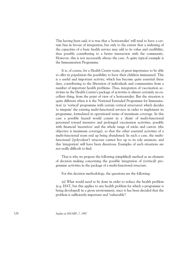This having been said, it is true that a 'horizontalist' will tend to have a certain bias in favour of integration, but only to the extent that a widening of the capacities of a basic health service may add to its value and credibility, thus possibly contributing to a better interaction with the community. However, this is not necessarily always the case. A quite typical example is the Immunisation Programme.

It is, of course, for a Health Centre team, of great importance to be able to offer its population the possibility to have their children immunised. This is a useful and important activity, which has become quite essential these days, contributing to the liberation of individuals and communities from a number of important health problems. Thus, integration of vaccination activities in the Health Centre's package of activities is almost certainly an excellent thing, from the point of view of a horizontalist. But the situation is quite different when it is the 'National Extended Programme for Immunisation' (a 'vertical' programme with certain vertical structures) which decides '*to integrate*' the existing multi-functional services in order to implement its programme, formulated in operational terms of maximum coverage. In this case a possible hazard would consist in a 'drain' of multi-functional personnel toward intensive and prolonged vaccination activities, possibly with financial 'incentives' and the whole range of sticks and carrots (the objective is maximum coverage), so that the other essential activities of a multi-functional team end up being abandoned. In such a case, the multifunctional ('polyvalent') structure cannot live up to its role anymore, and this 'integration' will have been disastrous. Examples of such situations are not really difficult to find.

That is why we propose the following (simplified) method as an element of decision making concerning the possible integration of (vertical) programme activities in the package of a multi-functional structure.

For this decision methodology, the questions are the following:

(a) *What* would need to be done in order to reduce the health problem (e.g. HAT, but this applies to any health problem for which a programme is being developed) in a given environment, once it has been decided that the problem is sufficiently important and 'vulnerable'?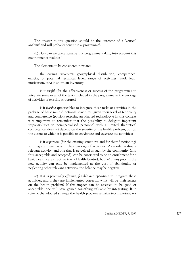The answer to this question should be the outcome of a 'vertical analysis' and will probably consist in a 'programme'.

(b) *How* can we operationalise this programme, taking into account this environment's realities?

The elements to be considered now are:

− the *existing structures*: geographical distribution, competence, existing or potential technical level, range of activities, work load, motivation, etc.; in short, an inventory;

− is it *useful* (for the effectiveness or success of the programme) to integrate some or all of the tasks included in the programme in the package of activities of existing structures?

− is it *feasible* (practicable) to integrate these tasks or activities in the package of basic multi-functional structures, given their level of technicity and competence (possibly selecting an adapted technology)? In this context it is important to remember that the possibility to delegate important responsibilities to non-specialised personnel with a limited theoretical competence, does *not* depend on the severity of the health problem, but on the extent to which it is possible to *standardise* and *supervise* the activities;

− is it *opportune* (for the existing structures and for their functioning) to integrate these tasks in their package of activities? As a rule, adding a relevant activity, and one that is perceived as such by the community (and thus acceptable and accepted), can be considered to be an enrichment for a basic health care structure (say a Health Centre), but *not at any price*. If the new activity can only be implemented at the cost of abandoning or neglecting other relevant activities, the balance may be negative.

(c) If it is *potentially effective, feasible and opportune* to integrate these activities, and if they are implemented correctly, what will be their *impact* on the health problem? If this impact can be assessed to be good or acceptable, one will have gained something valuable by integrating. If in spite of the adopted strategy the health problem remains too important (or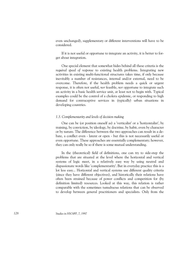even unchanged), supplementary or different interventions will have to be considered.

If it is not useful or opportune to integrate an activity, it is better to forget about integration.

One special element that somewhat hides behind all these criteria is the *required speed of response* to existing health problems. Integrating new activities in existing multi-functional structures takes time, if only because inevitably a number of resistances, internal and/or external, need to be overcome. Therefore, if the health problem needs a quick or urgent response, it is often not useful, *nor* feasible, *nor* opportune to integrate such an activity in a basic health service unit, at least not to begin with. Typical examples could be the control of a cholera epidemic, or responding to high demand for contraceptive services in (typically) urban situations in developing countries.

#### *1.3. Complementarity and levels of decision making*

One can be (or position oneself as) a 'verticalist' or a 'horizontalist', by training, by conviction, by ideology, by doctrine, by habit, even by character or by nature. The difference between the two approaches can result in a debate, a conflict even - latent or open - but this is not necessarily useful or even opportune. These approaches are essentially complementary; however, they can only really be so if there is some mutual understanding.

In the (theoretical) field of definitions, one can try to side-step the problems that are situated at the level where the horizontal and vertical systems of logic meet, in a relatively easy way by using neutral and dispassionate words like 'complementarity'. But in everyday practice this is a lot less easy... Horizontal and vertical systems use different quality criteria (since they have different objectives), and historically their relations have often been strained because of power conflicts and competition for (by definition limited) resources. Looked at this way, this relation is rather comparable with the sometimes tumultuous relations that can be observed to develop between general practitioners and specialists. Only from the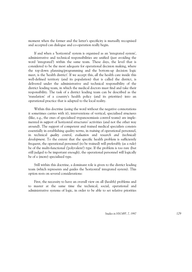moment when the former and the latter's specificity is mutually recognised and accepted can dialogue and co-operation really begin.

If and when a 'horizontal' system is organised as an 'integrated system', administrative and technical responsibilities are unified (just avoiding the word 'integrated') within the same team. These days, the level that is considered to be the most adequate for operational decision making, where the top-down planning/programming and the bottom-up decision logic meet, is the 'health district'. If we accept this, *all* the health care inside this well-defined territory (and its population) that is called the district, is delivered under the administrative and technical responsibility of the district leading team, in which the medical doctors must find and take their responsibility. The task of a district leading team can be described as the 'translation' of a country's health policy (and its priorities) into an operational practice that is adapted to the local reality.

Within this doctrine (using the word without the negative connotations it sometimes carries with it), interventions of vertical, specialised *structures* (like, e.g., the ones of specialised trypanosomiasis control teams) are implemented *in support* of horizontal structures' activities (and not the other way around). The support of competent and trained medical specialists consists essentially in establishing quality *norms*, in *training* of operational personnel, in technical *quality control*, *evaluation* and *research and (technical) development*. To the extent that the specific health problem is sufficiently frequent, the operational personnel (to be trained) will preferably (as a rule) be of the multi-functional ('polyvalent') type. If the problem is too rare (but still judged to be important enough), the operational personnel will logically be of a (more) specialised type.

Still within this doctrine, a dominant role is given to the district leading team (which represents and guides the 'horizontal' integrated system). This option rests on several considerations:

First, the necessity to have an overall view on all (health) problems and to master at the same time the technical, social, operational and administrative systems of logic, in order to be able to set relative priorities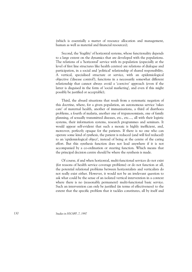(which is essentially a matter of resource allocation and management, human as well as material and financial resources);

Second, the 'fragility' of horizontal systems, whose functionality depends to a large extent on the dynamics that are developed with the populations. The relations of a 'horizontal' service with its population (especially at the level of first line structures like health centres) are relations of dialogue and participation, in a social and 'political' relationship of shared responsibility. A vertical, specialised structure or service, with an epidemiological objective ('disease control'), functions in a necessarily somewhat different relationship that cannot always avoid a 'coercive' approach (even if the latter is disguised in the form of 'social marketing', and even if this might possibly be justified or acceptable);

Third, the absurd situations that result from a systematic negation of this doctrine, where, for a given population, an autonomous service 'takes care' of maternal health, another of immunisations, a third of diarrhoea problems, a fourth of malaria, another one of trypanosomiasis, one of family planning, of sexually transmitted diseases, etc., etc...., all with their logistic systems, their information systems, research programmes and seminars. It would appear self-evident that such a mosaic is highly inefficient, and, moreover, perfectly opaque for the patients. If there is no one who can operate some kind of *synthesis*, the patient is reduced (and will feel reduced) to an 'epidemiological object', instead of being at the centre of the caring effort. But this synthesis function does not lead anywhere if it is not accompanied by a co-ordination or steering function. Which means that the principal decision centre should be where the synthesis is made.

Of course, if and when horizontal, multi-functional services do not exist (for reasons of health service coverage problems) or do not function at all, the potential relational problems between horizontalists and verticalists do not really exist either. However, it would not be an irrelevant question to ask what could be the sense of an isolated vertical intervention in a context where there is no (reasonably permanent) multi-functional basic service. Such an intervention can only be justified (in terms of effectiveness) to the extent that the specific problem that it tackles constitutes, all by itself and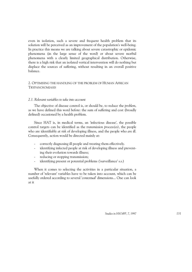even in isolation, such a severe and frequent health problem that its solution will be perceived as an improvement of the population's well-being. In practice this means we are talking about severe catastrophic or epidemic phenomena (in the large sense of the word) or about severe morbid phenomena with a clearly limited geographical distribution. Otherwise, there is a high risk that an isolated vertical intervention will do nothing but displace the sources of suffering, without resulting in an overall positive balance.

# 2. OPTIMISING THE HANDLING OF THE PROBLEM OF HUMAN AFRICAN TRYPANOSOMIASIS

#### *2.1. Relevant variables to take into account*

The objective of disease control is, or should be, to reduce the *problem*, as we have defined this word before: the sum of suffering and cost (broadly defined) occasioned by a health problem.

Since HAT is, in medical terms, an 'infectious disease', the possible control targets can be identified as the *transmission process(es)*, the people who are identifiably *at risk* of developing illness, and the people who *are ill*. Consequently, action would be directed mainly at:

- correctly diagnosing ill people and treating them effectively.
- identifying infected people at risk of developing illness and preventing their evolution towards illness;
- reducing or stopping transmission;
- identifying present or potential problems ('surveillance' s.s.)

When it comes to selecting the activities in a particular situation, a number of 'relevant' variables have to be taken into account, which can be usefully ordered according to several '*contextual*' dimensions... One can look at it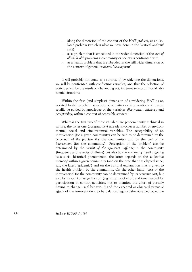- along the dimension of the context of the *HAT problem*, as an isolated problem (which is what we have done in the 'vertical analysis' part);
- as a problem that is embedded in the wider dimension of the *sum of all the health* problems a community or society is confronted with;
- as a health problem that is embedded in the still wider dimension of the context of general or *overall 'development'*.

It will probably not come as a surprise if, by widening the dimensions, we will be confronted with conflicting variables, and that the selection of activities will be the result of a balancing act, inherent to most if not all 'dynamic' situations.

Within the first (and simplest) dimension of considering HAT as an isolated health problem, selection of activities or interventions will most readily be guided by knowledge of the variables *effectiveness*, *efficiency* and *acceptability*, within a context of accessible services.

Whereas the first two of these variables are predominantly technical in nature, the latter one (acceptability) already involves a number of environmental, social and circumstantial variables. The acceptability of an intervention (for a given community) can be said to be determined by the *perception of the problem* (by the community) and by the *cost of the intervention* (for the community). 'Perception of the problem' can be determined by the *weight of the (present) suffering* in the community (frequency and severity of illness) but also by the *memory of (past) suffering* as a social historical phenomenon: the latter depends on the 'collective memory' within a given community (and on the time that has elapsed since, say, the latest 'epidemic') and on the cultural explanation that is given to the health problem by the community. On the other hand, 'cost of the intervention' for the community can be determined by its *economic cost*, but also by its *social or subjective cost* (e.g. in terms of effort and time needed for participation in control activities, not to mention the effort of possibly having to change usual behaviour) and the expected or observed *iatrogenic effects* of the intervention - to be balanced against the observed objective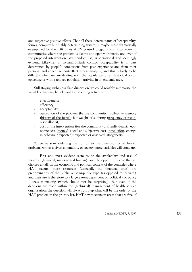and subjective positive effects. That all these determinants of 'acceptability' form a complex but highly determining system, is maybe most dramatically exemplified by the difficulties AIDS control programs run into, even in communities where the problem is clearly and openly dramatic, and even if the proposed intervention (say, condom use) is so 'rational' and seemingly evident. Likewise, in trypanosomiasis control, acceptability is in part determined by people's conclusions from past experience and from their personal and collective 'cost-effectiveness analysis', and this is likely to be different when we are dealing with the population of an historical focus' epicentre or with a refugee population arriving in an endemic area.

Still staying within our first 'dimension' we could roughly summarise the variables that may be relevant for selecting activities:

- effectiveness;
- efficiency;
- acceptability;
- perception of the problem (by the community): collective memory (history of the focus); felt weight of suffering (frequency of recognised illness);
- cost of the intervention (for the community and individuals): economic cost (money); social and subjective cost (time, effort, change in behaviour expected); expected or observed iatrogenesis.

When we start widening the horizon to the dimension of all health problems within a given community or society, more variables will come up.

First and most evident seem to be the availability and use of *resources* (financial, material and human), and the opportunity cost that all choices entail. In the economic and political context of the countries where HAT occurs, these resources (especially the financial ones) are predominantly of the public or semi-public type (as opposed to 'private') and their use is therefore to a large extent dependent on political - or policy - decision making (which should not be surprising). But even if the decisions are made within the (technical) management of health service organisation, the question will always crop up what will be the order of the HAT problem in the priority list. HAT never occurs in areas that are free of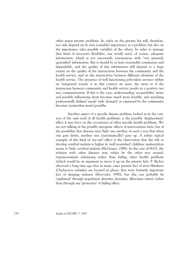other major priority problems. Its order on the priority list will, therefore, not only depend on its own (variable) importance as a problem, but also on the importance (also possibly variable) of the others. In order to manage that kind of necessary flexibility, one would need, of course, adequate information, which is not necessarily synonymous with 'very precisely quantified' information. But it should be at least reasonably continuous and dependable, and the quality of this information will depend to a large extent on the quality of the interactions between the community and the health service, and on the interactions between different elements of the health service. The presence of well functioning polyvalent services within an 'integrated system' is in this context an asset, the more so if the interaction between community and health service results in a positive two way communication. If this is the case, understanding 'acceptability' issues and possibly influencing them becomes much more feasible, and matching professionally defined 'needs' with 'demand' as expressed by the community becomes (somewhat more) possible.

Another aspect of a specific disease problem, looked at in the context of the sum total of all health problems, is the possible 'displacement' effect it may have on the occurrence of other specific health problems. We are not talking of the possibly iatrogenic effects of interventions here, but of the possibility that diseases may 'hide' one another, in such a way that when one goes down, another one ('automatically') goes up. A rather typical example of this kind of 'see-saw' effect is the observation that the risk to develop cerebral malaria is higher in 'well nourished' children: malnutrition seems to 'hide' cerebral malaria (McGregor, 1988). In the case of HAT, the relation with other diseases may rather be the other way around, trypanosomiasis enhancing rather than hiding other health problems (which would be an argument to move it up on the priority list). P. Richet observed a long time ago that in many cases present foci of river blindness (*Onchocerca volvulus*) are located in places that were formerly important foci of sleeping sickness (Hervouët, 1990), but this can probably be 'explained' through population densities dynamics (flies/man ratios) rather than through any 'protective' or hiding effect.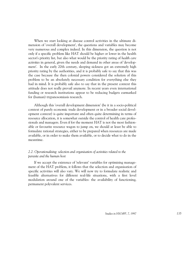When we start looking at disease control activities in the ultimate dimension of 'overall development', the questions and variables may become very numerous and complex indeed. In this dimension, the question is not only if a specific problem like HAT should be higher or lower in the health sector's priority list, but also what would be the priority rating of *health care activities* in general, given the needs and demand in other areas of 'development'. In the early 20th century, sleeping sickness got an extremely high priority rating by the authorities, and it is probably safe to say that this was the case because the then colonial powers considered the solution of this problem to be an absolutely necessary condition for everything else they had in mind. It is probably safe also to say that in the present context this attitude does not really prevail anymore. In recent years even international funding or research institutions appear to be reducing budgets earmarked for (human) trypanosomiasis research.

Although this 'overall development dimension' (be it in a socio-political context of purely economic trade development or in a broader social development context) is quite important and often quite determining in terms of resource allocation, it is somewhat outside the control of health care professionals and managers. Even if for the moment HAT is not the most fashionable or favourite resource wagon to jump on, we should at least be able to formulate rational strategies, either to be prepared when resources are made available, or in order to make them available, or to decide what to do in the meantime.

# *2.2. Operationalising: selection and organisation of activities related to the parasite and the human host*

If we accept the existence of 'relevant' variables for optimising management of the HAT problem, it follows that the selection and organisation of specific activities will also vary. We will now try to formulate realistic and feasible alternatives for different real-life situations, with a first level modulation around one of the variables: the availability of functioning, permanent polyvalent services.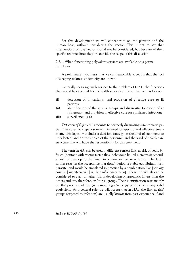For this development we will concentrate on the parasite and the human host, without considering the vector. This is not to say that interventions on the vector should not be considered, but because of their specific technicalities they are outside the scope of this discussion.

2.2.1. When functioning polyvalent services are available on a permanent basis.

A preliminary hypothesis that we can reasonably accept is that the foci of sleeping sickness endemicity are known.

Generally speaking, with respect to the problem of HAT, the functions that would be expected from a health service can be summarised as follows:

- (i) detection of ill patients, and provision of effective care to ill patients;
- (ii) identification of the at risk groups and diagnostic follow-up of at risk groups, and provision of effective cure for confirmed infection;
- (iii) surveillance (s.s.)

'*Detection of ill patients*' amounts to correctly diagnosing symptomatic patients as cases of trypanosomiasis, in need of specific and effective treatment. This logically includes a decision strategy on the kind of treatment to be selected, and on the choice of the personnel and the kind of health care structure that will have the responsibility for this treatment.

The term '*at risk*' can be used in different senses: first, at risk of being *infected* (contact with vector tsetse flies, behaviour linked elements); second, at risk of developing the *illness* in a more or less near future. The latter notion rests on the acceptance of a (long) period of stable equilibrium hostparasite, and would be translated in practice by a combination like [*serology positive* | *asymptomatic* | *no detectable parasitemia*]. These individuals can be considered to carry a higher risk of developing symptomatic illness than the others and are, therefore, an 'at risk group'. Their identification rests mainly on the presence of the (screening) sign 'serology positive' - or any valid equivalent. As a general rule, we will accept that in HAT the first 'at risk' groups (exposed to infection) are usually known from past experience if and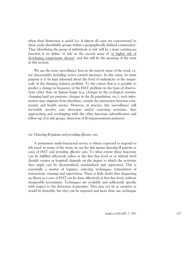when their distinction is useful (i.e. if almost all cases are concentrated in these easily identifiable groups within a geographically defined community). Thus 'identifying the group of individuals at risk' will be a more continuous function if we define 'at risk' in the second sense of 'at higher risk of developing symptomatic disease', and this will be the meaning of the term in this section.

We use the term 'surveillance' here in the narrow sense of the word, i.e. *not* (necessarily) including active control measures. In this sense, its main purpose is to be kept informed about the level of endemicity or the magnitude of the sleeping sickness problem. To the extent that it is possible to predict a change in frequency of the HAT problem on the basis of observations other than on *human beings* (e.g. changes in the ecological systems, changing land use patterns, changes in the fly population, etc.), such information may originate from elsewhere, outside the interaction between community and health service. However, in practice this 'surveillance' will inevitably involve case detection and/or screening activities, thus approaching and overlapping with the other functions (identification and follow-up of at risk groups, detection of ill trypanosomiasis patients).

#### *(a) Detecting ill patients and providing effective care*

A permanent multi-functional service is always expected to respond to felt need: in terms of the items on our list this means *detecting ill patients as cases of HAT* and *providing effective care*. To what extent these functions can be fulfilled effectively either at the first line level or at referral level (health centres or hospital) depends on the degree to which the activities they imply can be decentralised, standardised and supervised. This is essentially a matter of logistics, selecting techniques, formulation of instructions, training and supervision. There is little doubt that diagnosing an illness as a case of HAT *can* be done effectively at first line level, without insuperable investment. Techniques are available and sufficiently specific with respect to the detection of parasites. They may not be as sensitive as would be desirable, but they can be repeated and more than one technique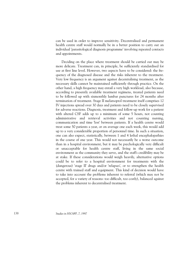can be used in order to improve sensitivity. Decentralised and permanent health centre staff would normally be in a better position to carry out an individual 'parasitological diagnosis programme' involving repeated contacts and appointments.

Deciding on the place where treatment should be carried out may be more delicate. Treatment can, in principle, be sufficiently standardised for use at first line level. However, two aspects have to be considered: the frequency of the diagnosed disease and the risks inherent to the treatment. Very low frequency is an argument against decentralising treatment, as the necessary skills cannot be maintained sufficiently through practice. On the other hand, a high frequency may entail a very high workload, also because, according to presently available treatment regimens, treated patients need to be followed up with sixmonthly lumbar punctures for 24 months after termination of treatment. Stage II melarsoprol treatment itself comprises 12 IV injections spread over 30 days and patients need to be closely supervised for adverse reactions. Diagnosis, treatment and follow-up work for a patient with altered CSF adds up to a minimum of some 5 hours, not counting administrative and retrieval activities and not counting nursing, communication and time 'lost' between patients. If a health centre would treat some 50 patients a year, or on average one each week, this would add up to a very considerable proportion of personnel time. In such a situation, one can also expect, statistically, between 1 and 4 lethal encephalopathies in the course of one year. This would not necessarily be a worse outcome than in a hospital environment, but it may be psychologically very difficult or unacceptable for health centre staff, living in the same social environment as the community they serve, and the staff's credibility may be at stake. If these considerations would weigh heavily, alternative options could be to refer to a hospital environment for treatments with the (dangerous) 'stage II' drugs and/or 'relapses', or to strengthen the health centre with trained staff and equipment. This kind of decision would have to take into account the problems inherent to referral (which may not be accepted, for a variety of reasons: too difficult, too costly), balanced against the problems inherent to decentralised treatment.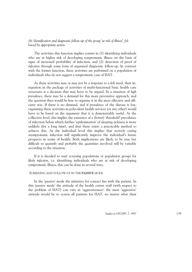# *(b) Identification and diagnostic follow-up of the group 'at risk of illness', followed by appropriate action*

The activities this function implies consist in (1) identifying individuals who are at higher risk of developing symptomatic illness on the basis of signs of increased probability of infection, and (2) detection of proof of *infection* through some form of organised diagnostic follow-up. In contrast with the former function, these activities are performed on a population of individuals who do not suggest a symptomatic case of HAT.

As these activities may or may not be a response to a felt need, their integration in the package of activities of multi-functional basic health care structures is a decision that may have to be argued. In a situation of *high prevalence*, there may be a demand for this more preventive approach, and the question then would be *how* to organise it in the most effective and efficient way. If there is no demand, and if *prevalence* of the disease is *low*, organising these activities in polyvalent health services (or any other) would have to be based on the argument that it is demonstrably useful. At the collective level, this implies the existence of a (lower) 'threshold' prevalence of infection below which further 'epidemisation' of sleeping sickness is more unlikely (for a long time), and that there exists a practicable method to achieve this. At the individual level this implies that actively curing asymptomatic infection will significantly improve the individual's future prospects in terms of health. Both implications are likely to be true but difficult to quantify and probably the quantities involved will be variable according to the situation.

If it is decided to start *screening* populations or population groups for *likely infection*, i.e. identifying individuals who are at risk of developing symptomatic illness, this can be done in several ways.

### SCREENING AND FOLLOW-UP IN THE **PASSIVE** MODE

In the 'passive' mode the initiative for contact lies with the patient. In this 'passive mode' the attitude of the health centre staff (with respect to the problem of HAT) can vary in 'aggressiveness': the most 'aggressive' attitude would be to screen *all* patients for HAT, no matter what their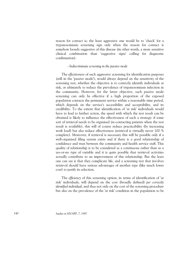reason for contact is; the least aggressive one would be to 'check' for a trypanosomiasis screening sign only when the reason for contact is somehow loosely suggestive of this disease (in other words, a more sensitive clinical combination than 'suggestive signs' calling for diagnostic confirmation).

#### - *Indiscriminate screening in the passive mode*

The *effectiveness* of such aggressive screening for identification purposes (still in the 'passive mode'), would always depend on the sensitivity of the screening test, whether the objective is to correctly identify individuals at risk, or ultimately to reduce the prevalence of trypanosomiasis infection in the community. However, for the latter objective, such passive mode screening can only be effective if a high proportion of the exposed population contacts the permanent service within a reasonable time period, which depends on the service's accessibility and acceptability, and its credibility. To the extent that identification of 'at risk' individuals would have to lead to further action, the speed with which the test result can be obtained is likely to influence the effectiveness of such a strategy: if some sort of retrieval needs to be organised (re-contacting patients when the test result is available), this will of course reduce practicability (by increasing work load) but also reduce effectiveness (retrieval is virtually never 100 % complete). Moreover, if retrieval is necessary this will be possible only if a well-organised filing system exists and if there is a good relationship of confidence and trust between the community and health service staff. This quality of relationship is to be considered as a continuous rather than as a yes-or-no type of variable and it is quite possible that retrieval activities actually contribute to an improvement of this relationship. But the least one can say is that they complicate life, and a screening test that involves retrieval should have serious advantages of another type (like much lower cost) to justify its selection.

The *efficiency* of this screening option, in terms of identification of 'at risk' individuals, will depend on the cost (broadly defined) *per correctly identified individual*, and thus not only on the cost of the screening procedure but also on the prevalence of the 'at risk' condition in the population to be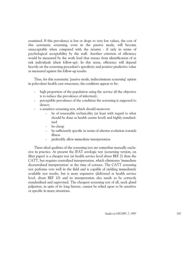examined. If this prevalence is low or drops to very low values, the cost of this systematic screening, even in the passive mode, will become unacceptable when compared with the returns - if only in terms of psychological acceptability by the staff. Another criterion of efficiency would be measured by the work load that ensues from identification of at risk individuals (their follow-up). In this sense, efficiency will depend heavily on the screening procedure's specificity and positive predictive value as measured against the follow-up results.

Thus, for this systematic 'passive mode, indiscriminate screening' option in polyvalent health care structures, the *conditions* appear to be:

- high proportion of the population using the service (if the objective is to reduce the prevalence of infection);
- perceptible prevalence of the condition the screening is supposed to detect;
- a sensitive screening test, which should moreover
	- be of reasonable technicality (at least with regard to what should be done at health centre level) and highly standardised
	- be cheap
	- be sufficiently specific in terms of ulterior evolution towards illness
	- preferably allow immediate interpretation

These ideal qualities of the screening test are somewhat mutually exclusive in practice. At present the IFAT serologic test (screening version, on filter paper) is a cheaper test (at health service level about BEF 2) than the CATT, but requires centralised interpretation, which eliminates 'immediate decentralised interpretation' at the time of contact. The CATT screening test performs very well in the field and is capable of yielding immediately available test results, but is more expensive (delivered at health service level, about BEF 10) and its interpretation also needs to be correctly standardised and supervised. The cheapest screening test of all, neck gland palpation, in spite of its long history, cannot be relied upon to be sensitive or specific in many situations.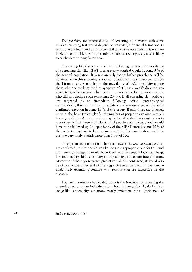The *feasibility* (or practicability), of screening all contacts with some reliable screening test would depend on its cost (in financial terms and in terms of work load) and on its acceptability. As this acceptability is not very likely to be a problem with presently available screening tests, cost is likely to be the determining factor here.

In a setting like the one studied in the Kasongo survey, the prevalence of a screening sign like *[IFAT at least clearly positive]* would be some 3 % of the general population. It is not unlikely that a higher prevalence will be obtained when this screening is applied to health centre *curative contacts* (in the Kasongo survey population the prevalence of IFAT positivity among those who declared *any* kind or symptom of at least a week's duration was about 6 %, which is more than twice the prevalence found among people who did not declare such symptoms: 2.4 %). If all screening sign positives are subjected to an immediate follow-up action (parasitological examination), this can lead to immediate identification of parasitologically confirmed infection in some 15 % of this group. If only those are followed up who also have typical glands, the number of people to examine is much lower (7 to 8 times), and parasites may be found at the first examination in more than half of these individuals. If all people with typical glands would have to be followed up (independently of their IFAT status), some 20 % of the contacts may have to be examined, and the first examination would be positive very rarely: slightly more than 1 out of 100.

If the promising operational characteristics of the *auto-agglutination* test are confirmed, this test could well be the most appropriate one for this kind of screening strategy. It would have it all: minimal supply logistics, cheap, low technicality, high sensitivity and specificity, immediate interpretation. Moreover, if the high negative predictive value is confirmed, it would also be of use at the other end of the 'aggressiveness spectrum' in the passive mode (only examining contacts with reasons that are suggestive for the disease).

The last question to be decided upon is the *periodicity* of repeating the screening test on those individuals for whom it is negative. Again in a Kasongo-like endemicity situation, yearly infection rates (incidence of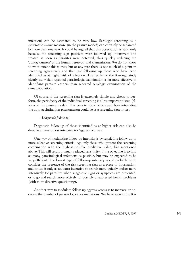infection) can be estimated to be very low. Serologic screening as a systematic *routine* measure (in the passive mode!) can certainly be separated by more than one year. It could be argued that this observation is valid only because the screening sign positives were followed up intensively and treated as soon as parasites were detected, thus quickly reducing the 'contagiousness' of the human reservoir and transmission. We do not know to what extent this is true; but at any rate there is not much of a point in screening aggressively and then *not* following up those who have been identified as at higher risk of infection. The results of the Kasongo study clearly show that repeated parasitologic examination is far more effective in identifying parasite carriers than repeated serologic examination of the same population.

Of course, if the screening sign is extremely simple and cheap to perform, the periodicity of the individual screening is a less important issue (always in the passive mode). This goes to show once again how interesting the auto-agglutination phenomenon could be as a screening sign or test.

#### - *Diagnostic follow-up*

Diagnostic follow-up of those identified as at higher risk can also be done in a more or less intensive (or 'aggressive') way.

One way of modulating follow-up intensity is by restricting follow-up to more selective screening criteria: e.g. only those who present the screening combination with the highest positive predictive value, like mentioned above. This will result in much reduced sensitivity, if the objective is to find as many parasitological infections as possible, but may be expected to be very efficient. The lowest type of follow-up intensity would probably be to consider the presence of the risk screening sign as a piece of information, and to use it only as an extra incentive to search more quickly and/or more intensively for parasites when suggestive signs or symptoms are presented, or to go and search more actively for possibly unexpressed health problems (with more directive questioning).

Another way to modulate follow-up aggressiveness is to increase or decrease the number of parasitological examinations. We have seen in the Ka-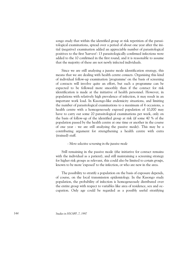songo study that within the identified group at risk repetition of the parasitological examinations, spread over a period of about one year after the initial (negative) examination added an appreciable number of parasitological positives to the first 'harvest': 13 parasitologically confirmed infections were added to the 10 confirmed in the first round, and it is reasonable to assume that the majority of these are not newly infected individuals.

Since we are still analysing a *passive* mode identification strategy, this means that we are dealing with health centre *contacts*. Organising this kind of individual follow-up examination 'programme' on the basis of screening of contacts will involve quite an effort, but such a programme can be expected to be followed more smoothly than if the contact for risk identification is made at the initiative of health personnel. However, in populations with relatively high prevalence of infection, it may result in an important work load. In Kasongo-like endemicity situations, and limiting the number of parasitological examinations to a maximum of 4 occasions, a health centre with a homogeneously exposed population of 10,000 may have to carry out some 20 parasitological examinations per week, only on the basis of follow-up of the identified group at risk (if some 40 % of the population passed by the health centre at one time or another in the course of one year - we are still analysing the passive mode). This may be a contributing argument for strengthening a health centre with extra (trained) staff.

#### - *More selective screening in the passive mode*

Still remaining in the passive mode (the initiative for contact remains with the individual as a patient), and still maintaining a screening strategy for higher risk groups as relevant, this could also be limited to *certain groups*, known to be more 'exposed' to the infection, or who are new in the area.

The possibility to stratify a population on the basis of exposure depends, of course, on the local transmission epidemiology. In the Kasongo study population, the probability of infection is homogeneously distributed over the entire group with respect to variables like area of residence, sex and occupation. Only age could be regarded as a possibly useful stratifying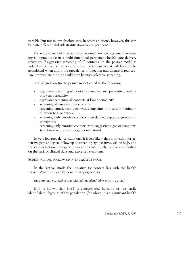variable, but not in any absolute way. In other situations, however, this can be quite different and risk stratification can be pertinent.

If the prevalence of infection is or becomes very low, systematic screening is impracticable in a multi-functional permanent health care delivery structure. If aggressive screening of all contacts (in the passive mode) is judged to be justified at a certain level of endemicity, it will have to be abandoned when and if the prevalence of infection and disease is reduced. An intermediate attitude could then be more selective screening.

The progression (in the passive mode) could be the following:

- aggressive screening *all* contacts (curative and preventive) with a one year periodicity
- aggressive screening all contacts at lower periodicity
- screening all curative contacts only
- screening curative contacts with complaints of a certain minimum duration (e.g. one week)
- screening only curative contacts from defined exposure groups and immigrants
- screening only curative contacts with suggestive signs or symptoms (combined with parasitologic examination).

In very low prevalence situations, it is less likely that motivation for intensive parasitological follow-up of screening sign positives will be high, and the case detection strategy will evolve towards purely passive case finding on the basis of clinical signs and expressed symptoms.

### SCREENING AND FOLLOW-UP IN THE **ACTIVE** MODE.

In the **'active' mode** the initiative for contact lies with the health service. Again, this can be done to varying degrees.

#### *Indiscriminate screening of a selected and identifiable exposure group*

If it is known that HAT is concentrated in more or less easily identifiable subgroups of the population (for whom it is a significant health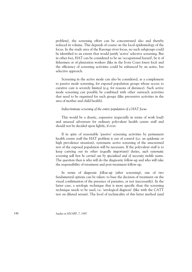problem), the screening effort can be concentrated also and thereby reduced in volume. This depends of course on the local epidemiology of the focus. In the study area of the Kasongo river focus, no such subgroups could be identified to an extent that would justify 'active' selective screening. But in other foci, HAT can be considered to be an 'occupational hazard', be it of fishermen or of plantation workers (like in the Ivory Coast forest foci) and the efficiency of screening activities could be enhanced by an *active*, but selective approach.

Screening in the active mode can also be considered, as a complement to passive mode screening, for exposed population groups whose access to curative care is severely limited (e.g. for reasons of distance). Such active mode screening can possibly be combined with other outreach activities that need to be organised for such groups (like preventive activities in the area of mother and child health).

#### *Indiscriminate screening of the entire population of a HAT focus*

This would be a drastic, expensive (especially in terms of work load) and unusual adventure for ordinary polyvalent health centre staff and should not be decided upon lightly, if ever.

If in spite of reasonable 'passive' screening activities by permanent health centre staff the HAT problem is out of control (i.e. an epidemic or high prevalence situation), systematic active screening of the unscreened rest of the exposed population will be necessary. If the polyvalent staff is to keep carrying out its other (equally important) duties, *such systematic screening will best be carried out by specialised and of necessity mobile teams*. The question then is who will do the diagnostic follow-up and who will take the responsibility of treatment and post-treatment follow-up.

In terms of *diagnostic follow-up* (after screening), one of two fundamental options can be taken: to base the decision of treatment on the visual confirmation of the presence of parasites, or not (necessarily). In the latter case, a serologic technique that is more specific than the screening technique needs to be used, i.e. 'serological *diagnosis*' (like with the CATT test on diluted serum). The level of technicality of this latter method (and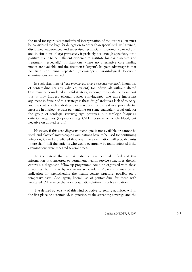the need for rigorously standardised interpretation of the test results) must be considered too high for delegation to other than specialised, well trained, disciplined, experienced and supervised technicians. If correctly carried out, and in situations of *high prevalence*, it probably has enough specificity for a positive result to be sufficient evidence to institute lumbar puncture and treatment, (especially) in situations where no alternative case finding modes are available and the situation is 'urgent'. Its great advantage is that no time consuming repeated (microscopic) parasitological follow-up examinations are needed.

In such situations of *'high prevalence, urgent response required',* liberal use of pentamidine (or any valid equivalent) for individuals without altered CSF must be considered a useful strategy, although the evidence to support this is only indirect (though rather convincing). The more important argument in favour of this strategy is these drugs' (relative) lack of toxicity, and the cost of such a strategy can be reduced by using it as a 'prophylactic' measure in a selective way: pentamidine (or some equivalent drug) only for the group of serologic *screening* sign positives, but serologic '*diagnosis'* criterion negatives (in practice, e.g. CATT positive on whole blood, but negative on diluted serum).

However, if this sero-*diagnostic* technique is not available or cannot be used, and classical microscopic examinations have to be used for confirming infection, it can be predicted that one time examination will probably miss (more than) half the patients who would eventually be found infected if the examinations were repeated several times.

To the extent that at risk patients have been identified and this information is transferred to permanent health service structures (health centres), a diagnostic follow-up programme could be organised with these structures, but this is by no means self-evident. Again, this may be an indication for strengthening the health centre structure, possibly on a temporary basis. And again, liberal use of pentamidine for those with unaltered CSF may be the more pragmatic solution in such a situation.

The desired *periodicity* of this kind of active screening activities will in the first place be determined, in practice, by the screening coverage and the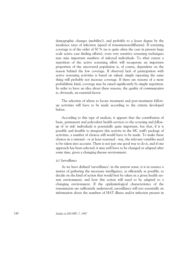demographic changes (mobility!), and probably to a lesser degree by the incidence rates of infection (speed of transmission/diffusion). If screening coverage is of the order of 50 % (as is quite often the case in present large scale active case finding efforts), even very sensitive screening techniques may miss important numbers of infected individuals. To what extent a repetition of the active screening effort will recuperate an important proportion of the uncovered population is, of course, dependent on the reason behind the low coverage. If observed lack of participation with active screening activities is based on *refusal*, simply repeating the same thing will probably not increase coverage. If there are reasons of a more probabilistic kind, coverage may be raised significantly by simple repetition. In order to have an idea about these reasons, the quality of *communication* is, obviously, an essential factor.

The selection of where to locate treatment and post-treatment followup activities will have to be made according to the criteria developed before.

According to this type of analysis, it appears that the contribution of basic, permanent and polyvalent health services to the *screening* and *followup* of 'at risk' individuals is potentially quite important, but that, if it is possible and feasible to integrate this activity in the HC staff's package of activities, a number of choices still would have to be made. To make these choices in a rational - or at least reasoned - way, the relevant variables need to be taken into account. There is not just one good way to do it, and if one approach has been selected, it may well have to be changed or adapted after some time, given a changing disease environment.

#### *(c) Surveillance*

As we have defined 'surveillance', in the narrow sense, it is in essence a matter of gathering the necessary intelligence, as efficiently as possible, to decide on the kind of action that would best be taken in a given health system environment, and how this action will need to be adapted to a changing environment. If the epidemiological characteristics of the transmission are sufficiently understood, surveillance will rest essentially on information about the numbers of HAT illness and/or infection present in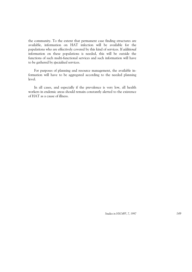the community. To the extent that permanent case finding structures are available, information on HAT infection will be available for the populations who are effectively covered by this kind of services. If *additional* information on these populations is needed, this will be outside the functions of such multi-functional services and such information will have to be gathered by *specialised* services.

For purposes of planning and resource management, the available information will have to be aggregated according to the needed planning level.

In all cases, and especially if the prevalence is very low, all health workers in endemic areas should remain constantly alerted to the existence of HAT as a cause of illness.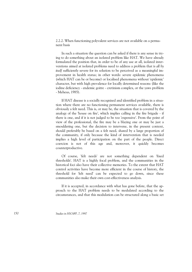2.2.2. When functioning polyvalent services are not available on a permanent basis

In such a situation the question can be asked if there is any sense in trying to do something about an isolated problem like HAT. We have already formulated the position that, in order to be of any use at all, isolated interventions aimed at isolated problems need to address a problem that is *all by itself* sufficiently severe for its solution to be perceived as a meaningful improvement in health status; in other words: severe epidemic phenomena (which HAT can be or become) or localised phenomena without 'epidemic' character, but with high prevalence for locally determined reasons (like the iodine deficiency - endemic goitre - cretinism complex, or the yaws problem - Meheus, 1985).

If HAT disease is a socially recognised and identified problem in a situation where there are no functioning permanent services available, there is obviously a felt need. This is, or may be, the situation that is covered by the analogy of the 'house on fire', which implies calling in the fire brigade - if there is one, and if it is not judged to be too 'expensive'. From the point of view of the professional, the fire may be a blazing one or may be just a smouldering one, but the decision to intervene, in the present context, should preferably be based on a felt need, shared by a large proportion of the community, if only because the kind of intervention that is needed implies a high level of participation on the part of the people. Direct coercion is not of this age and, moreover, it quickly becomes counterproductive.

Of course, 'felt needs' are not something dependent on 'fixed thresholds'. HAT is a highly focal problem, and the communities in the historical foci also have their collective memories. To the extent that HAT control activities have become more efficient in the course of history, the threshold for 'felt need' can be expected to go down, since these communities also make their own cost-effectiveness analysis.

If it is accepted, in accordance with what has gone before, that the approach to the HAT problem needs to be modulated according to the circumstances, and that this modulation can be structured along a basic set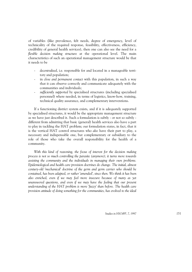of variables (like prevalence, felt needs, degree of emergency, level of technicality of the required response, feasibility, effectiveness, efficiency, credibility of general health services), then one can also see the need for a *flexible decision making structure* at the operational level. The main characteristics of such an operational management structure would be that it needs to be

- *decentralised*, i.e. responsible for and located in a manageable territory and population;
- in *close and permanent contact* with this population, in such a way that it can observe correctly and communicate adequately with the communities and individuals;
- *sufficiently supported* by specialised structures (including specialised personnel) where needed, in terms of logistics, know-how, training, technical quality assurance, and complementary interventions.

If a functioning district system exists, and if it is adequately supported by specialised structures, it would be the appropriate management structure as we have just described it. Such a formulation is subtly - or not so subtly different from admitting that basic (general) health services also have a part to play in tackling the HAT problem; our formulation states, in fact, that it is the vertical HAT control structures who *also* have their part to play, a necessary and indispensable one, but complementary or subsidiary to the role of those who take the overall responsibility for the health of a community.

*With this kind of reasoning, the focus of interest for the decision making process is not so much controlling the parasite (anymore); it turns more towards assisting the community and the individuals in managing their own problems. Epidemiological and health care provision doctrines do change. The initial, almost century-old 'mechanical' doctrine of the germ and germ carrier who should be contained, has been adapted, or rather 'amended', since then. We think it has been also enriched, even if we may feel more insecure because of many as yet unanswered questions, and even if we may have the feeling that our present understanding of the HAT problem is more 'fuzzy' than before. The health care provision attitude of doing something for the communities, has evolved to the ideal*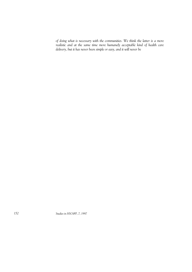*of doing what is necessary with the communities. We think the latter is a more realistic and at the same time more humanely acceptable kind of health care delivery, but it has never been simple or easy, and it will never be*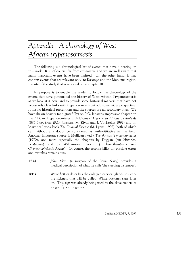# *Appendix : A chronology of West African trypanosomiasis*

The following is a chronological list of events that have a bearing on this work. It is, of course, far from exhaustive and we are well aware that many important events have been omitted. On the other hand, it may contain events that are relevant only to Kasongo and the Maniema region, the site of the study that is reported on in chapter III.

Its purpose is to enable the reader to follow the chronology of the events that have punctuated the history of West African Trypanosomiasis as we look at it now, and to provide some historical markers that have not necessarily clear links with trypanosomiasis but add some wider perspective. It has no historical pretentions and the sources are all secondary ones. We have drawn heavily (and gratefully) on P.G. Janssens' impressive chapter on the African Trypanosomiases in *Médecine et Hygiène en Afrique Centrale de 1885 à nos jours* (P.G. Janssens, M. Kivits and J. Vuylsteke; 1992) and on Maryinez Lyons' book *The Colonial Disease* (M. Lyons; 1992), both of which can without any doubt be considered as authorititative in the field. Another important source is Mulligan's (ed.) *The African Trypanosomiases* (1970), and more especially the chapters by Duggan (*An Historical Perspective*) and by Williamson (*Review of Chemotherapeutic and Chemoprophylactic Agents*). Of course, the responsibility for possible errors and mistakes remains ours.

- **1734** *John Atkins* (a surgeon of the Royal Navy) provides a medical description of what he calls 'the sleeping distemper'.
- **1803** *Winterbottom* describes the enlarged cervical glands in sleeping sickness that will be called 'Winterbottom's sign' later on. This sign was already being used by the slave traders as a sign of poor prognosis.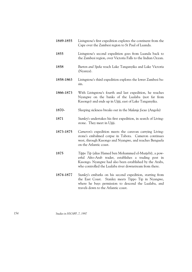| 1849-1855 | Livingstone's first expedition explores the continent from the<br>Cape over the Zambesi region to St Paul of Luanda.                                                                                                                    |
|-----------|-----------------------------------------------------------------------------------------------------------------------------------------------------------------------------------------------------------------------------------------|
| 1855      | Livingstone's second expedition goes from Luanda back to<br>the Zambesi region, over Victoria Falls to the Indian Ocean.                                                                                                                |
| 1858      | Burton and Speke reach Lake Tanganyika and Lake Victoria<br>(Nyanza).                                                                                                                                                                   |
| 1858-1863 | Livingstone's third expedition explores the lower Zambesi ba-<br>sin.                                                                                                                                                                   |
| 1866-1873 | With Livingstone's fourth and last expedition, he reaches<br>Nyangwe on the banks of the Lualaba (not far from<br>Kasongo) and ends up in Ujiji, east of Lake Tanganyika.                                                               |
| 1870-     | Sleeping sickness breaks out in the Malanje focus (Angola)                                                                                                                                                                              |
| 1871      | Stanley's undertakes his first expedition, in search of Living-<br>stone. They meet in Ujiji.                                                                                                                                           |
| 1873-1875 | Cameron's expedition meets the caravan carrying Living-<br>stone's embalmed corpse in Tabora. Cameron continues<br>west, through Kasongo and Nyangwe, and reaches Benguela<br>on the Atlantic coast.                                    |
| 1875      | Tippo Tip (alias Hamed ben Mohammed el-Murjebi), a pow-<br>erful Afro-Arab trader, establishes a trading post in<br>Kasongo. Nyangwe had also been established by the Arabs,<br>who controlled the Lualaba river downstream from there. |

**1874-1877** *Stanley*'s embarks on his second expedition, starting from the East Coast. Stanley meets Tippo Tip in Nyangwe, where he buys permission to descend the Lualaba, and travels down to the Atlantic coast.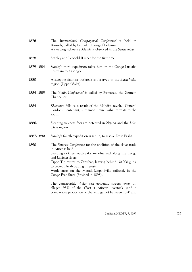| 1876      | The 'International Geographical Conference' is held in<br>Brussels, called by Leopold II, king of Belgium.<br>A sleeping sickness epidemic is observed in the Senegambia                                                                                                                                                                                                                                                                                                                                                                                  |
|-----------|-----------------------------------------------------------------------------------------------------------------------------------------------------------------------------------------------------------------------------------------------------------------------------------------------------------------------------------------------------------------------------------------------------------------------------------------------------------------------------------------------------------------------------------------------------------|
| 1878      | Stanley and Leopold II meet for the first time.                                                                                                                                                                                                                                                                                                                                                                                                                                                                                                           |
| 1879-1884 | Stanley's third expedition takes him on the Congo-Lualaba<br>upstream to Kasongo.                                                                                                                                                                                                                                                                                                                                                                                                                                                                         |
| 1880-     | A sleeping sickness outbreak is observed in the Black Volta<br>region (Upper Volta)                                                                                                                                                                                                                                                                                                                                                                                                                                                                       |
| 1884-1885 | The 'Berlin Conference' is called by Bismarck, the German<br>Chancellor.                                                                                                                                                                                                                                                                                                                                                                                                                                                                                  |
| 1884      | Khartoum falls as a result of the Mahdist revolt. General<br>Gordon's lieutenant, surnamed Emin Pasha, retreats to the<br>south.                                                                                                                                                                                                                                                                                                                                                                                                                          |
| 1886-     | Sleeping sickness foci are detected in Nigeria and the Lake<br>Chad region.                                                                                                                                                                                                                                                                                                                                                                                                                                                                               |
| 1887-1890 | Stanley's fourth expedition is set up, to rescue Emin Pasha.                                                                                                                                                                                                                                                                                                                                                                                                                                                                                              |
| 1890      | The Brussels Conference for the abolition of the slave trade<br>in Africa is held.<br>Sleeping sickness outbreaks are observed along the Congo<br>and Lualaba rivers.<br>Tippo Tip retires to Zanzibar, leaving behind '30,000 guns'<br>to protect Arab trading interests.<br>Work starts on the Matadi-Leopoldville railroad, in the<br>Congo Free State (finished in 1898).<br>The catastrophic rinder pest epidemic sweeps away an<br>alleged 95% of the (East-?) African livestock (and a<br>comparable proportion of the wild game) between 1890 and |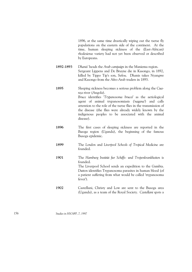1896, at the same time drastically wiping out the tsetse fly populations on the eastern side of the continent. At the time, human sleeping sickness of the (East-African) *rhodesiense* variety had not yet been observed or described by Europeans.

**1892-1893** *Dhanis'* heads the *Arab campaign* in the Maniema region. Sergeant Lippens and De Bruyne die in Kasongo, in 1892, killed by Tippo Tip's son, Sefou. Dhanis takes Nyangwe and Kasongo from the Afro-Arab traders in 1893.

**1895** Sleeping sickness becomes a serious problem along the *Cuanza* river (Angola). *Bruce* identifies *'Trypanosoma brucei'* as the aetiological agent of animal trypanosomiasis ('*nagana*') and calls attention to the role of the tsetse flies in the transmission of the disease (the flies were already widely known by the indigenous peoples to be associated with the animal disease).

- **1896** The first cases of sleeping sickness are reported in the *Busoga* region (Uganda), the beginning of the famous Busoga epidemic.
- **1899** The *London* and *Liverpool Schools of Tropical Medicine* are founded.
- **1901** The *Hamburg Institüt fur Schiffs- und Tropenkrankheiten* is founded. The Liverpool School sends an expedition to the Gambia. *Dutton* identifies Trypanosoma parasites in human blood (of a patient suffering from what would be called 'trypanosoma fever').
- **1902** Castellani, Christy and Low are sent to the Busoga area (Uganda), as a team of the Royal Society. *Castellani* spots a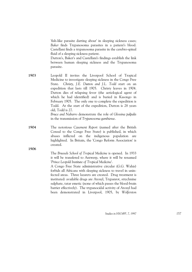'fish-like parasite darting about' in sleeping sickness cases; *Baker* finds Trypanosoma parasites in a patient's blood. Castellani finds a trypanosoma parasite in the cerebro-spinal fluid of a sleeping sickness patient.

Dutton's, Baker's and Castellani's findings establish the link between human sleeping sickness and the Trypanosoma parasite.

**1903** Leopold II invites the Liverpool School of Tropical Medicine to investigate sleeping sickness in the Congo Free State. *Christy, J.E. Dutton and J.L. Todd* start on an expedition that lasts till 1905. Christy leaves in 1904. Dutton dies of relapsing fever (the aetiological agent of which he had identified) and is buried in Kasongo in February 1905. The only one to complete the expedition is Todd. At the start of the expedition, Dutton is 28 years old, Todd is 27.

> *Bruce and Nabarro* demonstrate the role of *Glossina palpalis* in the transmission of *Trypanosoma gambiense* .

**1904** The notorious *Casement Report* (named after the British Consul to the Congo Free State) is published, in which abuses inflicted on the indigenous population are highlighted. In Britain, the 'Congo Reform Association' is created.

**1906**

The *Brussels School of Tropical Medicine* is opened. In 1933 it will be transfered to Antwerp, where it will be renamed '*Prince Leopold Institute of Tropical Medicine*'.

A Congo Free State administrative circular (G.G. Wahis) forbids all Africans with sleeping sickness to travel in uninfected areas. Three lazarets are created. Drug treatment is instituted: available drugs are Atoxyl, Trypanrot, strychnine sulphate, tatar emetic (none of which passes the blood-brain barrier effectively). The trypanocidal activity of Atoxyl had been demonstrated in Liverpool, 1905, by *Wolferston*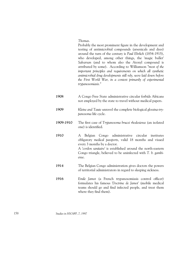#### *Thomas*.

Probably the most prominent figure in the development and testing of antimicrobial compounds (arsenicals and dyes) around the turn of the century is *Paul Ehrlich* (1854-1915), who developed, among other things, the 'magic bullet' *Salvarsan* (and to whom also the Atoxyl compound is attributed by some). According to Williamson *"most of the important principles and requirements on which all synthetic antimicrobial drug developments still rely, were laid down before the First World War, in a context primarily of experimental trypanosomiasis."*

- **1908** A Congo Free State administrative circular forbids Africans not employed by the state to travel without medical papers.
- **1909** *Kleine and Taute* unravel the complete biological *glossina*-*trypanosoma* life cycle.
- **1909-1910** The first case of *Trypanosoma brucei rhodesiense* (an isolated one) is identified.
- **1910** A Belgian Congo administrative circular institutes obligatory *medical passports*, valid 18 months and visaed every 3 months by a doctor. A *'cordon sanitaire'* is established around the north-eastern Congo triangle, believed to be uninfected with *T. b. gambiense*.
- **1914** The Belgian Congo administration gives doctors the powers of territorial administrators in regard to sleeping sickness.
- **1916** *Emile Jamot* (a French trypanosomiasis control officer) formulates his famous '*Doctrine de Jamot*' (mobile medical teams should go and find infected people, and treat them where they find them).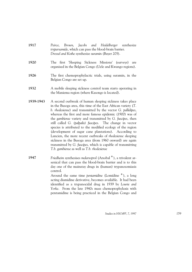- **1917** *Peirce, Brown, Jacobs and Heidelberger* synthesize *tryparsamide*, which can pass the blood-brain barrier. *Dressel and Kothe* synthesize *suramin* (Bayer 205).
- **1920** The first 'Sleeping Sickness Missions' (surveys) are organised in the Belgian Congo (Uele and Kwango regions).
- **1926** The first chemoprophylactic trials, using suramin, in the Belgian Congo are set up.
- **1932** A mobile sleeping sickness control team starts operating in the Maniema region (where Kasongo is located).
- **1939-1943** A second outbreak of human sleeping sickness takes place in the Busoga area, this time of the East African variety (*T. b. rhodesiense*) and transmitted by the vector *G. pallidipes*, whereas the first and more famous epidemic (1900) was of the *gambiense* variety and transmitted by *G. fuscipes*, then still called *G. (palpalis) fuscipes*. The change in vector species is attributed to the modified ecology of the region (development of sugar cane plantations). According to Lancien, the more recent outbreaks of *rhodesiense* sleeping sickness in the Busoga area (from 1960 onward) are again transmitted by *G. fuscipes*, which is capable of transmitting *T.b. gambiense* as well as *T.b. rhodesiense*
- **1947** *Friedheim* synthesises *melarsoprol* (Arsobal ®), a trivalent arsenical that can pass the blood-brain barrier and is to this day one of the mainstay drugs in (human) trypanosomiasis control. Around the same time *pentamidine* (Lomidine ®), a long

acting diamidine derivative, becomes available. It had been identified as a trypanocidal drug in 1939 by *Lourie and Yorke*. From the late 1940s mass chemoprophylaxis with pentamidine is being practiced in the Belgian Congo and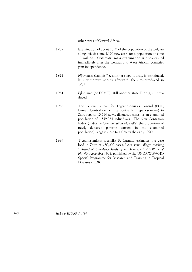other areas of Central Africa.

- **1959** Examination of about 70 % of the population of the Belgian Congo yields some 1,100 new cases for a population of some 13 million. Systematic mass examination is discontinued immediately after the Central and West African countries gain independence.
- 1977 *Nifurtimox* (Lampit <sup>®</sup>), another stage II drug, is introduced. It is withdrawn shortly afterward, then re-introduced in 1981.
- **1981** *Eflornitine* (or DFMO), still another stage II drug, is introduced.
- **1986** The Central Bureau for Trypanosomiasis Control (BCT, Bureau Central de la lutte contre la Trypanosomiase) in Zaire reports 10,514 newly diagnosed cases for an examined population of 1,559,064 individuals. The New Contagion Index ('*Indice de Contamination Nouvelle*', the proportion of newly detected parasite carriers in the examined population) is again close to 1.0 % by the early 1990s.
- **1994** Trypanosomiasis specialist P. Cattand estimates the case load in Zaire at *150,000* cases, "*with some villages reaching 'unheard of' prevalence levels of 70 % infected*" ('*TDR news*' *No. 46, November 1994*, published by the UNDP/WB/WHO Special Programme for Research and Training in Tropical Diseases - TDR).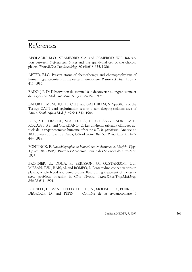## *References*

ABOLARIN, M.O., STAMFORD, S.A. and ORMEROD, W.E. Interaction between *Trypanosoma brucei* and the ependymal cell of the choroid plexus. *Trans.R.Soc.Trop.Med.Hyg.* 80 (4):618-625, 1986.

APTED, F.I.C. Present status of chemotherapy and chemoprophylaxis of human trypanosomiasis in the eastern hemisphere. *Pharmacol.Ther.* 11:391- 413, 1980.

BADO, J.P. De l'observation du sommeil à la découverte du trypanosome et de la glossine. *Med.Trop.Mars.* 53 (2):149-157, 1993.

BAFORT, J.M., SCHUTTE, C.H.J. and GATHIRAM, V. Specificity of the Testryp CATT card agglutination test in a non-sleeping-sickness area of Africa. *South Africa Med. J.* 69:541-542, 1986.

BOA, Y.F., TRAORE, M.A., DOUA, F., KOUASSI-TRAORE, M.T., KOUASSI, B.E. and GIORDANO, C. Les différents tableaux cliniques actuels de la trypanosomiase humaine africaine à *T. b. gambiense*. Analyse de 300 dossiers du foyer de Daloa, Côte-d'Ivoire. *Bull.Soc.Pathol.Exot.* 81:427- 444, 1988.

BONTINCK, F. *L'autobiographie de Hamed ben Mohammed el-Murjebi Tippo Tip (ca.1840-1905)*. Bruxelles:Académie Royale des Sciences d'Outre-Mer, 1974.

BRONNER, U., DOUA, F., ERICSSON, O., GUSTAFSSON, L.L., MIÉZAN, T.W., RAIS, M. and ROMBO, L. Pentamidine concentrations in plasma, whole blood and cerebrospinal fluid during treatment of *Trypanosoma gambiense* infection in Côte d'Ivoire. *Trans.R.Soc.Trop.Med.Hyg.* 85:608-611, 1991.

BRUNEEL, H., VAN DEN EECKHOUT, A., MOLISHO, D., BURKE, J., DEGROOF, D. and PÉPIN, J. Contrôle de la trypanosomiase à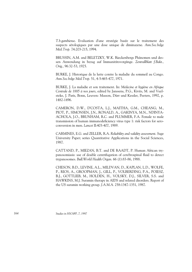*T.b.gambiense*. Evaluation d'une stratégie basée sur le traitement des suspects sérologiques par une dose unique de diminazene. *Ann.Soc.belge Méd.Trop.* 74:203-215, 1994.

BRUSSIN, A.M. and BELETZKY, W.K. Rieckenbergs Phänomen und dessen Anwendung in bezug auf Immunitätsvorgänge. *Zentrallblatt f.Bakt., Orig., 96:*32-53, 1925.

BURKE, J. Historique de la lutte contre la maladie du sommeil au Congo. *Ann.Soc.belge Méd.Trop.* 51, 4-5:465-477, 1971.

BURKE, J. La maladie et son traitement. In: *Médecine et hygiène en Afrique Centrale de 1885 à nos jours*, edited by Janssens, P.G., Kivits, M. and Vuylsteke, J. Paris, Bonn, Leuven: Masson, Dürr und Kessler, Peeters, 1992, p. 1482-1496.

CAMERON, D.W., D'COSTA, L.J., MAITHA, G.M., CHEANG, M., PIOT, P., SIMONSEN, J.N., RONALD, A., GAKINYA, M.N., NDINYA-ACHOLA, J.O., BRUNHAM, R.C. and PLUMMER, F.A. Female to male transmission of human immunodeficiency virus type 1: risk factors for seroconversion in men. *Lancet* II:403-407, 1989.

CARMINES, E.G. and ZELLER, R.A. *Reliability and validity assessment*. Sage University Paper; series Quantitative Applications in the Social Sciences, 1987.

CATTAND, P., MIEZAN, B.T. and DE RAADT, P. Human African trypanosomiasis: use of double centrifugation of cerebrospinal fluid to detect trypanosomes. *Bull.World Health Organ.* 66 (1):83-86, 1988.

CHESON, B.D., LEVINE, A.L., MILDVAN, D., KAPLAN, L.D., WOLFE, P., RIOS, A., GROOPMAN, J., GILL, P., VOLBERDING, P.A., POIESZ, B.J., GOTTLIEB, M., HOLDEN, H., VOLSKY, D.J., SILVER, S.S. and HAWKINS, M.J. Suramin therapy in AIDS and related disorders. Report of the US suramin working group. *J.A.M.A.* 258:1347-1351, 1987.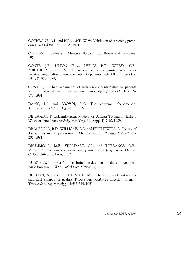COCHRANE, A.L. and HOLLAND, W.W. Validation of screening procedures. *Br.Med.Bull.* 27 (1):3-8, 1971.

COLTON, T. *Statistics in Medicine*. Boston:Little, Brown and Company, 1974.

CONTE, J.E., UPTON, R.A., PHELPS, R.T., WOFSY, C.B., ZURLINDEN, E. and LIN, E.T. Use of a specific and sensitive assay to determine pentamidine pharmacokinetics in patients with AIDS. *J.Infect.Dis.* 154:923-929, 1986.

CONTE, J.E. Pharmacokinetics of intravenous pentamidine in patients with normal renal function or receiving hemodialysis. *J.Infect.Dis.* 163:169- 175, 1991.

DAVIS, L.J. and BROWN, H.C. The adhesion phenomenon. *Trans.R.Soc.Trop.Med.Hyg.* 21:113, 1927.

DE RAADT, P. Epidemiological Models for African Trypanosomiasis: a Waste of Time? *Ann.Soc.belge Méd.Trop.* 69 (Suppl.1):7-10, 1989.

DRANSFIELD, R.D., WILLIAMS, B.G. and BRIGHTWELL, R. Control of Tsetse Flies and Trypanosomiasis: Myth or Reality? *Parasitol.Today* 7:287- 291, 1991.

DRUMMOND, M.F., STODDART, G.L. and TORRANCE, G.W. *Methods for the economic evaluation of health care programmes*. Oxford: Oxford University Press, 1987

DUBOIS, A. Notes sur l'auto-agglutination des hématies dans la trypanosomiase humaine. *Bull.Soc.Pathol.Exot.* 5:686-693, 1912.

DUGGAN, A.J. and HUTCHINSON, M.P. The efficacy of certain trypanocidal compounds against *Trypanosoma gambiense* infection in man. *Trans.R.Soc.Trop.Med.Hyg.* 44:535-544, 1951.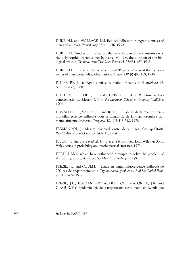DUKE, H.I. and WALLACE, J.M. Red cell adhesion in trypanosomiasis of man and animals. *Parasitology* 22:414-456, 1930.

DUKE, H.L. Studies on the factors that may influence the transmission of the polymorphic trypanosomes by tsetse. VI - On the duration of the biological cycle in *Glossina*. *Ann.Trop.Med.Parasitol.* 27:451-467, 1933.

DUKE, H.L. On the prophylactic action of "Bayer 205" against the trypanosomes of man. Concluding observations. *Lancet* 230 (i):463-469, 1936.

DUTERTRE, J. La trypanosomiase humaine africaine. *Méd.Afr.Noire* 15, N°4:147-177, 1968.

DUTTON, J.E., TODD, J.L. and CHRISTY, C. Gland Puncture in Trypanosomiasis. In: *Memoir XVI of the Liverpool School of Tropical Medicine*, 1904.

DUVALLET, G., SALIOU, P. and REY, J.L. Fiabilité de la réaction d'immunofluorescence indirecte pour le diagnostic de la trypanosomiase humaine africaine. *Médecine Tropicale* 38, N°5:513-518, 1978.

FERMANIAN, J. Mesure d'accord entre deux juges. Cas qualitatif. *Rev.Epidém.et Santé Publ.* 32:140-147, 1984.

FLEISS, J.L. *Statistical methods for rates and proportions*. John Wiley & Sons; Wiley series in probability and mathematical statistics, 1973.

FORD, J. Ideas which have influenced attempts to solve the problem of African trypanosomiasis. *Soc.Sci.Med.* 13B:269-276, 1979.

FRÉZIL, J.L. and COULM, J. Etude en immunofluorescence indirecte de 200 cas de trypanosomiase à *Trypanosoma gambiense*. *Bull.Soc.Pathol.Exot.* 70 (1):65-74, 1977.

FRÉZIL, J.L., EOUZAN, J.P., ALARY, J.CH., MALONGA, J.R. and GINOUX, P.Y. Epidémiologie de la trypanosomiase humaine en République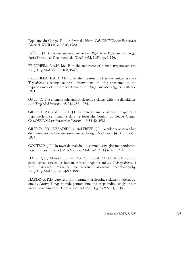Populaire du Congo. II - Le foyer du Niari. *Cah.ORSTOM,ser.Ent.med.et Parasitol.* XVIII (4):329-346, 1980.

FRÉZIL, J.L. *La trypanosomiase humaine en République Populaire du Congo*. Paris:Travaux et Documents de l'ORSTOM, 1983. pp. 1-156.

FRIEDHEIM, E.A.H. Mel B in the treatment of human trypanosomiasis. *Am.J.Trop.Med.* 29:173-180, 1949.

FRIEDHEIM, E.A.H. Mel B in the treatment of tryparsamide-resistant *T.gambiense* sleeping sickness: observations on drug resistance in the trypanosomes of the French Cameroun. *Am.J.Trop.Med.Hyg.* 31:218-227, 1951.

GALL, D. The chemoprophylaxis of sleeping sickness with the diamidines. *Ann.Trop.Med.Parasitol.* 48:242-258, 1954.

GINOUX, P.Y. and FRÉZIL, J.L. Recherches sur la latence clinique et la trypanotolérance humaine dans le foyer du Couloir du fleuve Congo. *Cah.ORSTOM,ser.Ent.med.et Parasitol.* 19:33-40, 1981.

GINOUX, P.Y., BISSADIDI, N. and FRÉZIL, J.L. Accidents observés lors du traitement de la trypanosomiase au Congo. *Med.Trop.* 44 (4):351-355, 1984.

GOUTEUX, J.P. Un foyer de maladie du sommeil sans glossine péridomestique: Kingoyi (Congo). *Ann.Soc.belge Méd.Trop.* 71:143-146, 1991.

HALLER, L., ADAMS, H., MEROUZE, F. and DAGO, A. Clinical and pathological aspects of human African trypanosomiasis (*T.b.gambiense* ) with particular reference to reactive arsenical encephalopathy. *Am.J.Trop.Med.Hyg.* 35:94-99, 1986.

HARDING, R.D. Late results of treatment of sleeping sickness in Sierra Leone by Antrypol tryparsamide pentamidine and propamidine singly and in various combinations. *Trans.R.Soc.Trop.Med.Hyg.* 39:99-124, 1945.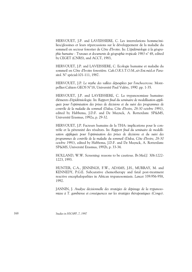HERVOUET, J.P. and LAVEISSIERE, C. Les interrelations homme/milieu/glossines et leurs répercussions sur le développement de la maladie du sommeil en secteur forestier de Côte d'Ivoire. In: *L'épidémiologie à la géographie humaine - Travaux et documents de géographie tropicale 1983 n° 48*, edited by CEGET (CNRS), and ACCT, 1983,

HERVOUET, J.P. and LAVEISSIERE, C. Ecologie humaine et maladie du sommeil en Côte d'Ivoire forestière. *Cah.O.R.S.T.O.M.,sér.Ent.méd.et Parasitol.* N° spécial:101-111, 1987.

HERVOUET, J.P. *Le mythe des vallées dépeuplées par l'onchocercose*. Montpellier:Cahiers GEOS N°18, Université Paul Valéry, 1990. pp. 1-35.

HERVOUET, J.P. and LAVEISSIERE, C. La trypanosomiase humaine: éléments d'épidémiologie. In: *Rapport final du seminaire de modellisation appliquée pour l'optimisation des prises de décisions et du suivi des programmes de contrôle de la maladie du sommeil (Daloa, Côte d'Ivoire, 28-30 octobre 1991)*, edited by Habbema, J.D.F. and De Muynck, A. Rotterdam: SP&MS, Université Erasmus, 1992a, p. 29-32.

HERVOUET, J.P. Facteurs humains de la THA: implications pour le contrôle et la pérennité des résultats. In: *Rapport final du seminaire de modellisation appliquée pour l'optimisation des prises de décisions et du suivi des programmes de contrôle de la maladie du sommeil (Daloa, Côte d'Ivoire, 28-30 octobre 1991)*, edited by Habbema, J.D.F. and De Muynck, A. Rotterdam: SP&MS, Université Erasmus, 1992b, p. 33-34.

HOLLAND, W.W. Screening: reasons to be cautious. *Br.Med.J.* 306:1222- 1223, 1993.

HUNTER, C.A., JENNINGS, F.W., ADAMS, J.H., MURRAY, M. and KENNEDY, P.G.E. Subcurative chemotherapy and fatal post-treatment reactive encephalopathies in African trypanosomiasis. *Lancet* 339:956-958, 1992.

JANNIN, J. *Analyse décisionnelle des stratégies de dépistage de la trypanosomiase à T. gambiense et conséquences sur les stratégies thérapeutiques (Congo)*.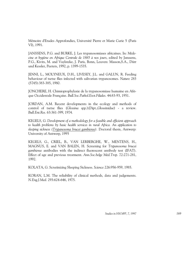Mémoire d'Etudes Approfondies, Université Pierre et Marie Curie 5 (Paris VI), 1991.

JANSSENS, P.G. and BURKE, J. Les trypanosomiases africaines. In: *Médecine et hygiène en Afrique Centrale de 1885 à nos jours*, edited by Janssens, P.G., Kivits, M. and Vuylsteke, J. Paris, Bonn, Leuven: Masson,S.A., Dürr und Kessler, Peeters, 1992, p. 1399-1535.

JENNI, L., MOLYNEUX, D.H., LIVESEY, J.L. and GALUN, R. Feeding behaviour of tsetse flies infected with salivarian trypanosomes. *Nature* 283 (5745):383-385, 1980.

JONCHERE, H. Chimioprophylaxie de la trypanosomiase humaine en Afrique Occidentale Française. *Bull.Soc.Pathol.Exot.Filiales.* 44:83-93, 1951.

JORDAN, A.M. Recent developments in the ecology and methods of control of tsetse flies (*Glossina* spp.)(Dipt.,Glossinidae) - a review. *Bull.Ent.Res.* 63:361-399, 1974.

KEGELS, G. *Development of a methodology for a feasible and efficient approach to health problems by basic health services in rural Africa. An application to sleeping sickness (Trypanosoma brucei gambiense).* Doctoral thesis, Antwerp: University of Antwerp, 1995

KEGELS, G., CRIEL, B., VAN LERBERGHE, W., MENTENS, H., MAGNUS, E. and VAN BALEN, H. Screening for *Trypanosoma brucei gambiense* antibodies with the indirect fluorescent antibody test (IFAT). Effect of age and previous treatment. *Ann.Soc.belge Méd.Trop.* 72:271-281, 1992.

KOLATA, G. Scrutinizing Sleeping Sickness. *Science* 226:956-959, 1985.

KORAN, L.M. The reliability of clinical methods, data and judgements. *N.Eng.J.Med.* 293:624-646, 1975.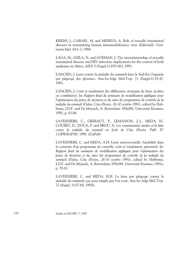KREISS, J., CARAEL, M. and MEHEUS, A. Role of sexually transmitted diseases in transmitting human immunodeficiency virus (Editorial). *Genitourin.Med.* 64:1-2, 1988.

LAGA, M., NZILA, N. and GOEMAN, J. The interrelationship of sexually transmitted diseases and HIV infection: implications for the control of both epidemics in Africa. *AIDS* 5 (Suppl.1):S55-S63, 1991.

LANCIEN, J. Lutte contre la maladie du sommeil dans le Sud-Est Ouganda par piégeage des glossines. *Ann.Soc.belge Méd.Trop.* 71 (Suppl.1):35-47, 1991.

LANCIEN, J. Coût et rendement des différentes stratégies de lutte (isolées ou combinées). In: *Rapport final du seminaire de modellisation appliquée pour l'optimisation des prises de décisions et du suivi des programmes de contrôle de la maladie du sommeil (Daloa, Côte d'Ivoire, 28-30 octobre 1991)*, edited by Habbema, J.D.F. and De Muynck, A. Rotterdam: SP&MS, Université Erasmus, 1992, p. 83-86.

LAVEISSIERE, C., GREBAUT, P., LEMASSON, J.-J., MEDA, H., COURET, D., DOUA, F. and BROU, N. *Les communautés rurales et la lutte contre la maladie du sommeil en forêt de Côte d'Ivoire. Publ. N° 13/IPR/RAP/90*. 1990. (UnPub)

LAVEISSIERE, C. and MEDA, A.H. Lutte antivectorielle: faisabilité dans le contexte d'un programme de contrôle, coût et rendement, pérennité. In: *Rapport final du seminaire de modellisation appliquée pour l'optimisation des prises de décisions et du suivi des programmes de contrôle de la maladie du sommeil (Daloa, Côte d'Ivoire, 28-30 octobre 1991)*, edited by Habbema, J.D.F. and De Muynck, A. Rotterdam: SP&SM, Université Erasmus, 1992a, p. 79-82.

LAVEISSIERE, C. and MEDA, H.H. La lutte par piègeage contre la maladie du sommeil: pas aussi simple que l'on croit. *Ann.Soc.belge Méd.Trop.* 72 (Suppl. 1):57-68, 1992b.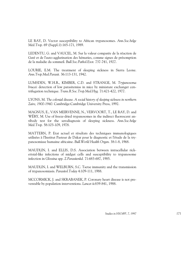LE RAY, D. Vector susceptibility to African trypanosomes. *Ann.Soc.belge Méd.Trop.* 69 (Suppl.1):165-171, 1989.

LEDENTU, G. and VAUCEL, M. Sur la valeur comparée de la réaction de Gaté et de l'auto-agglutination des hématies, comme signes de présomption de la maladie du sommeil. *Bull.Soc.Pathol.Exot.* 737-741, 1927.

LOURIE, E.M. The treatment of sleeping sickness in Sierra Leone. *Ann.Trop.Med.Parasit.* 36:113-131, 1942.

LUMSDEN, W.H.R., KIMBER, C.D. and STRANGE, M. *Trypanosoma brucei*: detection of low parasitemias in mice by miniature exchanger centrifugation technique. *Trans.R.Soc.Trop.Med.Hyg.* 71:421-422, 1977.

LYONS, M. *The colonial disease. A social history of sleeping sickness in northern Zaire, 1900-1940*. Cambridge:Cambridge University Press, 1992.

MAGNUS, E., VAN MEIRVENNE, N., VERVOORT, T., LE RAY, D. and WÉRY, M. Use of freeze-dried trypanosomes in the indirect fluorescent antibody test for the serodiagnosis of sleeping sickness. *Ann.Soc.belge Méd.Trop.* 58:103-109, 1978.

MATTERN, P. Etat actuel et résultats des techniques immunologiques utilisées à l'Institut Pasteur de Dakar pour le diagnostic et l'étude de la trypanosomiase humaine africaine. *Bull.World Health Organ.* 38:1-8, 1968.

MAUDLIN, I. and ELLIS, D.S. Association between intracellular rickettsial-like infections of midgut cells and susceptibility to trypanosome infection in *Glossina* spp. *Z.Parasitenkd.* 71:683-687, 1985.

MAUDLIN, I. and WELBURN, S.C. Tsetse immunity and the transmission of trypanosomiasis. *Parasitol.Today* 4:109-111, 1988.

MCCORMICK, J. and SKRABANEK, P. Coronary heart disease is not preventable by population interventions. *Lancet* ii:839-841, 1988.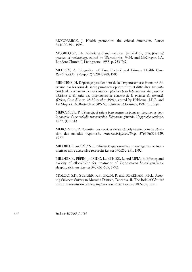MCCORMICK, J. Health promotion: the ethical dimension. *Lancet* 344:390-391, 1994.

MCGREGOR, I.A. Malaria and malnutrition. In: *Malaria, principles and practice of malariology*, edited by Wernsdorfer, W.H. and McGregor, I.A. London: Churchill, Livingstone, 1988, p. 753-767.

MEHEUS, A. Integration of Yaws Control and Primary Health Care. *Rev.Infect.Dis.* 7 (Suppl.2):S284-S288, 1985.

MENTENS, H. Dépistage passif et actif de la Trypanosomiase Humaine Africaine par les soins de santé primaires: opportunités et difficultés. In: *Rapport final du seminaire de modellisation appliquée pour l'optimisation des prises de décisions et du suivi des programmes de contrôle de la maladie du sommeil. (Daloa, Côte d'Ivoire, 28-30 octobre 1991)*, edited by Habbema, J.D.F. and De Muynck, A. Rotterdam: SP&MS, Université Erasmus, 1992, p. 73-78.

MERCENIER, P. *Démarche à suivre pour mettre au point un programme pour le contrôle d'une maladie transmissible. Démarche générale. L'approche verticale*. 1972. (UnPub)

MERCENIER, P. Potentiel des services de santé polyvalents pour la détection des malades trypanosés. *Ann.Soc.belg.Med.Trop.* 57(4-5):323-329, 1977.

MILORD, F. and PÉPIN, J. African trypanosomiasis: more aggressive treatment or more aggressive research? *Lancet* 340:250-251, 1992.

MILORD, F., PÉPIN, J., LOKO, L., ETHIER, L. and MPIA, B. Efficacy and toxicity of eflornithine for treatment of *Trypanosoma brucei gambiense* sleeping sickness. *Lancet* 340:652-655, 1992.

MOLOO, S.K., STEIGER, R.F., BRUN, R. and BOREHAM, P.F.L. Sleeping Sickness Survey in Musoma District, Tanzania. II. The Role of *Glossina* in the Transmission of Sleeping Sickness. *Acta Trop.* 28:189-205, 1971.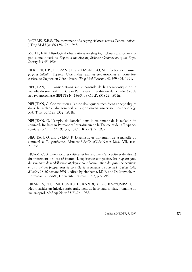MORRIS, K.R.S. The movement of sleeping sickness across Central Africa. *J.Trop.Med.Hyg.*:66:159-176, 1963.

MOTT, F.W. Histological observations on sleeping sickness and other trypanosome infections. *Report of the Sleeping Sickness Commission of the Royal Society* 7:3-45, 1906.

NEKPENI, E.B., EOUZAN, J.P. and DAGNOGO, M. Infection de *Glossina palpalis palpalis* (Diptera, Glossinidae) par les trypanosomes en zone forestière de Gagnoa en Côte d'Ivoire. *Trop.Med.Parasitol.* 42:399-403, 1991.

NEUJEAN, G. Considérations sur le contrôle de la thérapeutique de la maladie du sommeil. In: Bureau Permanent Interafricain de la Tsé-tsé et de la Trypanosomiase (BPITT) N° 176/0, I.S.C.T.R. (51) 22, 1951a.

NEUJEAN, G. Contribution à l'étude des liquides rachidiens et cephaliques dans la maladie du sommeil à '*Trypanosoma gambiense*'. *Ann.Soc.belge Méd.Trop.* 30:1125-1387, 1951b.

NEUJEAN, G. L'emploi de l'arsobal dans le traitement de la maladie du sommeil. In: Bureau Permanent Interafricain de la Tsé-tsé et de la Trypanosomiase (BPITT) N° 195 (2), I.S.C.T.R. (52) 22, 1952.

NEUJEAN, G. and EVENS, F. Diagnostic et traitement de la maladie du sommeil à *T. gambiense*. *Mém.Ac.R.Sc.Col.;Cl.Sc.Nat.et Méd.* VII, fasc. 2:1958.

NGAMPO, S. Quels sont les critères et les résultats d'efficacité et de létalité du traitement des cas résistants? L'expérience congolaise. In: *Rapport final du seminaire de modellisation appliquée pour l'optimisation des prises de décisions et du suivi des programmes de contrôle de la maladie du sommeil (Daloa, Côte d'Ivoire, 28-30 octobre 1991)*, edited by Habbema, J.D.F. and De Muynck, A. Rotterdam: SP&MS, Université Erasmus, 1992, p. 91-95.

NKANGA, N.G., MUTOMBO, L., KAZIDI, K. and KAZYUMBA, G.L. Neuropathies arsénicales après traitement de la trypanosomiase humaine au mélarsoprol. *Méd.Afr.Noire* 35:73-76, 1988.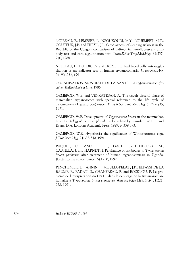NOIREAU, F., LEMESRE, L., NZOUKOUDI, M.Y., LOUEMBET, M.T., GOUTEUX, J.P. and FRÉZIL, J.L. Serodiagnosis of sleeping sickness in the Republic of the Congo : comparison of indirect immunofluorescent antibody test and card agglutination test. *Trans.R.Soc.Trop.Med.Hyg.* 82:237- 240, 1988.

NOIREAU, F., TOUDIC, A. and FRÉZIL, J.L. Red blood cells' auto-agglutination as an indicator test in human trypanosomiasis. *J.Trop.Med.Hyg.* 94:251-252, 1991.

ORGANISATION MONDIALE DE LA SANTÉ., *La trypanosomiase africaine: épidémiologie et lutte*. 1986.

ORMEROD, W.E. and VENKATESAN, A. The occult visceral phase of mammalian trypanosomes with special reference to the life cycle of *Trypanosoma* (Trypanozoon) *brucei*. *Trans.R.Soc.Trop.Med.Hyg.* 65:722-735, 1971.

ORMEROD, W.E. Development of *Trypanosoma brucei* in the mammalian host. In: *Biology of the Kinetoplastida. Vol.2*, edited by Lumsden, W.H.R. and Evans, D.A. London: Academic Press, 1979, p. 339-393.

ORMEROD, W.E. Hypothesis: the significance of Winterbottom's sign. *J.Trop.Med.Hyg.* 94:338-340, 1991.

PAQUET, C., ANCELLE, T., GASTELLU-ETCHEGORY, M., CASTILLA, J. and HARNDT, I. Persistance of antibodies to *Trypanosoma brucei gambiense* after treatment of human trypanosomiasis in Uganda. (Letter to the editor) *Lancet* 340:250, 1992.

PENCHENIER, L., JANNIN, J., MOULIA-PELAT, J.P., ELFASSI DE LA BAUME, F., FADAT, G., CHANFREAU, B. and EOZENOU, P. Le problème de l'interprétation du CATT dans le dépistage de la trypanosomiase humaine à *Trypanosoma brucei gambiense*. *Ann.Soc.belge Méd.Trop.* 71:221- 228, 1991.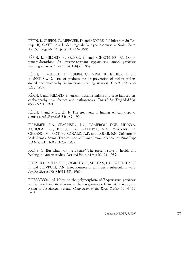PÉPIN, J., GUERN, C., MERCIER, D. and MOORE, P. Utilisation du Testryp (R) CATT pour le dépistage de la trypanosomiase à Nioki, Zaire. *Ann.Soc.belge Méd.Trop.* 66:213-224, 1986.

PÉPIN, J., MILORD, F., GUERN, C. and SCHECHTER, P.J. Difluoromethylornithine for Arseno-resistant *trypanosoma brucei gambiense* sleeping sickness. *Lancet* ii:1431-1433, 1987.

PÉPIN, J., MILORD, F., GUERN, C., MPIA, B., ETHIER, L. and MANSINSA, D. Trial of prednisolone for prevention of melarsoprol-induced encephalopathy in *gambiense* sleeping sickness. *Lancet* 333:1246- 1250, 1989.

PÉPIN, J. and MILORD, F. African trypanosomiasis and drug-induced encephalopathy: risk factors and pathogenesis. *Trans.R.Soc.Trop.Med.Hyg.* 85:222-224, 1991.

PÉPIN, J. and MILORD, F. The treatment of human African trypanosomiasis. *Adv.Parasitol.* 33:1-47, 1994.

PLUMMER, F.A., SIMONSEN, J.N., CAMERON, D.W., NDINYA-ACHOLA, J.O., KREISS, J.K., GAKINYA, M.N., WAIYAKI, P., CHEANG, M., PIOT, P., RONALD, A.R. and NGUGI, E.N. Cofactors in Male-Female Sexual Transmission of Human Immunodeficiency Virus Type 1. *J.Infect.Dis.* 160:233-239, 1989.

PRINS, G. But what was the disease? The present state of health and healing in African studies. *Past and Present* 124:170-171, 1989.

RILEY, R.L., MILLS, C.C., O'GRADY, F., SULTAN, L.U., WITTSTADT, F. and SHIVPURI, D.N. Infectiousness of air from a tuberculosis ward. *Am.Rev.Respir.Dis.* 85:511-525, 1962.

ROBERTSON, M. Notes on the polymorphism of *Trypanosoma gambiense* in the blood and its relation to the exogenous cycle in *Glossina palpalis*. *Report of the Sleeping Sickness Commission of the Royal Society* 13:94-110, 1913.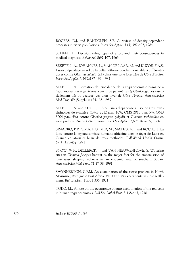ROGERS, D.J. and RANDOLPH, S.E. A review of density-dependent processes in tsetse populations. *Insect Sci.Applic.* 5 (5):397-402, 1984

SCHEFF, T.J. Decision rules, types of error, and their consequences in medical diagnosis. *Behav.Sci.* 8:97-107, 1963.

SEKETELI, A., JOHANNES, L., VAN DE LAAR, M. and KUZOE, F.A.S. Essais d'épandage au sol de la deltaméthrine poudre mouillable à différentes doses contre *Glossina palpalis* (s.l.) dans une zone forestière de Côte d'Ivoire. *Insect Sci.Applic.* 6, N°2:187-192, 1985

SEKETELI, A. Estimation de l''incidence de la trypanosomiase humaine à *trypanosoma brucei gambiense* à partir de paramètres épidémiologiques essentiellement liés au vecteur: cas d'un foyer de Côte d'Ivoire. *Ann.Soc.belge Méd.Trop.* 69 (Suppl.1): 125-135, 1989

SEKETELI, A. and KUZOE, F.A.S. Essais d'épandage au sol de trois pyréthrinoides de synthèse (OMS 2012 p.m. 10%, OMS 2013 p.m. 5%, OMS 3004 p.m. 5%) contre *Glossina palpalis palpalis* et *Glossina tachinoides* en zone préforestière de Côte d'Ivoire. *Insect Sci.Applic.* 7,N°6:763-769, 1986

SIMARRO, P.P., SIMA, F.O., MIR, M., MATEO, M.J. and ROCHE, J. La lutte contre la trypanosomiase humaine africaine dans le foyer de Luba en Guinée équatoriale: bilan de trois méthodes. *Bull.World Health Organ.* 69(4):451-457, 1991

SNOW, W.F., DECLERCK, J. and VAN NIEUWENHOVE, S. Watering sites in *Glossina fuscipes* habitat as the major foci for the transmission of *Gambiense* sleeping sickness in an endemic area of southern Sudan. *Ann.Soc.belge Méd.Trop.* 71:27-38, 1991

SWYNNERTON, C.F.M. An examination of the tsetse problem in North Mossurise, Portuguese East Africa. VII. Umzila's experiments in close settlement. *Bull.Ent.Res.* 11:331-335, 1921

TODD, J.L. A note on the occurrence of auto-agglutination of the red cells in human trypanosomiasis. *Bull.Soc.Pathol.Exot.* 3:438-443, 1910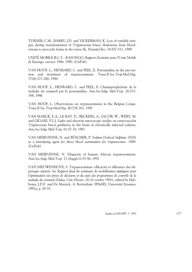TURNER, C.M., BARRY, J.D. and VICKERMAN, K. Loss of variable antigen during transformation of *Trypanosoma brucei rhodesiense* from bloodstream to procyclic forms in the tsetse fly. *Parasitol.Res.* 74:507-511, 1988

UNITÉ MOBILE B.C.T.- KASONGO, *Rapport d'activités pour l'Unité Mobile de Kasongo, exercice 1986*. 1990. (UnPub)

VAN HOOF, L., HENRARD, C. and PEEL, E. Pentamidine in the prevention and treatment of trypanosomiasis. *Trans.R.Soc.Trop.Med.Hyg.* 37(4):271-280, 1944

VAN HOOF, L., HENRARD, C. and PEEL, E. Chimioprophylaxie de la maladie du sommeil par la pentamidine. *Ann.Soc.belge Méd.Trop.* 26:371- 384, 1946

VAN HOOF, L. Observations on trypanosomiasis in the Belgian Congo. *Trans.R.Soc.Trop.Med.Hyg.* 40:728-761, 1947

VAN MARCK, E.A., LE RAY, D., BECKERS, A., JACOB, W., WERY, M. and GIGASE, P.L.J. Light and electron microscope studies on extravascular *Trypanosoma brucei gambiense* in the brain of chronically infected rodents. *Ann.Soc.belge Méd.Trop.* 61:57-78, 1981

VAN MEIRVENNE, N. and BÜSCHER, P. *Sodium Dodecyl Sulphate (SDS) as a hemolysing agent for direct blood examination for trypanosomes*. 1989. (UnPub)

VAN MEIRVENNE, N. Diagnosis of human African trypanosomiasis. *Ann.Soc.belge Méd.Trop.* 72 (Suppl.1):53-56, 1992

VAN NIEUWENHOVE, S. Trypanosomiase: efficacité et efficience des dépistages répétés. In: *Rapport final du seminaire de modellisation appliquée pour l'optimisation des prises de décisions et du suivi des programmes de contrôle de la maladie du sommeil (Daloa, Côte d'Ivoire, 28-30 octobre 1991)*, edited by Habbema, J.D.F. and De Muynck, A. Rotterdam: SP&MS, Université Erasmus, 1992a, p. 45-53.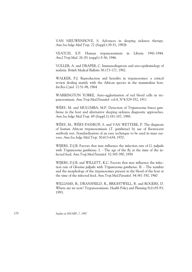VAN NIEUWENHOVE, S. Advances in sleeping sickness therapy. *Ann.Soc.belge Méd.Trop.* 72 (Suppl.):39-51, 1992b

VEATCH, E.P. Human trypanosomiasis in Liberia 1941-1944. *Am.J.Trop.Med.* 26 (5) (suppl.):5-56, 1946.

VOLLER, A. and DRAPER, C. Immunodiagnosis and sero-epidemiology of malaria. *British Medical Bulletin* 38:173-177, 1982.

WALKER, P.J. Reproduction and heredity in trypanosomes: a critical review dealing mainly with the African species in the mammalian host. *Int.Rev.Cytol.* 17:51-98, 1964

WARRINGTON YORKE, Auto-agglutination of red blood cells in trypanosomiasis. *Ann.Trop.Med.Parasitol.* vol.4, N°4:529-552, 1911

WÉRY, M. and MULUMBA, M.P. Detection of *Trypanosoma brucei gambiense* in the host and alternative sleeping sickness diagnostic approaches. *Ann.Soc.belge Med.Trop.* 69 (Suppl.1):181-187, 1988.

WÉRY, M., WÉRY-PASSKOF, S. and VAN WETTERE, P. The diagnosis of human African trypanosomiasis (*T. gambiense*) by use of fluorescent antibody test. Standardisation of an easy technique to be used in mass surveys. *Ann.Soc.belge Méd.Trop.* 50:613-634, 1970.

WIJERS, D.J.B. Factors that may influence the infection rate of *G. palpalis* with *Trypanosoma gambiense*. I. - The age of the fly at the time of the infected feed. *Ann.Trop.Med.Parasitol.* 52:385-390, 1958

WIJERS, D.J.B. and WILLETT, K.C. Factors that may influence the infection rate of G*lossina palpalis* with *Trypanosoma gambiense*. II. - The number and the morphology of the trypanosomes present in the blood of the host at the time of the infected feed. *Ann.Trop.Med.Parasitol.* 54:341-350, 1960

WILLIAMS, B., DRANSFIELD, R., BRIGHTWELL, R. and ROGERS, D. Where are we now? Trypanosomiasis. *Health Policy and Planning* 8(1):85-93, 1993.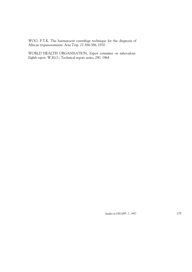WOO, P.T.K. The haematocrit centrifuge technique for the diagnosis of African trypanosomiasis. *Acta Trop.* 27:384-386, 1970.

WORLD HEALTH ORGANISATION, *Expert committee on tuberculosis. Eighth report*. W.H.O.; Technical report series, 290, 1964

*Studies in HSO&P, 7, 1997 179*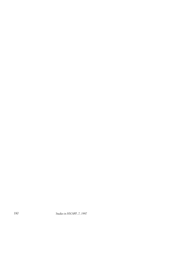*Studies in HSO&P, 7, 1997*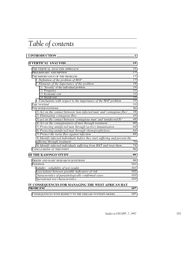## *Table of contents*

| 3. Conclusions with respect to the importance of the HAT problem 33           |  |
|-------------------------------------------------------------------------------|--|
|                                                                               |  |
|                                                                               |  |
| (1) Act on the contact between 'non-infected man' and 'contagious flies'38    |  |
|                                                                               |  |
| (3) act on the contact between 'contagious man' and 'uninfected fly' 48       |  |
|                                                                               |  |
| (5) Protecting uninfected man through (active) immunisation 64                |  |
|                                                                               |  |
|                                                                               |  |
| (8) Identify infected individuals before they start suffering and prevent the |  |
|                                                                               |  |
| (9) Identify infected individuals suffering from HAT and treat them74         |  |
|                                                                               |  |
|                                                                               |  |
|                                                                               |  |
|                                                                               |  |
|                                                                               |  |
|                                                                               |  |
| Characteristics of parasitologically confirmed cases 103                      |  |
|                                                                               |  |
| IV CONSEQUENCES FOR MANAGING THE WEST AFRICAN HAT                             |  |
| CONSEQUENCES WITH RESPECT TO THE DISEASE SYSTEM'S MODEL 107                   |  |

*Studies in HSO&P, 7, 1997 181*